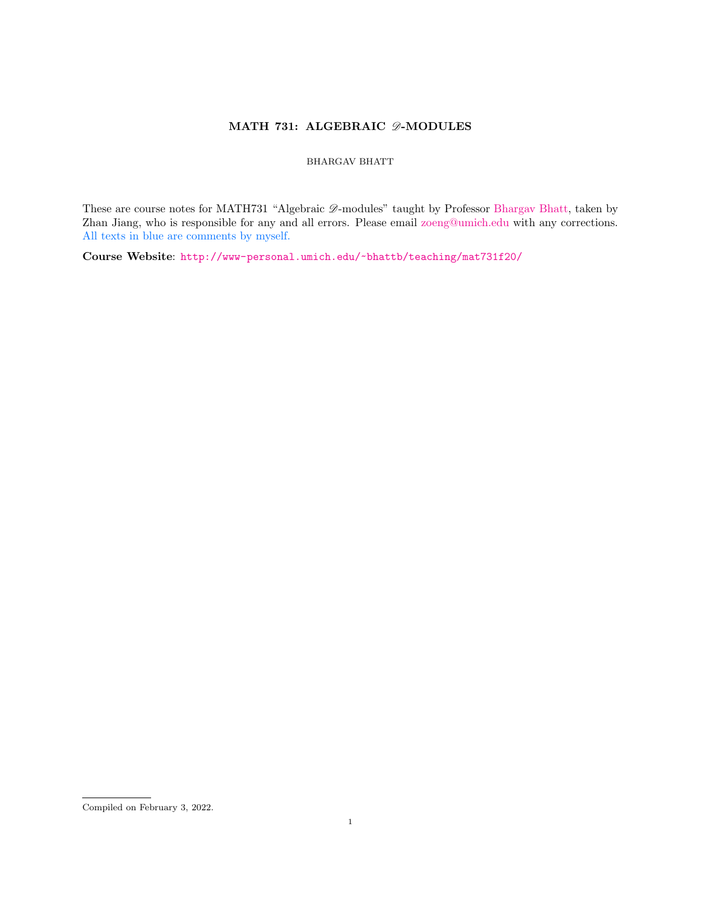# MATH 731: ALGEBRAIC  $\mathscr{D}\text{-}\mathsf{MODULES}$

## BHARGAV BHATT

These are course notes for MATH731 "Algebraic  $\mathscr{D}\text{-modules}$ " taught by Professor [Bhargav Bhatt,](http://www-personal.umich.edu/~bhattb/) taken by Zhan Jiang, who is responsible for any and all errors. Please email [zoeng@umich.edu](mailto:zoeng@umich.edu) with any corrections. All texts in blue are comments by myself.

Course Website: <http://www-personal.umich.edu/~bhattb/teaching/mat731f20/>

Compiled on February 3, 2022.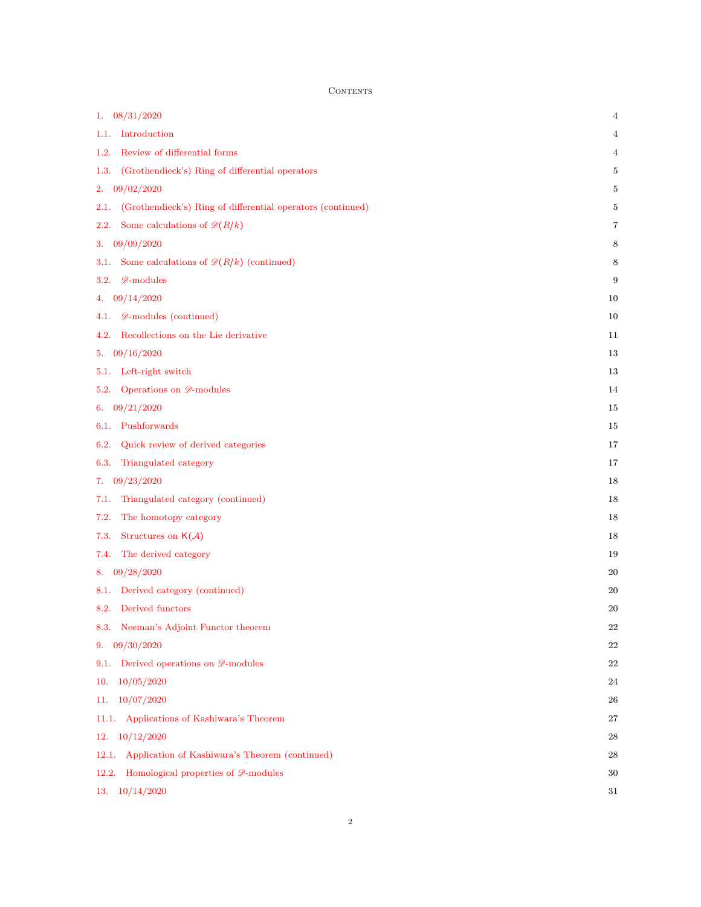CONTENTS

| 08/31/2020<br>1.                                                    | 4        |
|---------------------------------------------------------------------|----------|
| Introduction<br>1.1.                                                | 4        |
| Review of differential forms<br>1.2.                                | 4        |
| (Grothendieck's) Ring of differential operators<br>1.3.             | 5        |
| 09/02/2020<br>2.                                                    | 5        |
| (Grothendieck's) Ring of differential operators (continued)<br>2.1. | 5        |
| Some calculations of $\mathcal{D}(R/k)$<br>2.2.                     | 7        |
| 09/09/2020<br>3.                                                    | 8        |
| Some calculations of $\mathcal{D}(R/k)$ (continued)<br>3.1.         | 8        |
| $\mathscr{D}\text{-modules}$<br>3.2.                                | 9        |
| 09/14/2020<br>4.                                                    | 10       |
| $\mathscr{D}\text{-modules}$ (continued)<br>4.1.                    | 10       |
| Recollections on the Lie derivative<br>4.2.                         | 11       |
| 09/16/2020<br>5.                                                    | 13       |
| Left-right switch<br>5.1.                                           | 13       |
| Operations on $\mathscr{D}\text{-modules}$<br>5.2.                  | 14       |
| 09/21/2020<br>6.                                                    | 15       |
| Pushforwards<br>6.1.                                                | 15       |
| 6.2.<br>Quick review of derived categories                          | 17       |
| Triangulated category<br>6.3.                                       | 17       |
| 09/23/2020<br>7.                                                    | 18       |
| Triangulated category (continued)<br>7.1.                           | 18       |
| The homotopy category<br>7.2.                                       | 18       |
| Structures on $K(\mathcal{A})$<br>7.3.                              | 18       |
| The derived category<br>7.4.                                        | 19       |
| 09/28/2020<br>8.                                                    | 20       |
| Derived category (continued)<br>8.1.                                | 20       |
| 8.2. Derived functors                                               | 20       |
| 8.3. Neeman's Adjoint Functor theorem                               | $\bf 22$ |
| 09/30/2020<br>9.                                                    | 22       |
| 9.1. Derived operations on $\mathscr{D}\text{-modules}$             | $22\,$   |
| 10/05/2020<br>10.                                                   | 24       |
| 10/07/2020<br>11.                                                   | 26       |
| 11.1. Applications of Kashiwara's Theorem                           | $27\,$   |
| 12. $10/12/2020$                                                    | 28       |
| Application of Kashiwara's Theorem (continued)<br>12.1.             | 28       |
| Homological properties of $\mathscr{D}\text{-modules}$<br>12.2.     | 30       |
| 13. $10/14/2020$                                                    | 31       |
|                                                                     |          |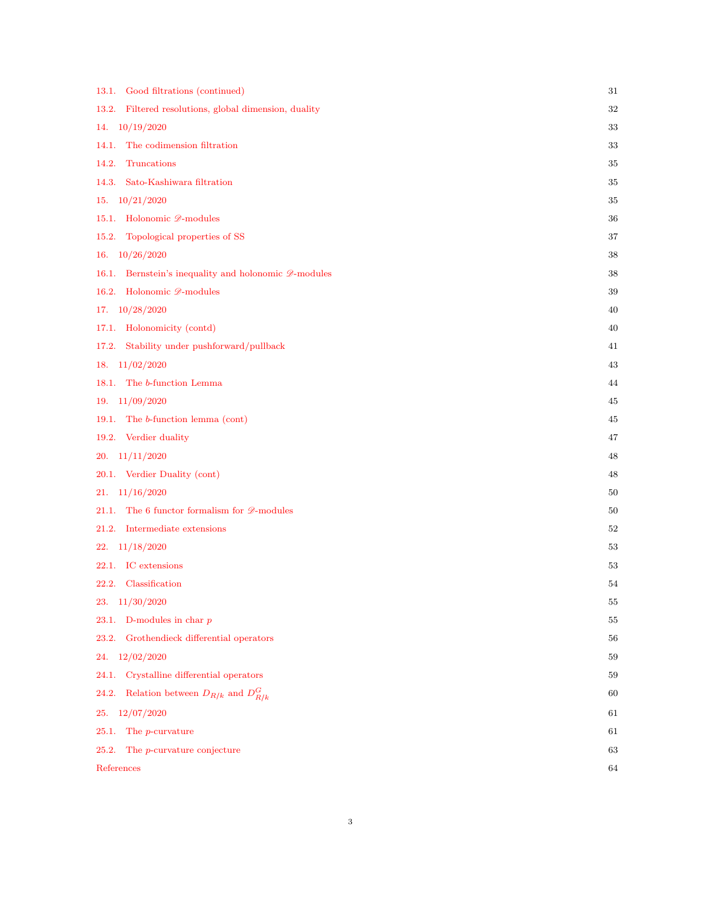| Good filtrations (continued)<br>13.1.                                      | 31 |
|----------------------------------------------------------------------------|----|
| Filtered resolutions, global dimension, duality<br>13.2.                   | 32 |
| 10/19/2020<br>14.                                                          | 33 |
| The codimension filtration<br>14.1.                                        | 33 |
| 14.2.<br>Truncations                                                       | 35 |
| Sato-Kashiwara filtration<br>14.3.                                         | 35 |
| 10/21/2020<br>15.                                                          | 35 |
| Holonomic <i>D</i> -modules<br>15.1.                                       | 36 |
| Topological properties of SS<br>15.2.                                      | 37 |
| 10/26/2020<br>16.                                                          | 38 |
| Bernstein's inequality and holonomic $\mathscr{D}\text{-modules}$<br>16.1. | 38 |
| 16.2. Holonomic $\mathscr{D}\text{-modules}$                               | 39 |
| 10/28/2020<br>17.                                                          | 40 |
| Holonomicity (contd)<br>17.1.                                              | 40 |
| Stability under pushforward/pullback<br>17.2.                              | 41 |
| 11/02/2020<br>18.                                                          | 43 |
| 18.1. The b-function Lemma                                                 | 44 |
| 19. $11/09/2020$                                                           | 45 |
| The b-function lemma (cont)<br>19.1.                                       | 45 |
| 19.2. Verdier duality                                                      | 47 |
| 11/11/2020<br>20.                                                          | 48 |
| 20.1. Verdier Duality (cont)                                               | 48 |
| 11/16/2020<br>21.                                                          | 50 |
| The 6 functor formalism for $\mathscr{D}\text{-modules}$<br>21.1.          | 50 |
| Intermediate extensions<br>21.2.                                           | 52 |
| 11/18/2020<br>22.                                                          | 53 |
| 22.1. IC extensions                                                        | 53 |
| Classification<br>22.2.                                                    | 54 |
| 23.<br>11/30/2020                                                          | 55 |
| D-modules in char $p$<br>23.1.                                             | 55 |
| Grothendieck differential operators<br>23.2.                               | 56 |
| 12/02/2020<br>24.                                                          | 59 |
| Crystalline differential operators<br>24.1.                                | 59 |
| Relation between $D_{R/k}$ and $D_{R/k}^G$<br>24.2.                        | 60 |
| 12/07/2020<br>25.                                                          | 61 |
| The <i>p</i> -curvature<br>25.1.                                           | 61 |
| 25.2.<br>The <i>p</i> -curvature conjecture                                | 63 |
| References                                                                 | 64 |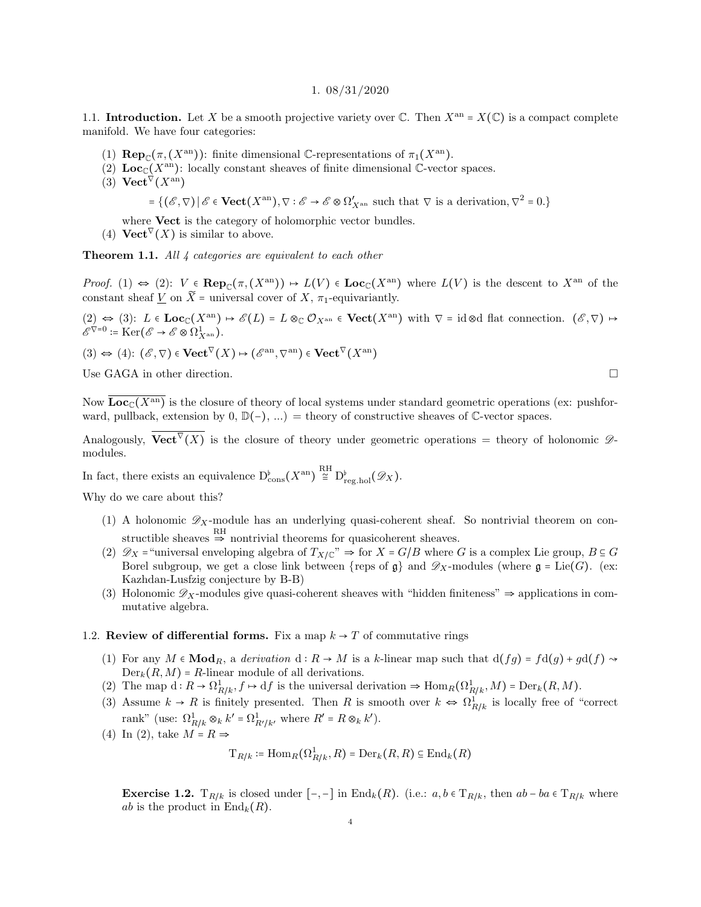#### 1. 08/31/2020

<span id="page-3-1"></span><span id="page-3-0"></span>1.1. Introduction. Let X be a smooth projective variety over  $\mathbb C$ . Then  $X^{\text{an}} = X(\mathbb C)$  is a compact complete manifold. We have four categories:

- (1)  $\mathbf{Rep}_{\mathbb{C}}(\pi, (X^{\mathrm{an}}))$ : finite dimensional C-representations of  $\pi_1(X^{\mathrm{an}})$ .
- (2)  $\text{Loc}_{\mathbb{C}}(X^{\text{an}})$ : locally constant sheaves of finite dimensional C-vector spaces.
- (3)  $\operatorname{{\bf Vect}}^{\nabla}(X^{\rm an})$

$$
= \{(\mathscr{E}, \nabla) \,|\, \mathscr{E} \in \mathbf{Vect}(X^{\mathrm{an}}), \nabla : \mathscr{E} \to \mathscr{E} \otimes \Omega'_{X^{\mathrm{an}}} \text{ such that } \nabla \text{ is a derivation}, \nabla^2 = 0. \}
$$

where **Vect** is the category of holomorphic vector bundles.

(4) **Vect**<sup> $\nabla$ </sup>(*X*) is similar to above.

Theorem 1.1. All 4 categories are equivalent to each other

Proof. (1)  $\Leftrightarrow$  (2):  $V \in \mathbf{Rep}_{\mathbb{C}}(\pi,(X^{\mathrm{an}})) \mapsto L(V) \in \mathbf{Loc}_{\mathbb{C}}(X^{\mathrm{an}})$  where  $L(V)$  is the descent to  $X^{\mathrm{an}}$  of the constant sheaf  $\underline{V}$  on  $\widetilde{X}$  = universal cover of  $X$ ,  $\pi_1$ -equivariantly.

(2)  $\Leftrightarrow$  (3): L  $\in$  Loc<sub>C</sub>(X<sup>an</sup>)  $\mapsto$   $\mathscr{E}(L) = L \otimes_{\mathbb{C}} \mathcal{O}_{X^{\text{an}}} \in \textbf{Vect}(X^{\text{an}})$  with  $\nabla = \text{id} \otimes \text{d}$  flat connection.  $(\mathscr{E}, \nabla) \mapsto$  $\mathscr{E}^{\nabla=0} \coloneqq \mathrm{Ker}(\mathscr{E} \to \mathscr{E} \otimes \Omega^1_{X^{\mathrm{an}}}).$ 

 $(3) \Leftrightarrow (4) : (\mathscr{E}, \nabla) \in \mathbf{Vect}^{\nabla}(X) \mapsto (\mathscr{E}^{\rm an}, \nabla^{\rm an}) \in \mathbf{Vect}^{\nabla}(X^{\rm an})$ 

Use GAGA in other direction.  $\Box$ 

Now  $\overline{\text{Loc}_{\mathbb{C}}(X^{\text{an}})}$  is the closure of theory of local systems under standard geometric operations (ex: pushforward, pullback, extension by 0,  $\mathbb{D}(-)$ , ...) = theory of constructive sheaves of  $\mathbb{C}$ -vector spaces.

Analogously,  $\mathbf{Vect}^{\nabla}(X)$  is the closure of theory under geometric operations = theory of holonomic  $\mathscr{D}$ modules.

In fact, there exists an equivalence  $D^{\flat}_{\text{cons}}(X^{\text{an}}) \stackrel{\text{RH}}{\cong} D^{\flat}_{\text{reg-hol}}(\mathscr{D}_X)$ .

Why do we care about this?

- (1) A holonomic  $\mathscr{D}_X$ -module has an underlying quasi-coherent sheaf. So nontrivial theorem on constructible sheaves  $\overset{\text{RH}}{\Rightarrow}$  nontrivial theorems for quasicoherent sheaves.
- (2)  $\mathscr{D}_X$  = "universal enveloping algebra of  $T_{X/\mathbb{C}}$ "  $\Rightarrow$  for  $X = G/B$  where G is a complex Lie group,  $B \subseteq G$ Borel subgroup, we get a close link between {reps of  $\mathfrak{g}$ } and  $\mathscr{D}_X$ -modules (where  $\mathfrak{g} = \text{Lie}(G)$ . (ex: Kazhdan-Lusfzig conjecture by B-B)
- (3) Holonomic  $\mathscr{D}_X$ -modules give quasi-coherent sheaves with "hidden finiteness"  $\Rightarrow$  applications in commutative algebra.

## <span id="page-3-2"></span>1.2. Review of differential forms. Fix a map  $k \rightarrow T$  of commutative rings

- (1) For any  $M \in \mathbf{Mod}_R$ , a derivation  $d : R \to M$  is a k-linear map such that  $d(fg) = fd(g) + gd(f) \rightsquigarrow$  $Der_k(R,M) = R$ -linear module of all derivations.
- (2) The map  $d: R \to \Omega^1_{R/k}$ ,  $f \to df$  is the universal derivation  $\Rightarrow \text{Hom}_R(\Omega^1_{R/k}, M) = \text{Der}_k(R, M)$ .
- (3) Assume  $k \to R$  is finitely presented. Then R is smooth over  $k \Leftrightarrow \Omega_{R/k}^1$  is locally free of "correct" rank" (use:  $\Omega^1_{R/k} \otimes_k k' = \Omega^1_{R'/k'}$ , where  $R' = R \otimes_k k'$ ).
- (4) In (2), take  $M = R \Rightarrow$

$$
\mathrm{T}_{R/k} \coloneqq \mathrm{Hom}_R(\Omega^1_{R/k},R) = \mathrm{Der}_k(R,R) \subseteq \mathrm{End}_k(R)
$$

**Exercise 1.2.**  $T_{R/k}$  is closed under  $[-,-]$  in  $\text{End}_k(R)$ . (i.e.:  $a, b \in T_{R/k}$ , then  $ab - ba \in T_{R/k}$  where *ab* is the product in  $\text{End}_k(R)$ .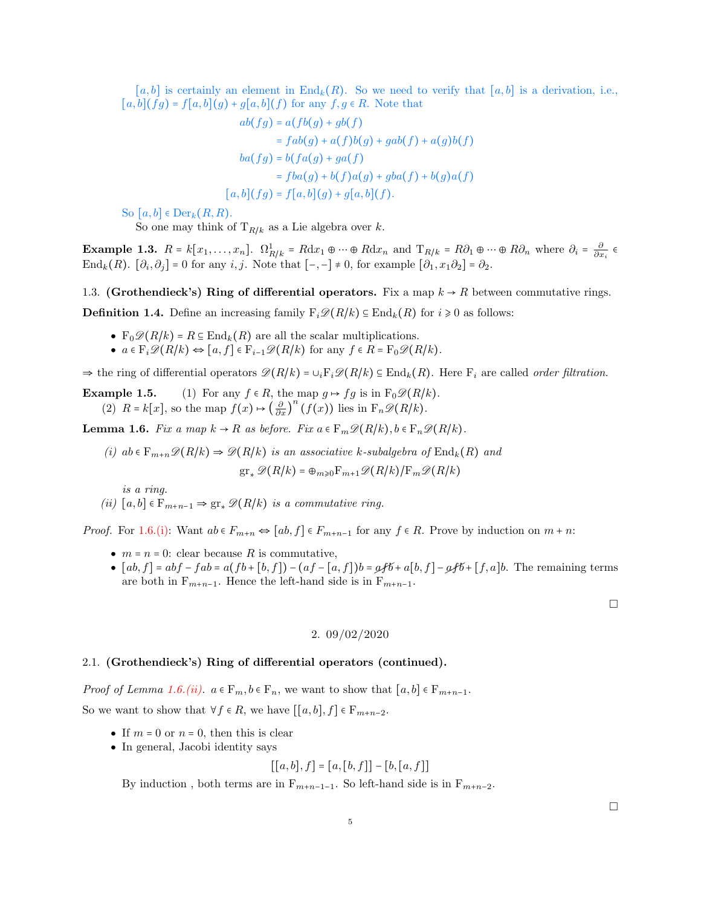[a, b] is certainly an element in  $\text{End}_{k}(R)$ . So we need to verify that [a, b] is a derivation, i.e.,  $[a, b](fg) = f[a, b](g) + g[a, b](f)$  for any  $f, g \in R$ . Note that

$$
ab(fg) = a(fb(g) + gb(f)
$$
  
= 
$$
fab(g) + a(f)b(g) + gab(f) + a(g)b(f)
$$
  

$$
ba(fg) = b(fa(g) + ga(f)
$$
  
= 
$$
fba(g) + b(f)a(g) + gba(f) + b(g)a(f)
$$
  
[a, b](fg) = 
$$
f[a, b](g) + g[a, b](f)
$$
.

So  $[a, b] \in Der_k(R, R)$ .

So one may think of  $T_{R/k}$  as a Lie algebra over k.

Example 1.3.  $R = k[x_1, \ldots, x_n]$ .  $\Omega_{R/k}^1 = R dx_1 \oplus \cdots \oplus R dx_n$  and  $T_{R/k} = R\partial_1 \oplus \cdots \oplus R\partial_n$  where  $\partial_i = \frac{\partial}{\partial x_i} \in$ End<sub>k</sub> $(R)$ .  $[\partial_i, \partial_j] = 0$  for any  $i, j$ . Note that  $[-,-] \neq 0$ , for example  $[\partial_1, x_1 \partial_2] = \partial_2$ .

<span id="page-4-0"></span>1.3. (Grothendieck's) Ring of differential operators. Fix a map  $k \to R$  between commutative rings.

**Definition 1.4.** Define an increasing family  $F_i\mathcal{D}(R/k) \subseteq \text{End}_k(R)$  for  $i \geq 0$  as follows:

- $F_0 \mathscr{D}(R/k) = R \subseteq \text{End}_k(R)$  are all the scalar multiplications.
- $a \in \mathbb{F}_i \mathscr{D}(R/k) \Leftrightarrow [a, f] \in \mathbb{F}_{i-1} \mathscr{D}(R/k)$  for any  $f \in R = \mathbb{F}_0 \mathscr{D}(R/k)$ .

 $\Rightarrow$  the ring of differential operators  $\mathscr{D}(R/k) = \cup_i F_i \mathscr{D}(R/k) \subseteq \text{End}_k(R)$ . Here  $F_i$  are called *order filtration*.

**Example 1.5.** (1) For any  $f \in R$ , the map  $g \mapsto fg$  is in  $F_0 \mathscr{D}(R/k)$ . (2)  $R = k[x]$ , so the map  $f(x) \mapsto \left(\frac{\partial}{\partial x}\right)^n (f(x))$  lies in  $F_n \mathscr{D}(R/k)$ .

<span id="page-4-5"></span>**Lemma 1.6.** Fix a map  $k \to R$  as before. Fix  $a \in \mathbb{F}_m \mathscr{D}(R/k)$ ,  $b \in \mathbb{F}_n \mathscr{D}(R/k)$ .

<span id="page-4-3"></span>(i) ab  $\in \mathbb{F}_{m+n}\mathscr{D}(R/k) \Rightarrow \mathscr{D}(R/k)$  is an associative k-subalgebra of  $\text{End}_k(R)$  and  $gr_* \mathscr{D}(R/k) = \oplus_{m \geq 0} F_{m+1} \mathscr{D}(R/k) / F_m \mathscr{D}(R/k)$ 

is a ring.

<span id="page-4-4"></span>(ii)  $[a, b] \in F_{m+n-1} \Rightarrow \text{gr}_{*} \mathscr{D}(R/k)$  is a commutative ring.

*Proof.* For [1.6.\(i\):](#page-4-3) Want  $ab \in F_{m+n} \Leftrightarrow [ab, f] \in F_{m+n-1}$  for any  $f \in R$ . Prove by induction on  $m+n$ :

- $m = n = 0$ : clear because R is commutative,
- $[ab, f] = abf fab = a(fb + [b, f]) (af [a, f])b = afb + a[b, f] afb + [f, a]b$ . The remaining terms are both in  $F_{m+n-1}$ . Hence the left-hand side is in  $F_{m+n-1}$ .

2. 09/02/2020

#### <span id="page-4-2"></span><span id="page-4-1"></span>2.1. (Grothendieck's) Ring of differential operators (continued).

*Proof of Lemma [1.6.\(ii\).](#page-4-4)*  $a \in F_m$ ,  $b \in F_n$ , we want to show that  $[a, b] \in F_{m+n-1}$ .

So we want to show that  $\forall f \in R$ , we have  $[[a, b], f] \in F_{m+n-2}$ .

- If  $m = 0$  or  $n = 0$ , then this is clear
- In general, Jacobi identity says

$$
[[a,b],f] = [a,[b,f]] - [b,[a,f]]
$$

By induction, both terms are in  $F_{m+n-1-1}$ . So left-hand side is in  $F_{m+n-2}$ .

 $\Box$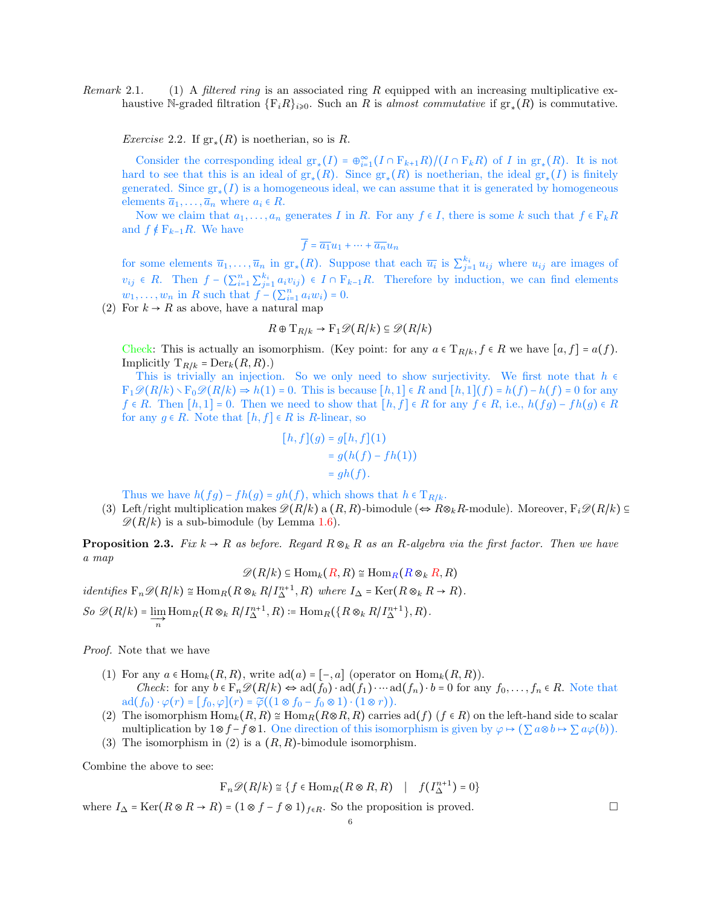Remark 2.1. (1) A filtered ring is an associated ring R equipped with an increasing multiplicative exhaustive N-graded filtration  $\{F_iR\}_{i\geqslant 0}$ . Such an R is almost commutative if  $gr_*(R)$  is commutative.

*Exercise* 2.2. If  $gr_*(R)$  is noetherian, so is R.

Consider the corresponding ideal  $gr_*(I) = \bigoplus_{i=1}^{\infty} (I \cap F_{k+1}R)/(I \cap F_kR)$  of I in  $gr_*(R)$ . It is not hard to see that this is an ideal of  $gr_*(R)$ . Since  $gr_*(R)$  is noetherian, the ideal  $gr_*(I)$  is finitely generated. Since  $gr_*(I)$  is a homogeneous ideal, we can assume that it is generated by homogeneous elements  $\overline{a}_1, \ldots, \overline{a}_n$  where  $a_i \in R$ .

Now we claim that  $a_1, \ldots, a_n$  generates I in R. For any  $f \in I$ , there is some k such that  $f \in F_k R$ and  $f \notin F_{k-1}R$ . We have

$$
\overline{f} = \overline{a_1}u_1 + \dots + \overline{a_n}u_n
$$

for some elements  $\overline{u}_1,\ldots,\overline{u}_n$  in  $\operatorname{gr}_*(R)$ . Suppose that each  $\overline{u}_i$  is  $\sum_{j=1}^{k_i} u_{ij}$  where  $u_{ij}$  are images of  $v_{ij}$  ∈ R. Then  $f - (\sum_{i=1}^n \sum_{j=1}^{k_i} a_i v_{ij})$  ∈  $I \cap F_{k-1}R$ . Therefore by induction, we can find elements  $w_1, \ldots, w_n$  in R such that  $f - (\sum_{i=1}^n a_i w_i) = 0$ .

(2) For  $k \to R$  as above, have a natural map

$$
R \oplus T_{R/k} \to F_1 \mathscr{D}(R/k) \subseteq \mathscr{D}(R/k)
$$

Check: This is actually an isomorphism. (Key point: for any  $a \in T_{R/k}$ ,  $f \in R$  we have  $[a, f] = a(f)$ . Implicitly  $T_{R/k} = \text{Der}_k(R, R)$ .)

This is trivially an injection. So we only need to show surjectivity. We first note that  $h \in$  $F_1\mathcal{D}(R/k)\setminus F_0\mathcal{D}(R/k)\Rightarrow h(1)=0$ . This is because  $[h,1]\in R$  and  $[h,1](f)=h(f)-h(f)=0$  for any  $f \in R$ . Then  $[h, 1] = 0$ . Then we need to show that  $[h, f] \in R$  for any  $f \in R$ , i.e.,  $h(fg) - fh(g) \in R$ for any  $g \in R$ . Note that  $[h, f] \in R$  is R-linear, so

$$
[h, f](g) = g[h, f](1)
$$
  
=  $g(h(f) - fh(1))$   
=  $gh(f)$ .

Thus we have  $h(fg) - fh(g) = gh(f)$ , which shows that  $h \in T_{R/k}$ .

(3) Left/right multiplication makes  $\mathscr{D}(R/k)$  a  $(R, R)$ -bimodule ( $\Leftrightarrow R\otimes_k R$ -module). Moreover,  $F_i\mathscr{D}(R/k) \subseteq$  $\mathscr{D}(R/k)$  is a sub-bimodule (by Lemma [1.6\)](#page-4-5).

**Proposition 2.3.** Fix  $k \to R$  as before. Regard  $R \otimes_k R$  as an R-algebra via the first factor. Then we have a map

 $\mathscr{D}(R/k) \subseteq \text{Hom}_k(R, R) \cong \text{Hom}_R(R \otimes_k R, R)$ 

identifies  $F_n \mathscr{D}(R/k) \cong \text{Hom}_R(R \otimes_k R/I^{n+1}_{\Delta}, R)$  where  $I_{\Delta} = \text{Ker}(R \otimes_k R \to R)$ .

So  $\mathscr{D}(R/k) = \lim_{n \to \infty} \text{Hom}_{R}(R \otimes_{k} R/I_{\Delta}^{n+1}, R) := \text{Hom}_{R}(\lbrace R \otimes_{k} R/I_{\Delta}^{n+1} \rbrace, R).$ 

Proof. Note that we have

- (1) For any  $a \in \text{Hom}_k(R, R)$ , write  $\text{ad}(a) = [-, a]$  (operator on  $\text{Hom}_k(R, R)$ ). Check: for any  $b \in \mathbb{F}_n \mathscr{D}(R/k) \Leftrightarrow ad(f_0) \cdot ad(f_1) \cdot \cdots ad(f_n) \cdot b = 0$  for any  $f_0, \ldots, f_n \in R$ . Note that  $\mathrm{ad}(f_0)\cdot\varphi(r)=[f_0,\varphi](r)=\widetilde{\varphi}((1\otimes f_0-f_0\otimes 1)\cdot(1\otimes r)).$
- (2) The isomorphism  $\text{Hom}_k(R, R) \cong \text{Hom}_R(R \otimes R, R)$  carries ad(f)  $(f \in R)$  on the left-hand side to scalar multiplication by  $1 \otimes f - f \otimes 1$ . One direction of this isomorphism is given by  $\varphi \mapsto (\sum a \otimes b \mapsto \sum a \varphi(b))$ .
- (3) The isomorphism in (2) is a  $(R, R)$ -bimodule isomorphism.

Combine the above to see:

$$
\mathcal{F}_n \mathscr{D}(R/k) \cong \{ f \in \text{Hom}_R(R \otimes R, R) \mid f(I_{\Delta}^{n+1}) = 0 \}
$$

where  $I_{\Delta} = \text{Ker}(R \otimes R \to R) = (1 \otimes f - f \otimes 1)_{f \in R}$ . So the proposition is proved.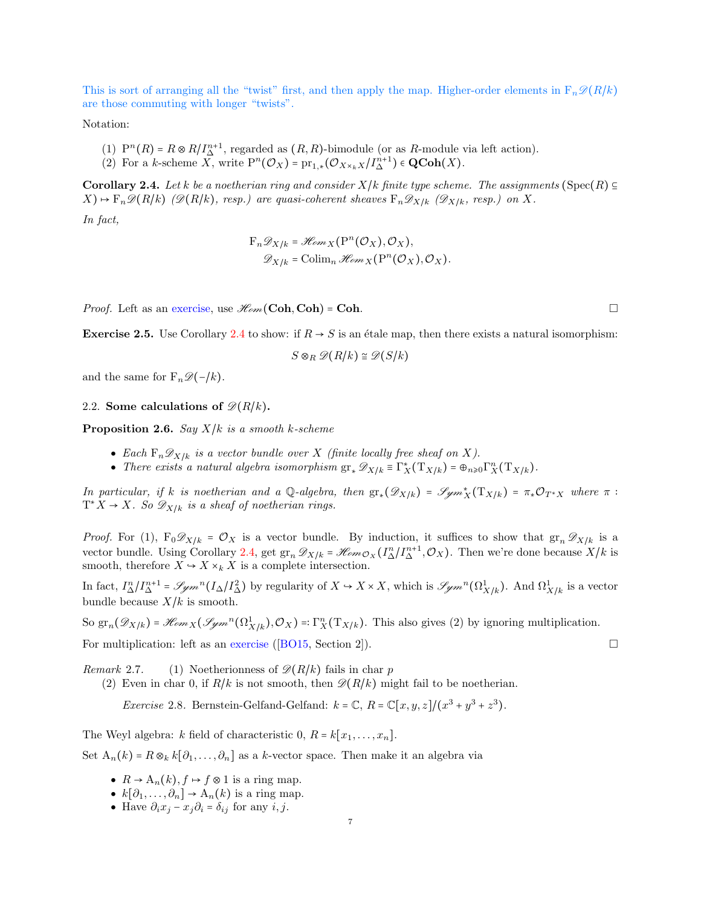This is sort of arranging all the "twist" first, and then apply the map. Higher-order elements in  $F_n\mathscr{D}(R/k)$ are those commuting with longer "twists".

Notation:

- (1)  $P^{n}(R) = R \otimes R/I_{\Delta}^{n+1}$ , regarded as  $(R, R)$ -bimodule (or as R-module via left action).
- (2) For a k-scheme  $\overline{X}$ , write  $P^{n}(\mathcal{O}_{X}) = pr_{1,*}(\mathcal{O}_{X\times_{k}X}/I_{\Delta}^{n+1}) \in \mathbf{QCoh}(X)$ .

<span id="page-6-1"></span>Corollary 2.4. Let k be a noetherian ring and consider  $X/k$  finite type scheme. The assignments (Spec(R)  $\subseteq$  $(X) \mapsto F_n \mathscr{D}(R/k)$  ( $\mathscr{D}(R/k)$ , resp.) are quasi-coherent sheaves  $F_n \mathscr{D}_{X/k}$  ( $\mathscr{D}_{X/k}$ , resp.) on X.

In fact,

$$
F_n \mathscr{D}_{X/k} = \mathscr{H}om_X(P^n(\mathcal{O}_X), \mathcal{O}_X),
$$
  

$$
\mathscr{D}_{X/k} = \text{Colim}_n \mathscr{H}om_X(P^n(\mathcal{O}_X), \mathcal{O}_X).
$$

*Proof.* Left as an exercise, use  $\mathcal{H}_{om}(\mathbf{Coh}, \mathbf{Coh}) = \mathbf{Coh}$ .

**Exercise 2.5.** Use Corollary [2.4](#page-6-1) to show: if  $R \rightarrow S$  is an étale map, then there exists a natural isomorphism:

$$
S \otimes_R \mathscr{D}(R/k) \cong \mathscr{D}(S/k)
$$

and the same for  $F_n\mathscr{D}(-/k)$ .

<span id="page-6-0"></span>2.2. Some calculations of  $\mathscr{D}(R/k)$ .

**Proposition 2.6.** Say  $X/k$  is a smooth k-scheme

- Each  $F_n \mathscr{D}_{X/k}$  is a vector bundle over X (finite locally free sheaf on X).
- There exists a natural algebra isomorphism  $gr_* \mathscr{D}_{X/k} \equiv \Gamma_X^*(T_{X/k}) = \bigoplus_{n \geq 0} \Gamma_X^n(T_{X/k}).$

In particular, if k is noetherian and a Q-algebra, then  $gr_*(\mathscr{D}_{X/k}) = \mathscr{J}_{\mathscr{Y}^m X}(T_{X/k}) = \pi_* \mathcal{O}_{T^* X}$  where  $\pi$ :  $T^*X \to X$ . So  $\mathscr{D}_{X/k}$  is a sheaf of noetherian rings.

*Proof.* For (1),  $F_0 \mathscr{D}_{X/k} = \mathscr{O}_X$  is a vector bundle. By induction, it suffices to show that  $gr_n \mathscr{D}_{X/k}$  is a vector bundle. Using Corollary [2.4,](#page-6-1) get  $gr_n \mathscr{D}_{X/k} = \mathscr{H}_{\ell m} \mathcal{O}_X (I_{\Delta}^{n}/I_{\Delta}^{n+1}, \mathcal{O}_X)$ . Then we're done because  $X/k$  is smooth, therefore  $X \hookrightarrow X \times_k X$  is a complete intersection.

In fact,  $I_{\Delta}^{n}/I_{\Delta}^{n+1} = \mathscr{S}_{\mathscr{Y}m}^{n}(I_{\Delta}/I_{\Delta}^{2})$  by regularity of  $X \hookrightarrow X \times X$ , which is  $\mathscr{S}_{\mathscr{Y}m}^{n}(\Omega_{X/k}^{1})$ . And  $\Omega_{X/k}^{1}$  is a vector bundle because  $X/k$  is smooth.

So  $gr_n(\mathscr{D}_{X/k}) = \mathscr{H}om_X(\mathscr{G}_{\mathscr{Y}m}^n(\Omega^1_{X/k}), \mathcal{O}_X) =: \Gamma_X^n(T_{X/k})$ . This also gives (2) by ignoring multiplication.

For multiplication: left as an exercise ([\[BO15,](#page-63-1) Section 2]).

Remark 2.7. (1) Noetherionness of  $\mathcal{D}(R/k)$  fails in char p (2) Even in char 0, if  $R/k$  is not smooth, then  $\mathscr{D}(R/k)$  might fail to be noetherian.

*Exercise* 2.8. Bernstein-Gelfand-Gelfand:  $k = \mathbb{C}, R = \mathbb{C}[x, y, z]/(x^3 + y^3 + z^3)$ .

The Weyl algebra: k field of characteristic 0,  $R = k[x_1, \ldots, x_n]$ . Set  $A_n(k) = R \otimes_k k[\partial_1, \ldots, \partial_n]$  as a k-vector space. Then make it an algebra via

- $R \to A_n(k)$ ,  $f \mapsto f \otimes 1$  is a ring map.
- $k[\partial_1,\ldots,\partial_n] \to A_n(k)$  is a ring map.
- Have  $\partial_i x_j x_j \partial_i = \delta_{ij}$  for any  $i, j$ .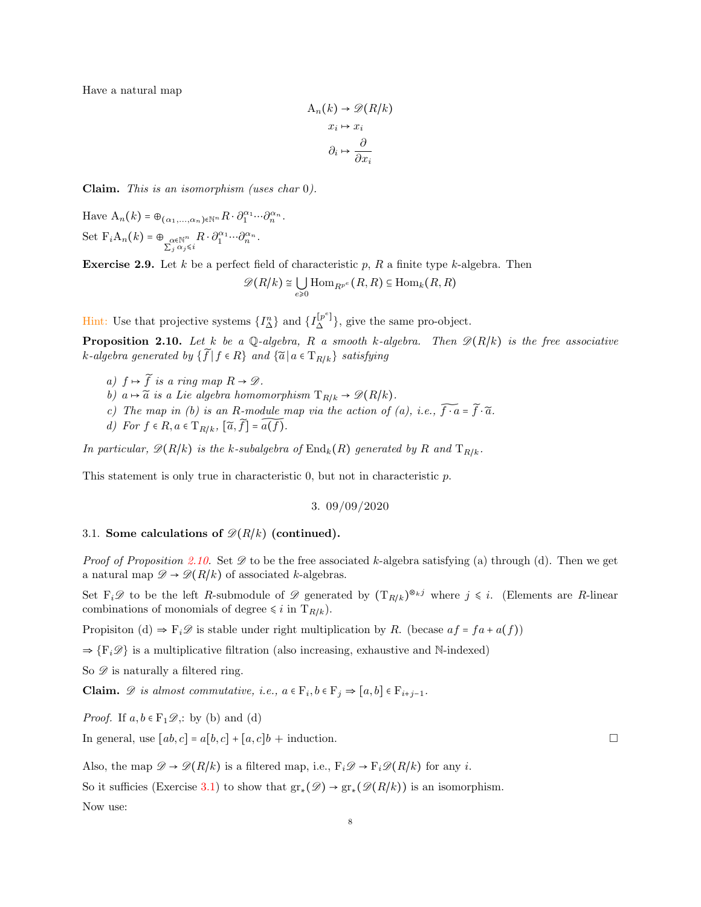Have a natural map

$$
A_n(k) \to \mathcal{D}(R/k)
$$

$$
x_i \mapsto x_i
$$

$$
\partial_i \mapsto \frac{\partial}{\partial x_i}
$$

Claim. This is an isomorphism (uses char 0).

Have  $A_n(k) = \bigoplus_{(\alpha_1,\ldots,\alpha_n)\in \mathbb{N}^n} R \cdot \partial_1^{\alpha_1}\cdots \partial_n^{\alpha_n}.$ Set  $F_i A_n(k) = \bigoplus_{\substack{\alpha \in \mathbb{N}^n \\ \sum_j \alpha_j \leq i}} R \cdot \partial_1^{\alpha_1} \cdots \partial_n^{\alpha_n}.$ 

**Exercise 2.9.** Let k be a perfect field of characteristic p, R a finite type k-algebra. Then

$$
\mathscr{D}(R/k) \cong \bigcup_{e \geq 0} \text{Hom}_{R^{p^e}}(R, R) \subseteq \text{Hom}_k(R, R)
$$

Hint: Use that projective systems  $\{I_{\Delta}^{n}\}\$  and  $\{I_{\Delta}^{[p^{e}]}\}\$ , give the same pro-object.

<span id="page-7-2"></span>**Proposition 2.10.** Let k be a Q-algebra, R a smooth k-algebra. Then  $\mathscr{D}(R/k)$  is the free associative k-algebra generated by  $\{\widetilde{f} \mid f \in R\}$  and  $\{\widetilde{a} \mid a \in T_{R/k}\}$  satisfying

- a)  $f \mapsto \widetilde{f}$  is a ring map  $R \to \mathscr{D}$ .
- b)  $a \mapsto \tilde{a}$  is a Lie algebra homomorphism  $T_{R/k} \rightarrow \mathscr{D}(R/k)$ .
- c) The map in (b) is an R-module map via the action of (a), i.e.,  $\widetilde{f \cdot a} = \widetilde{f} \cdot \widetilde{a}$ .
- d) For  $f \in R$ ,  $a \in T_{R/k}$ ,  $[\widetilde{a}, \widetilde{f}] = \widetilde{a(f)}$ .

In particular,  $\mathcal{D}(R/k)$  is the k-subalgebra of  $\text{End}_k(R)$  generated by R and  $T_{R/k}$ .

<span id="page-7-0"></span>This statement is only true in characteristic 0, but not in characteristic p.

$$
3.\, 09/09/2020
$$

## <span id="page-7-1"></span>3.1. Some calculations of  $\mathcal{D}(R/k)$  (continued).

*Proof of Proposition [2.10.](#page-7-2)* Set  $\mathscr D$  to be the free associated k-algebra satisfying (a) through (d). Then we get a natural map  $\mathscr{D} \to \mathscr{D}(R/k)$  of associated k-algebras.

Set  $F_i\mathscr{D}$  to be the left R-submodule of  $\mathscr{D}$  generated by  $(T_{R/k})^{\otimes_k j}$  where  $j \leq i$ . (Elements are R-linear combinations of monomials of degree  $\leq i$  in  $T_{R/k}$ .

Propisiton (d)  $\Rightarrow$  F<sub>i</sub> $\mathscr D$  is stable under right multiplication by R. (becase  $af = fa + a(f)$ )

 $\Rightarrow \{F_i \mathscr{D}\}\$ is a multiplicative filtration (also increasing, exhaustive and N-indexed)

So  $\mathscr{D}$  is naturally a filtered ring.

**Claim.**  $\mathscr{D}$  is almost commutative, i.e.,  $a \in \mathbf{F}_i$ ,  $b \in \mathbf{F}_j \Rightarrow [a, b] \in \mathbf{F}_{i+j-1}$ .

*Proof.* If  $a, b \in F_1 \mathcal{D}$ , by (b) and (d)

In general, use  $[a,b,c] = a[b,c] + [a,c]b + \text{induction}.$ 

Also, the map  $\mathscr{D} \to \mathscr{D}(R/k)$  is a filtered map, i.e.,  $F_i \mathscr{D} \to F_i \mathscr{D}(R/k)$  for any *i*.

So it sufficies (Exercise [3.1\)](#page-8-1) to show that  $gr_*(\mathscr{D}) \to gr_*(\mathscr{D}(R/k))$  is an isomorphism.

Now use: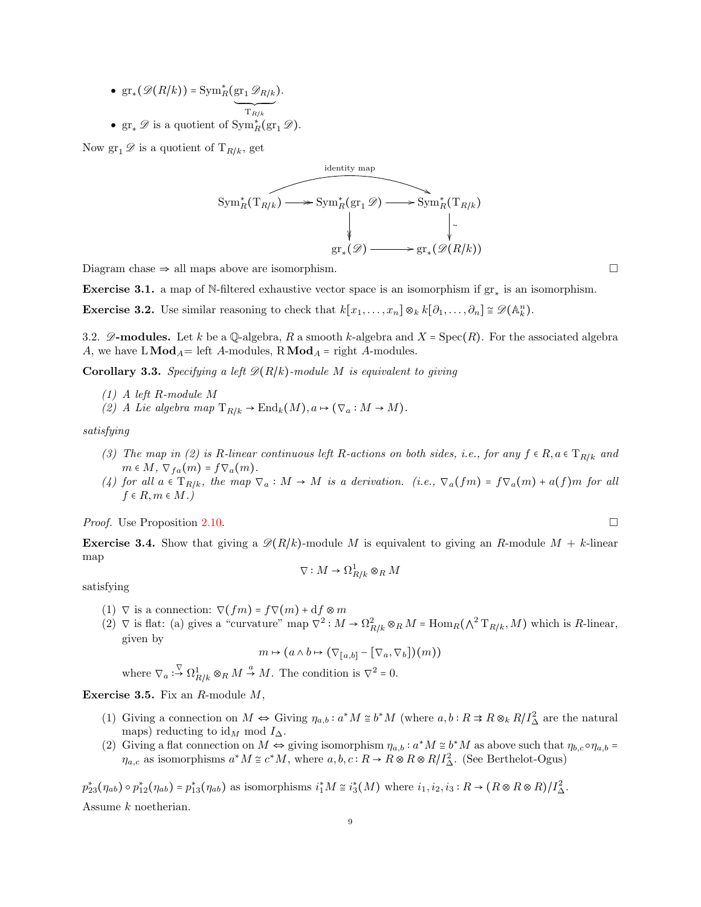- $gr_*(\mathscr{D}(R/k)) = Sym_R^*(gr_1 \mathscr{D}_{R/k})$  $\overline{\rule{0pt}{0pt}}$  $\mathrm{T}_{R/k}$ ).
- $gr_* \mathscr{D}$  is a quotient of  $Sym_R^*(gr_1 \mathscr{D})$ .

Now  $\operatorname{gr}_1 \mathscr{D}$  is a quotient of  $T_{R/k}$ , get

Sym<sub>R</sub><sup>\*</sup>(T<sub>R/k</sub>) 
$$
\longrightarrow
$$
 Sym<sub>R</sub><sup>\*</sup>(gr<sub>1</sub>  $\mathscr{D}$ )  $\longrightarrow$  Sym<sub>R</sub><sup>\*</sup>(T<sub>R/k</sub>)  
 $\downarrow$   
gr<sub>\*</sub> $(\mathscr{D}) \longrightarrow$  gr<sub>\*</sub> $(\mathscr{D}(R/k))$ 

Diagram chase  $\Rightarrow$  all maps above are isomorphism.

<span id="page-8-1"></span>Exercise 3.1. a map of N-filtered exhaustive vector space is an isomorphism if  $gr_*$  is an isomorphism.

**Exercise 3.2.** Use similar reasoning to check that  $k[x_1, \ldots, x_n] \otimes_k k[\partial_1, \ldots, \partial_n] \cong \mathscr{D}(\mathbb{A}_k^n)$ .

<span id="page-8-0"></span>3.2.  $\mathscr{D}\text{-modules.}$  Let k be a Q-algebra, R a smooth k-algebra and X = Spec(R). For the associated algebra A, we have  $LMod_A = \text{left } A\text{-modules}, \text{RMod}_A = \text{right } A\text{-modules}.$ 

**Corollary 3.3.** Specifying a left  $\mathcal{D}(R/k)$ -module M is equivalent to giving

- (1) A left R-module M
- (2) A Lie algebra map  $T_{R/k} \to \text{End}_k(M), a \mapsto (\nabla_a : M \to M).$

satisfying

- (3) The map in (2) is R-linear continuous left R-actions on both sides, i.e., for any  $f \in R$ ,  $a \in T_{R/k}$  and  $m \in M$ ,  $\nabla_{fa}(m) = f \nabla_a(m)$ .
- (4) for all  $a \in T_{R/k}$ , the map  $\nabla_a : M \to M$  is a derivation. (i.e.,  $\nabla_a(fm) = f \nabla_a(m) + a(f)m$  for all  $f \in R, m \in M$ .)

*Proof.* Use Proposition [2.10.](#page-7-2)

**Exercise 3.4.** Show that giving a  $\mathcal{D}(R/k)$ -module M is equivalent to giving an R-module  $M + k$ -linear map

$$
\nabla: M \to \Omega^1_{R/k} \otimes_R M
$$

satisfying

- (1)  $\nabla$  is a connection:  $\nabla(f_m) = f \nabla(m) + df \otimes m$
- (2)  $\nabla$  is flat: (a) gives a "curvature" map  $\nabla^2 : M \to \Omega_{R/k}^2 \otimes_R M = \text{Hom}_R(\Lambda^2 T_{R/k}, M)$  which is R-linear, given by

$$
m \mapsto (a \wedge b \mapsto (\nabla_{[a,b]} - [\nabla_a, \nabla_b])(m))
$$

where  $\nabla_a : \overline{\Omega}_{R/k}^1 \otimes_R M \stackrel{a}{\rightarrow} M$ . The condition is  $\nabla^2 = 0$ .

Exercise 3.5. Fix an  $R$ -module  $M$ ,

- (1) Giving a connection on  $M \Leftrightarrow$  Giving  $\eta_{a,b}: a^*M \cong b^*M$  (where  $a,b: R \Rightarrow R \otimes_k R/I^2_{\Delta}$  are the natural maps) reducting to  $\mathrm{id}_M$  mod  $I_{\Delta}$ .
- (2) Giving a flat connection on  $M \Leftrightarrow$  giving isomorphism  $\eta_{a,b} : a^*M \cong b^*M$  as above such that  $\eta_{b,c} \circ \eta_{a,b} =$  $\eta_{a,c}$  as isomorphisms  $a^*M \cong c^*M$ , where  $a,b,c:R \to R \otimes R \otimes R/I_{\Delta}^2$ . (See Berthelot-Ogus)

 $p_{23}^*(\eta_{ab}) \circ p_{12}^*(\eta_{ab}) = p_{13}^*(\eta_{ab})$  as isomorphisms  $i_1^*M \cong i_3^*(M)$  where  $i_1, i_2, i_3: R \to (R \otimes R \otimes R)/I^2_{\Delta}$ .

Assume k noetherian.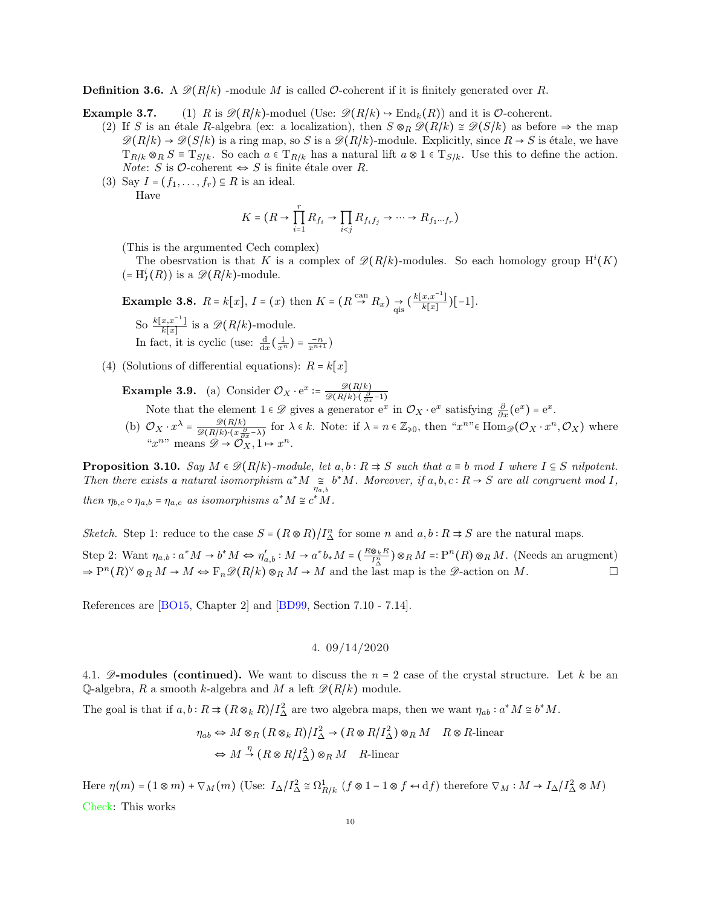**Definition 3.6.** A  $\mathscr{D}(R/k)$  -module M is called O-coherent if it is finitely generated over R.

**Example 3.7.** (1) R is  $\mathcal{D}(R/k)$ -moduel (Use:  $\mathcal{D}(R/k) \rightarrow \text{End}_k(R)$ ) and it is O-coherent.

- (2) If S is an étale R-algebra (ex: a localization), then  $S \otimes_R \mathcal{D}(R/k) \cong \mathcal{D}(S/k)$  as before  $\Rightarrow$  the map  $\mathscr{D}(R/k) \to \mathscr{D}(S/k)$  is a ring map, so S is a  $\mathscr{D}(R/k)$ -module. Explicitly, since  $R \to S$  is étale, we have  $T_{R/k} \otimes_R S \equiv T_{S/k}$ . So each  $a \in T_{R/k}$  has a natural lift  $a \otimes 1 \in T_{S/k}$ . Use this to define the action. *Note:* S is  $\mathcal{O}\text{-coherent} \Leftrightarrow S$  is finite étale over R.
- (3) Say  $I = (f_1, \ldots, f_r) \subseteq R$  is an ideal. Have

$$
K = (R \to \prod_{i=1}^r R_{f_i} \to \prod_{i < j} R_{f_i f_j} \to \cdots \to R_{f_1 \cdots f_r})
$$

(This is the argumented Cech complex)

The obesrvation is that K is a complex of  $\mathcal{D}(R/k)$ -modules. So each homology group  $H^{i}(K)$  $(=\mathrm{H}_I^i(R))$  is a  $\mathscr{D}(R/k)$ -module.

**Example 3.8.**  $R = k[x]$ ,  $I = (x)$  then  $K = (R \stackrel{\text{can}}{\rightarrow} R_x) \underset{\text{qis}}{\rightarrow} (\frac{k[x,x^{-1}]}{k[x]}$  $\frac{x,x}{k[x]}$ )[-1]. So  $\frac{k[x,x^{-1}]}{k[x]}$  $\frac{x,x-1}{k[x]}$  is a  $\mathscr{D}(R/k)$ -module. In fact, it is cyclic (use:  $\frac{d}{dx}(\frac{1}{x^n}) = \frac{-n}{x^{n+1}}$ )

(4) (Solutions of differential equations):  $R = k[x]$ 

**Example 3.9.** (a) Consider  $\mathcal{O}_X \cdot e^x = \frac{\mathscr{D}(R/k)}{\mathscr{D}(R/k) \cdot (2\pi)^2}$  $\mathscr{D}(R/k)\cdot(\frac{\partial}{\partial x}-1)$ 

Note that the element  $1 \in \mathcal{D}$  gives a generator  $e^x$  in  $\mathcal{O}_X \cdot e^x$  satisfying  $\frac{\partial}{\partial x} (e^x) = e^x$ .

(b)  $\mathcal{O}_X \cdot x^{\lambda} = \frac{\mathscr{D}(R/k)}{\mathscr{D}(R/k) \cdot (x \cdot \theta)}$  $\frac{\mathscr{D}(R/k)}{\mathscr{D}(R/k)\cdot(x\frac{\partial}{\partial x}-\lambda)}$  for  $\lambda \in k$ . Note: if  $\lambda = n \in \mathbb{Z}_{\geq 0}$ , then " $x^{n}$ "  $\in$   $\text{Hom}_{\mathscr{D}}(\mathcal{O}_X \cdot x^n, \mathcal{O}_X)$  where " $x^n$ " means  $\mathscr{D} \to \mathcal{O}_X^n, 1 \mapsto x^n$ .

**Proposition 3.10.** Say  $M \in \mathcal{D}(R/k)$ -module, let  $a, b : R \Rightarrow S$  such that  $a \equiv b \mod I$  where  $I \subseteq S$  nilpotent. Then there exists a natural isomorphism  $a^*M \underset{\eta_{a,b}}{\cong} b^*M$ . Moreover, if  $a,b,c:R \to S$  are all congruent mod I, then  $\eta_{b,c} \circ \eta_{a,b} = \eta_{a,c}$  as isomorphisms  $a^*M \cong c^*M$ .

Sketch. Step 1: reduce to the case  $S = (R \otimes R)/I_{\Delta}^n$  for some n and  $a, b : R \Rightarrow S$  are the natural maps.

Step 2: Want  $\eta_{a,b}: a^*M \to b^*M \Leftrightarrow \eta'_{a,b}: M \to a^*b_*M = (\frac{R\otimes_k R}{I^n_{\Delta}}) \otimes_R M =: \mathbb{P}^n(R) \otimes_R M$ . (Needs an arugment)  $\Rightarrow P^{n}(R)^{\vee} \otimes_{R} M \rightarrow M \Leftrightarrow F_{n} \mathscr{D}(R/k) \otimes_{R} M \rightarrow M$  and the last map is the  $\mathscr{D}\text{-action on } M$ .

<span id="page-9-0"></span>References are [\[BO15,](#page-63-1) Chapter 2] and [\[BD99,](#page-63-2) Section 7.10 - 7.14].

4. 09/14/2020

<span id="page-9-1"></span>4.1.  $\mathscr{D}\text{-modules}$  (continued). We want to discuss the  $n = 2$  case of the crystal structure. Let k be an Q-algebra, R a smooth k-algebra and M a left  $\mathcal{D}(R/k)$  module.

The goal is that if  $a, b: R \Rightarrow (R \otimes_k R)/I^2_{\Delta}$  are two algebra maps, then we want  $\eta_{ab}: a^*M \cong b^*M$ .

$$
\eta_{ab} \Leftrightarrow M \otimes_R (R \otimes_R R) / I^2_{\Delta} \to (R \otimes R) / I^2_{\Delta}) \otimes_R M \quad R \otimes R
$$
-linear  

$$
\Leftrightarrow M \stackrel{\eta}{\to} (R \otimes R) / I^2_{\Delta}) \otimes_R M \quad R
$$
-linear

Here  $\eta(m) = (1 \otimes m) + \nabla_M(m)$  (Use:  $I_{\Delta}/I_{\Delta}^2 \cong \Omega_{R/k}^1$  ( $f \otimes 1 - 1 \otimes f \leftrightarrow df$ ) therefore  $\nabla_M : M \to I_{\Delta}/I_{\Delta}^2 \otimes M$ ) Check: This works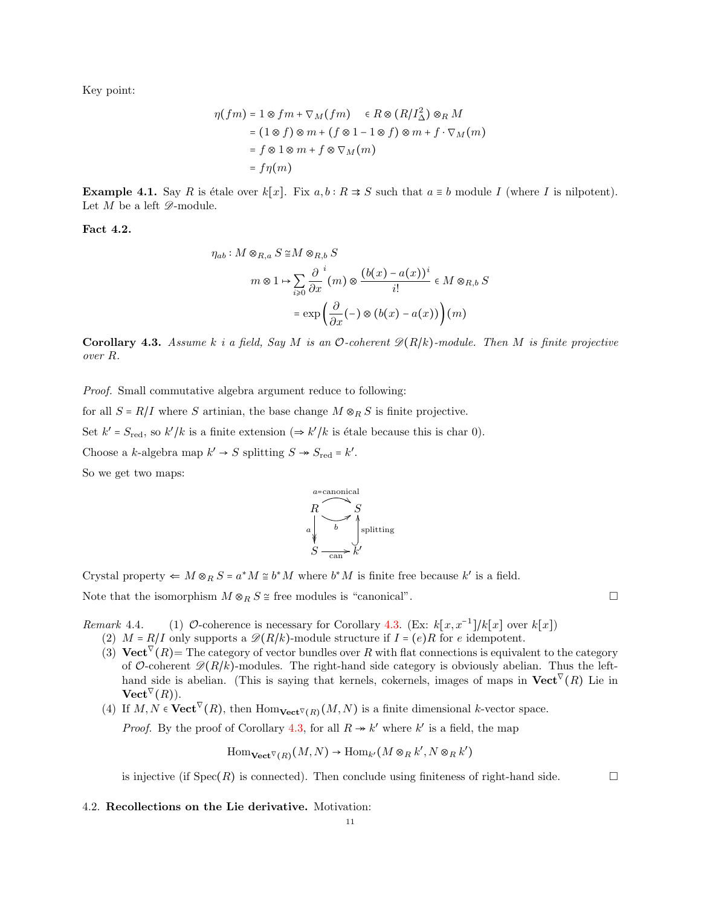Key point:

$$
\eta(fm) = 1 \otimes fm + \nabla_M(fm) \quad \in R \otimes (R/I_{\Delta}^2) \otimes_R M
$$

$$
= (1 \otimes f) \otimes m + (f \otimes 1 - 1 \otimes f) \otimes m + f \cdot \nabla_M(m)
$$

$$
= f \otimes 1 \otimes m + f \otimes \nabla_M(m)
$$

$$
= f\eta(m)
$$

**Example 4.1.** Say R is étale over  $k[x]$ . Fix  $a, b : R \Rightarrow S$  such that  $a \equiv b$  module I (where I is nilpotent). Let  $M$  be a left  $\mathscr{D}\text{-module.}$ 

Fact 4.2.

$$
\eta_{ab}: M \otimes_{R,a} S \cong M \otimes_{R,b} S
$$

$$
m \otimes 1 \mapsto \sum_{i \ge 0} \frac{\partial}{\partial x}^i (m) \otimes \frac{(b(x) - a(x))^i}{i!} \in M \otimes_{R,b} S
$$

$$
= \exp\left(\frac{\partial}{\partial x}(-) \otimes (b(x) - a(x))\right)(m)
$$

<span id="page-10-1"></span>**Corollary 4.3.** Assume k i a field, Say M is an O-coherent  $\mathcal{D}(R/k)$ -module. Then M is finite projective over R.

Proof. Small commutative algebra argument reduce to following:

for all  $S = R/I$  where S artinian, the base change  $M \otimes_R S$  is finite projective.

Set  $k' = S_{\text{red}}$ , so  $k'/k$  is a finite extension  $(\Rightarrow k'/k$  is étale because this is char 0).

Choose a k-algebra map  $k' \to S$  splitting  $S \to S_{\text{red}} = k'$ .

So we get two maps:



Crystal property  $\Leftarrow M \otimes_R S = a^*M \cong b^*M$  where  $b^*M$  is finite free because k' is a field.

Note that the isomorphism  $M \otimes_R S \cong$  free modules is "canonical".

Remark 4.4. (1)  $\mathcal{O}\text{-coherence}$  is necessary for Corollary [4.3.](#page-10-1) (Ex:  $k[x, x^{-1}]/k[x]$  over  $k[x]$ )

- (2)  $M = R/I$  only supports a  $\mathscr{D}(R/k)$ -module structure if  $I = (e)R$  for e idempotent.
- (3) Vect<sup> $\nabla$ </sup>(R)= The category of vector bundles over R with flat connections is equivalent to the category of O-coherent  $\mathscr{D}(R/k)$ -modules. The right-hand side category is obviously abelian. Thus the lefthand side is abelian. (This is saying that kernels, cokernels, images of maps in  $\mathbf{Vect}^{\nabla}(R)$  Lie in  $\mathbf{Vect}^{\nabla}(R)).$
- (4) If  $M, N \in \text{Vect}^{\nabla}(R)$ , then  $\text{Hom}_{\text{Vect}^{\nabla}(R)}(M, N)$  is a finite dimensional k-vector space.

*Proof.* By the proof of Corollary [4.3,](#page-10-1) for all  $R \rightarrow k'$  where k' is a field, the map

 $\text{Hom}_{\textbf{Vect}^{\nabla}(R)}(M,N) \to \text{Hom}_{k'}(M \otimes_R k',N \otimes_R k')$ 

is injective (if  $Spec(R)$  is connected). Then conclude using finiteness of right-hand side.

<span id="page-10-0"></span>4.2. Recollections on the Lie derivative. Motivation: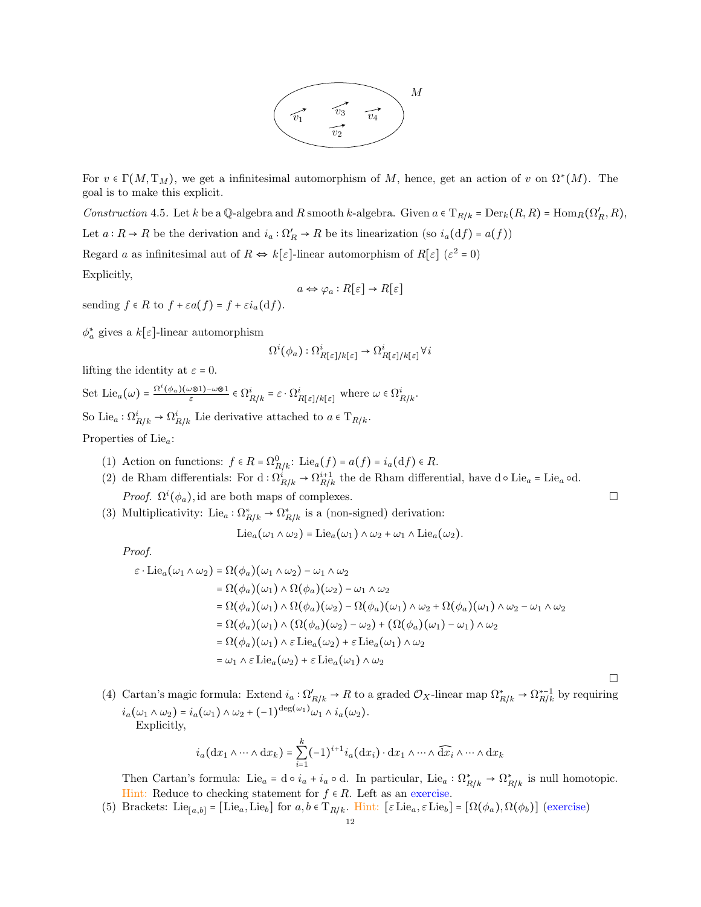

For  $v \in \Gamma(M, T_M)$ , we get a infinitesimal automorphism of M, hence, get an action of v on  $\Omega^*(M)$ . The goal is to make this explicit.

Construction 4.5. Let k be a Q-algebra and R smooth k-algebra. Given  $a \in T_{R/k} = Der_k(R, R) = Hom_R(\Omega'_R, R)$ , Let  $a: R \to R$  be the derivation and  $i_a: \Omega'_R \to R$  be its linearization (so  $i_a(df) = a(f)$ ) Regard a as infinitesimal aut of  $R \Leftrightarrow k[\varepsilon]$ -linear automorphism of  $R[\varepsilon]$  ( $\varepsilon^2 = 0$ )

Explicitly,

$$
a \Leftrightarrow \varphi_a : R[\varepsilon] \to R[\varepsilon]
$$

sending  $f \in R$  to  $f + \varepsilon a(f) = f + \varepsilon i_a(\mathrm{d} f)$ .

 $\phi_a^*$  gives a  $k[\varepsilon]$ -linear automorphism

$$
\Omega^i(\phi_a) : \Omega^i_{R[\varepsilon]/k[\varepsilon]} \to \Omega^i_{R[\varepsilon]/k[\varepsilon]} \forall i
$$

lifting the identity at  $\varepsilon = 0$ .

Set Lie<sub>a</sub>( $\omega$ ) =  $\frac{\Omega^i(\phi_a)(\omega \otimes 1) - \omega \otimes 1}{\varepsilon} \in \Omega^i_{R/k} = \varepsilon \cdot \Omega^i_{R[\varepsilon]/k[\varepsilon]}$  where  $\omega \in \Omega^i_{R/k}$ . So Lie<sub>a</sub>:  $\Omega_{R/k}^i \to \Omega_{R/k}^i$  Lie derivative attached to  $a \in T_{R/k}$ .

Properties of Lie<sub>a</sub>:

- (1) Action on functions:  $f \in R = \Omega_{R/k}^0$ : Lie $_a(f) = a(f) = i_a(\mathrm{d}f) \in R$ .
- (2) de Rham differentials: For  $d : \Omega^i_{R/k} \to \Omega^{i+1}_{R/k}$  the de Rham differential, have  $d \circ Lie_a = Lie_a \circ d$ . *Proof.*  $\Omega^{i}(\phi_a)$ , id are both maps of complexes.
- (3) Multiplicativity: Lie<sub>a</sub> :  $\Omega^*_{R/k} \to \Omega^*_{R/k}$  is a (non-signed) derivation:

$$
\mathrm{Lie}_a(\omega_1 \wedge \omega_2) = \mathrm{Lie}_a(\omega_1) \wedge \omega_2 + \omega_1 \wedge \mathrm{Lie}_a(\omega_2).
$$

Proof.

$$
\varepsilon \cdot \text{Lie}_a(\omega_1 \wedge \omega_2) = \Omega(\phi_a)(\omega_1 \wedge \omega_2) - \omega_1 \wedge \omega_2
$$
  
\n
$$
= \Omega(\phi_a)(\omega_1) \wedge \Omega(\phi_a)(\omega_2) - \omega_1 \wedge \omega_2
$$
  
\n
$$
= \Omega(\phi_a)(\omega_1) \wedge \Omega(\phi_a)(\omega_2) - \Omega(\phi_a)(\omega_1) \wedge \omega_2 + \Omega(\phi_a)(\omega_1) \wedge \omega_2 - \omega_1 \wedge \omega_2
$$
  
\n
$$
= \Omega(\phi_a)(\omega_1) \wedge (\Omega(\phi_a)(\omega_2) - \omega_2) + (\Omega(\phi_a)(\omega_1) - \omega_1) \wedge \omega_2
$$
  
\n
$$
= \Omega(\phi_a)(\omega_1) \wedge \varepsilon \text{ Lie}_a(\omega_2) + \varepsilon \text{ Lie}_a(\omega_1) \wedge \omega_2
$$
  
\n
$$
= \omega_1 \wedge \varepsilon \text{ Lie}_a(\omega_2) + \varepsilon \text{Lie}_a(\omega_1) \wedge \omega_2
$$

(4) Cartan's magic formula: Extend  $i_a: \Omega'_{R/k} \to R$  to a graded  $\mathcal{O}_X$ -linear map  $\Omega^*_{R/k} \to \Omega^{*-1}_{R/k}$  by requiring  $i_a(\omega_1 \wedge \omega_2) = i_a(\omega_1) \wedge \omega_2 + (-1)^{\deg(\omega_1)} \omega_1 \wedge i_a(\omega_2).$ Explicitly,

 $\Box$ 

$$
i_a(\mathrm{d}x_1 \wedge \dots \wedge \mathrm{d}x_k) = \sum_{i=1}^k (-1)^{i+1} i_a(\mathrm{d}x_i) \cdot \mathrm{d}x_1 \wedge \dots \wedge \widehat{\mathrm{d}x_i} \wedge \dots \wedge \mathrm{d}x_k
$$

Then Cartan's formula: Lie<sub>a</sub> = d  $\circ i_a + i_a \circ d$ . In particular, Lie<sub>a</sub> :  $\Omega^*_{R/k} \to \Omega^*_{R/k}$  is null homotopic. Hint: Reduce to checking statement for  $f \in R$ . Left as an exercise.

(5) Brackets: Lie<sub>[a,b]</sub> = [Lie<sub>a</sub>, Lie<sub>b</sub>] for  $a, b \in T_{R/k}$ . Hint: [ $\varepsilon$  Lie<sub>a</sub>,  $\varepsilon$  Lie<sub>b</sub>] = [ $\Omega(\phi_a)$ ,  $\Omega(\phi_b)$ ] (exercise)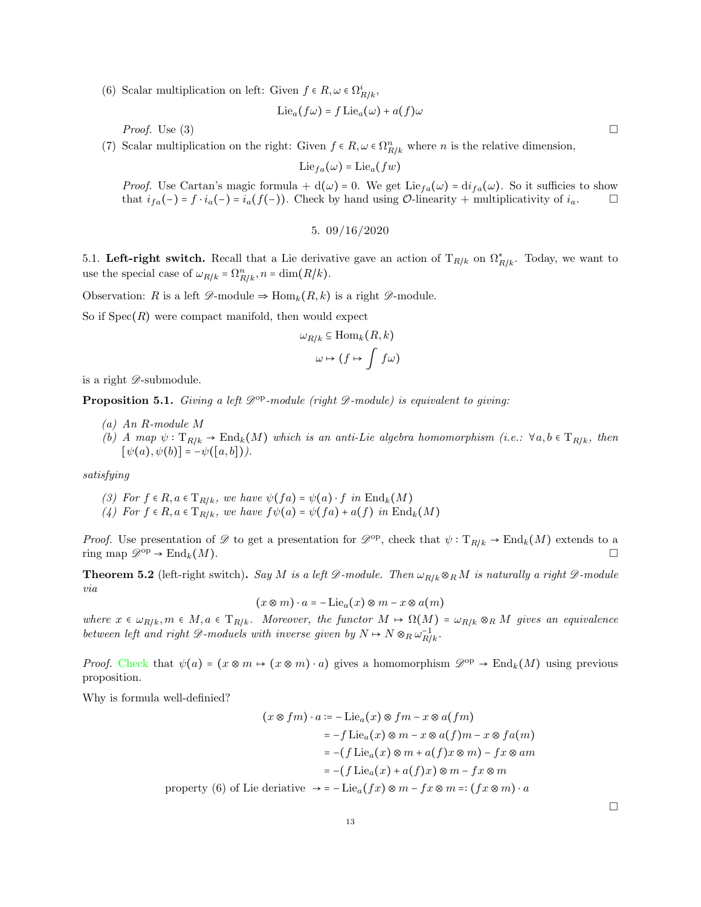(6) Scalar multiplication on left: Given  $f \in R, \omega \in \Omega^i_{R/k}$ ,

$$
\mathrm{Lie}_a(f\omega) = f \mathrm{Lie}_a(\omega) + a(f)\omega
$$

*Proof.* Use (3)  $\Box$ 

(7) Scalar multiplication on the right: Given  $f \in R$ ,  $\omega \in \Omega_{R/k}^n$  where n is the relative dimension,

$$
\mathrm{Lie}_{fa}(\omega) = \mathrm{Lie}_a(fw)
$$

*Proof.* Use Cartan's magic formula +  $d(\omega) = 0$ . We get Lie<sub>fa</sub> $(\omega) = di_{fa}(\omega)$ . So it sufficies to show that  $i_{fa}(-) = f \cdot i_a(-) = i_a(f(-))$ . Check by hand using  $\mathcal{O}$ -linearity + multiplicativity of  $i_a$ . □

5. 
$$
09/16/2020
$$

<span id="page-12-1"></span><span id="page-12-0"></span>5.1. Left-right switch. Recall that a Lie derivative gave an action of  $T_{R/k}$  on  $\Omega_{R/k}^*$ . Today, we want to use the special case of  $\omega_{R/k} = \Omega_{R/k}^n$ ,  $n = \dim(R/k)$ .

Observation: R is a left  $\mathscr{D}\text{-module} \Rightarrow \text{Hom}_k(R, k)$  is a right  $\mathscr{D}\text{-module}$ .

So if  $Spec(R)$  were compact manifold, then would expect

$$
\omega_{R/k} \subseteq \text{Hom}_k(R, k)
$$

$$
\omega \mapsto (f \mapsto \int f \omega)
$$

is a right  $\mathscr{D}$ -submodule.

**Proposition 5.1.** Giving a left  $\mathcal{D}^{\text{op}}$ -module (right  $\mathcal{D}\text{-module}$ ) is equivalent to giving:

- (a) An R-module M
- (b) A map  $\psi: \mathrm{T}_{R/k} \to \mathrm{End}_k(M)$  which is an anti-Lie algebra homomorphism (i.e.:  $\forall a, b \in \mathrm{T}_{R/k}$ , then  $[\psi(a), \psi(b)] = -\psi([a, b]).$

satisfying

- (3) For  $f \in R$ ,  $a \in T_{R/k}$ , we have  $\psi(fa) = \psi(a) \cdot f$  in  $\text{End}_k(M)$
- (4) For  $f \in R$ ,  $a \in T_{R/k}$ , we have  $f\psi(a) = \psi(fa) + a(f)$  in  $\text{End}_k(M)$

*Proof.* Use presentation of  $\mathscr{D}$  to get a presentation for  $\mathscr{D}^{op}$ , check that  $\psi : T_{R/k} \to \text{End}_k(M)$  extends to a ring map  $\mathscr{D}^{\mathrm{op}} \to \mathrm{End}_k(M)$ .

**Theorem 5.2** (left-right switch). Say M is a left  $\mathscr{D}\text{-module}$ . Then  $\omega_{R/k}\otimes_R M$  is naturally a right  $\mathscr{D}\text{-module}$ via

$$
(x \otimes m) \cdot a = -\mathrm{Lie}_a(x) \otimes m - x \otimes a(m)
$$

where  $x \in \omega_{R/k}$ ,  $m \in M$ ,  $a \in T_{R/k}$ . Moreover, the functor  $M \mapsto \Omega(M) = \omega_{R/k} \otimes_R M$  gives an equivalence between left and right  $\mathscr{D}\text{-modules with inverse given by } N \mapsto N \otimes_R \omega_{R/k}^{-1}$ .

*Proof.* Check that  $\psi(a) = (x \otimes m \mapsto (x \otimes m) \cdot a)$  gives a homomorphism  $\mathscr{D}^{\text{op}} \to \text{End}_k(M)$  using previous proposition.

Why is formula well-definied?

$$
(x \otimes fm) \cdot a := -\text{Lie}_a(x) \otimes fm - x \otimes a(fm)
$$

$$
= -f \text{Lie}_a(x) \otimes m - x \otimes a(f)m - x \otimes fa(m)
$$

$$
= -(f \text{Lie}_a(x) \otimes m + a(f)x \otimes m) - fx \otimes am
$$

$$
= -(f \text{Lie}_a(x) + a(f)x) \otimes m - fx \otimes m
$$
property (6) of Lie derivative  $\rightarrow = -\text{Lie}_a(fx) \otimes m - fx \otimes m =: (fx \otimes m) \cdot a$ 

 $\Box$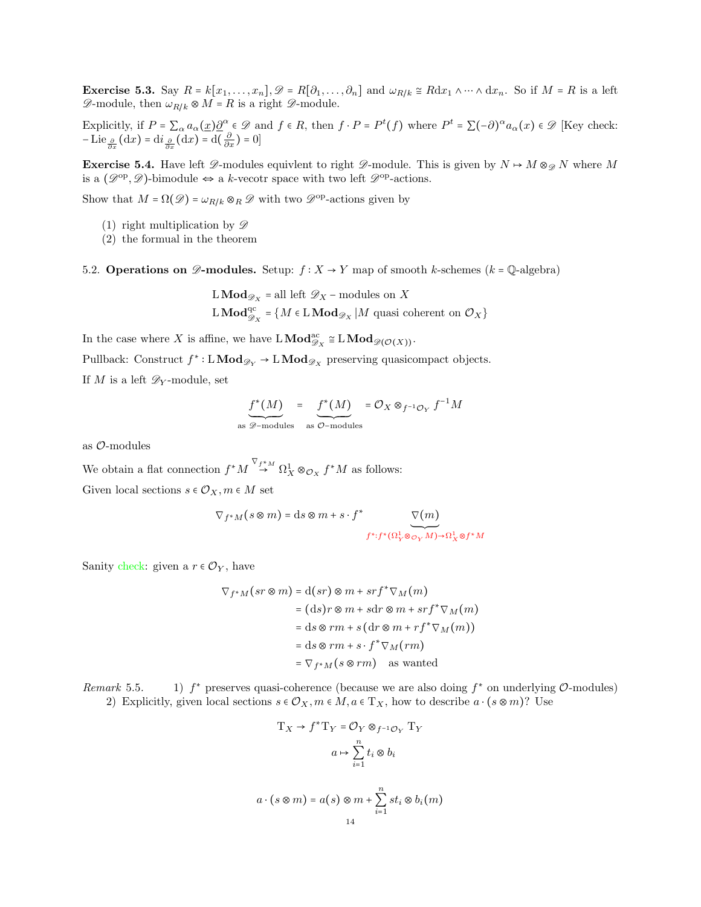**Exercise 5.3.** Say  $R = k[x_1, \ldots, x_n], \mathcal{D} = R[\partial_1, \ldots, \partial_n]$  and  $\omega_{R/k} \cong Rdx_1 \wedge \cdots \wedge dx_n$ . So if  $M = R$  is a left  $\mathscr{D}\text{-module, then }\omega_{R/k}\otimes M=R$  is a right  $\mathscr{D}\text{-module.}$ 

Explicitly, if  $P = \sum_{\alpha} a_{\alpha}(\underline{x}) \underline{\partial}^{\alpha} \in \mathcal{D}$  and  $f \in R$ , then  $f \cdot P = P^t(f)$  where  $P^t = \sum_{\alpha} (-\partial)^{\alpha} a_{\alpha}(x) \in \mathcal{D}$  [Key check:  $-\operatorname{Lie}_{\frac{\partial}{\partial x}}(\mathrm{d}x) = \mathrm{d}i_{\frac{\partial}{\partial x}}(\mathrm{d}x) = \mathrm{d}(\frac{\partial}{\partial x}) = 0$ 

**Exercise 5.4.** Have left  $\mathscr{D}$ -modules equivlent to right  $\mathscr{D}$ -module. This is given by  $N \mapsto M \otimes_{\mathscr{D}} N$  where M is a  $(\mathscr{D}^{op}, \mathscr{D})$ -bimodule  $\Leftrightarrow$  a k-vecotr space with two left  $\mathscr{D}^{op}$ -actions.

Show that  $M = \Omega(\mathscr{D}) = \omega_{R/k} \otimes_R \mathscr{D}$  with two  $\mathscr{D}^{\text{op}}$ -actions given by

- (1) right multiplication by  $\mathscr{D}$
- (2) the formual in the theorem

<span id="page-13-0"></span>5.2. Operations on  $\mathscr{D}\text{-modules.}$  Setup:  $f : X \to Y$  map of smooth k-schemes (k = Q-algebra)

$$
\begin{aligned} &\text{L}\,\mathbf{Mod}_{\mathscr{D}_X} = \text{all left }\mathscr{D}_X-\text{modules on }X\\ &\text{L}\,\mathbf{Mod}_{\mathscr{D}_X}^{\text{qc}} = \{M \in \text{L}\,\mathbf{Mod}_{\mathscr{D}_X}\,|\,M \text{ quasi coherent on }\mathcal{O}_X\} \end{aligned}
$$

In the case where X is affine, we have  $L\text{Mod}_{\mathscr{D}_X}^{\text{ac}} \cong L\text{Mod}_{\mathscr{D}(\mathcal{O}(X))}$ .

Pullback: Construct  $f^*:\mathbf{LMod}_{\mathscr{D}_Y}\to \mathbf{LMod}_{\mathscr{D}_X}$  preserving quasicompact objects.

If M is a left  $\mathscr{D}_Y$ -module, set

$$
f^*(M) = \underbrace{f^*(M)}_{\text{as } \mathscr{D}\text{-modules}} = \mathcal{O}_X \otimes_{f^{-1}\mathcal{O}_Y} f^{-1}M
$$

as O-modules

We obtain a flat connection  $f^*M \overset{\nabla_{f^*M}}{\to} \Omega^1_X \otimes_{\mathcal{O}_X} f^*M$  as follows: Given local sections  $s \in \mathcal{O}_X, m \in M$  set

$$
\nabla_{f^*M}\big(s\otimes m\big)=\mathrm{d} s\otimes m+s\cdot f^*\underbrace{\nabla(m)}_{f^*:f^*(\Omega^1_Y\otimes_{\mathcal{O}_Y}M)\to \Omega^1_X\otimes f^*M}
$$

Sanity check: given a  $r \in \mathcal{O}_Y$ , have

$$
\nabla_{f^*M}(sr \otimes m) = d(sr) \otimes m + srf^* \nabla_M(m)
$$
  
=  $(ds)r \otimes m + sdr \otimes m + srf^* \nabla_M(m)$   
=  $ds \otimes rm + s(dr \otimes m + rf^* \nabla_M(m))$   
=  $ds \otimes rm + s \cdot f^* \nabla_M(rm)$   
=  $\nabla_{f^*M}(s \otimes rm)$  as wanted

 $Remark 5.5.$ \* preserves quasi-coherence (because we are also doing  $f^*$  on underlying  $\mathcal{O}\text{-modules}$ ) 2) Explicitly, given local sections  $s \in \mathcal{O}_X, m \in M, a \in T_X$ , how to describe  $a \cdot (s \otimes m)$ ? Use

$$
\mathrm{T}_X \to f^* \mathrm{T}_Y = \mathcal{O}_Y \otimes_{f^{-1}\mathcal{O}_Y} \mathrm{T}_Y
$$

$$
a \mapsto \sum_{i=1}^n t_i \otimes b_i
$$

$$
a \cdot (s \otimes m) = a(s) \otimes m + \sum_{i=1}^{n} st_i \otimes b_i(m)
$$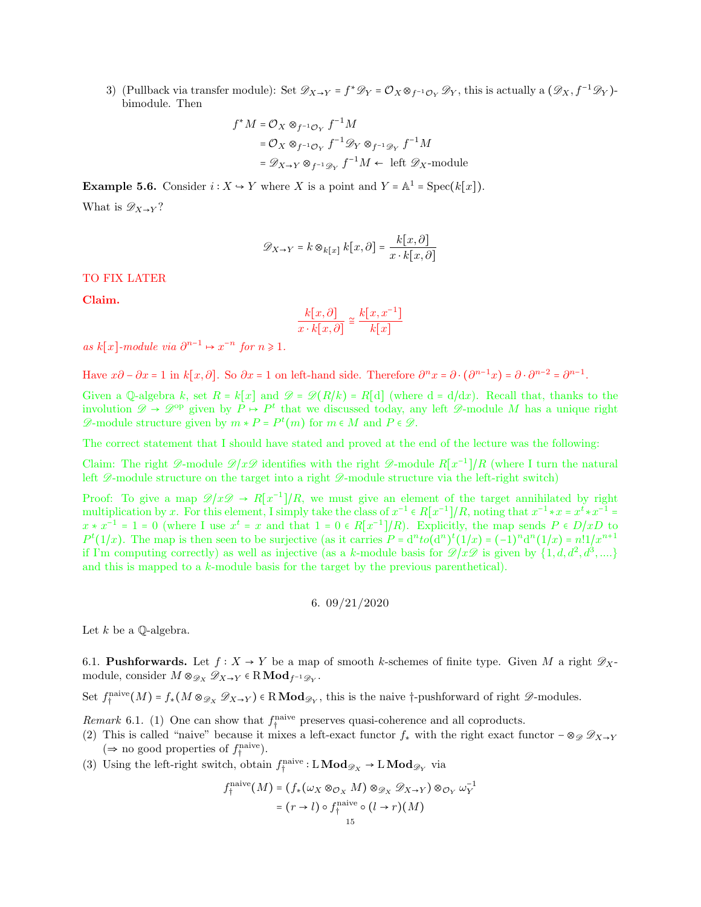3) (Pullback via transfer module): Set  $\mathscr{D}_{X\to Y} = f^* \mathscr{D}_Y = \mathcal{O}_X \otimes_{f^{-1}\mathcal{O}_Y} \mathscr{D}_Y$ , this is actually a  $(\mathscr{D}_X, f^{-1}\mathscr{D}_Y)$ bimodule. Then

$$
f^*M = \mathcal{O}_X \otimes_{f^{-1}\mathcal{O}_Y} f^{-1}M
$$
  
=  $\mathcal{O}_X \otimes_{f^{-1}\mathcal{O}_Y} f^{-1} \mathcal{D}_Y \otimes_{f^{-1}\mathcal{D}_Y} f^{-1}M$   
=  $\mathcal{D}_{X \to Y} \otimes_{f^{-1}\mathcal{D}_Y} f^{-1}M \leftarrow \text{ left } \mathcal{D}_X\text{-module}$ 

**Example 5.6.** Consider  $i : X \to Y$  where X is a point and  $Y = \mathbb{A}^1 = \text{Spec}(k[x])$ . What is  $\mathscr{D}_{X\to Y}$ ?

$$
\mathscr{D}_{X \to Y} = k \otimes_{k[x]} k[x, \partial] = \frac{k[x, \partial]}{x \cdot k[x, \partial]}
$$

TO FIX LATER

Claim.

$$
\frac{k[x,\partial]}{x \cdot k[x,\partial]} \cong \frac{k[x,x^{-1}]}{k[x]}
$$

as  $k[x]$ -module via  $\partial^{n-1} \mapsto x^{-n}$  for  $n \geq 1$ .

Have  $x\partial - \partial x = 1$  in  $k[x, \partial]$ . So  $\partial x = 1$  on left-hand side. Therefore  $\partial^n x = \partial \cdot (\partial^{n-1} x) = \partial \cdot \partial^{n-2} = \partial^{n-1}$ .

Given a Q-algebra k, set  $R = k[x]$  and  $\mathcal{D} = \mathcal{D}(R/k) = R[d]$  (where  $d = d/dx$ ). Recall that, thanks to the involution  $\mathscr{D} \to \mathscr{D}^{op}$  given by  $P \to P^t$  that we discussed today, any left  $\mathscr{D}$ -module M has a unique right  $\mathscr{D}$ -module structure given by  $m * P = P^t(m)$  for  $m \in M$  and  $P \in \mathscr{D}$ .

The correct statement that I should have stated and proved at the end of the lecture was the following:

Claim: The right  $\mathscr{D}$ -module  $\mathscr{D}/x\mathscr{D}$  identifies with the right  $\mathscr{D}$ -module  $R[x^{-1}]/R$  (where I turn the natural left  $\mathscr{D}$ -module structure on the target into a right  $\mathscr{D}$ -module structure via the left-right switch)

Proof: To give a map  $\mathscr{D}/x\mathscr{D} \to R[x^{-1}]/R$ , we must give an element of the target annihilated by right multiplication by x. For this element, I simply take the class of  $x^{-1} \in R[x^{-1}]/R$ , noting that  $x^{-1} * x = x^t * x^{-1} =$  $x * x^{-1} = 1 = 0$  (where I use  $x^t = x$  and that  $1 = 0 \in R[x^{-1}]/R$ ). Explicitly, the map sends  $P \in D/xD$  to  $P^{t}(1/x)$ . The map is then seen to be surjective (as it carries  $P = d^{n} to (d^{n})^{t}(1/x) = (-1)^{n} d^{n}(1/x) = n!1/x^{n+1}$ if I'm computing correctly) as well as injective (as a k-module basis for  $\mathscr{D}/x\mathscr{D}$  is given by  $\{1, d, d^2, d^3, ...\}$ and this is mapped to a k-module basis for the target by the previous parenthetical).

$$
6. \ 09/21/2020
$$

<span id="page-14-0"></span>Let  $k$  be a  $\mathbb Q$ -algebra.

<span id="page-14-1"></span>6.1. **Pushforwards.** Let  $f: X \to Y$  be a map of smooth k-schemes of finite type. Given M a right  $\mathscr{D}_{X}$ module, consider  $M \otimes_{\mathscr{D}_X} \mathscr{D}_{X \to Y} \in \mathbb{R} \text{Mod}_{f^{-1}\mathscr{D}_Y}.$ 

Set  $f_{\dagger}^{\text{naive}}(M) = f_{*}(M \otimes_{\mathscr{D}_X} \mathscr{D}_{X \to Y}) \in \mathbb{R} \text{Mod}_{\mathscr{D}_Y}$ , this is the naive †-pushforward of right  $\mathscr{D}$ -modules.

*Remark* 6.1. (1) One can show that  $f_{\dagger}^{\text{naive}}$  preserves quasi-coherence and all coproducts.

- (2) This is called "naive" because it mixes a left-exact functor  $f_*$  with the right exact functor  $-\otimes_{\mathscr{D}} \mathscr{D}_{X\to Y}$ (⇒ no good properties of  $f_i^{\text{naive}}$ ).
- (3) Using the left-right switch, obtain  $f_{\dagger}^{\text{naive}}:\mathbf{LMod}_{\mathscr{D}_X} \to \mathbf{LMod}_{\mathscr{D}_Y}$  via

$$
f_1^{\text{naive}}(M) = (f_*(\omega_X \otimes_{\mathcal{O}_X} M) \otimes_{\mathcal{D}_X} \mathcal{D}_{X \to Y}) \otimes_{\mathcal{O}_Y} \omega_Y^{-1}
$$

$$
= (r \to l) \circ f_1^{\text{naive}} \circ (l \to r)(M)
$$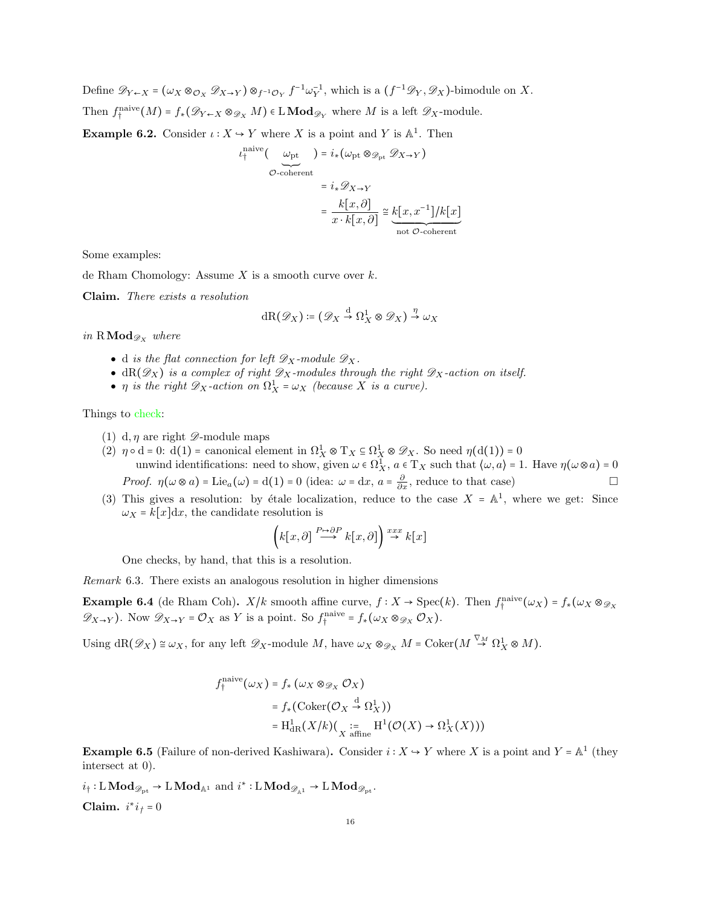Define  $\mathscr{D}_{Y \leftarrow X} = (\omega_X \otimes_{\mathcal{O}_X} \mathscr{D}_{X \rightarrow Y}) \otimes_{f^{-1}\mathcal{O}_Y} f^{-1}\omega_Y^{-1}$ , which is a  $(f^{-1}\mathscr{D}_Y, \mathscr{D}_X)$ -bimodule on X. Then  $f_{\dagger}^{\text{naive}}(M) = f_{*}(\mathscr{D}_{Y \leftarrow X} \otimes_{\mathscr{D}_{X}} M) \in \mathbf{LMod}_{\mathscr{D}_{Y}}$  where M is a left  $\mathscr{D}_{X}$ -module. **Example 6.2.** Consider  $\iota: X \to Y$  where X is a point and Y is  $\mathbb{A}^1$ . Then

$$
u_t^{\text{naive}}\left(\begin{array}{c}\omega_{\text{pt}}\\
\phi_{\text{coherent}}\end{array}\right) = i_*(\omega_{\text{pt}} \otimes_{\mathcal{D}_{\text{pt}}} \mathcal{D}_{X \to Y})
$$
\n
$$
= i_* \mathcal{D}_{X \to Y}
$$
\n
$$
= \frac{k[x, \partial]}{x \cdot k[x, \partial]} \cong \underbrace{k[x, x^{-1}]/k[x]}_{\text{not } \mathcal{O}\text{-coherent}}
$$

Some examples:

de Rham Chomology: Assume  $X$  is a smooth curve over  $k$ .

Claim. There exists a resolution

$$
dR(\mathscr{D}_X) \coloneqq (\mathscr{D}_X \stackrel{d}{\to} \Omega^1_X \otimes \mathscr{D}_X) \stackrel{\eta}{\to} \omega_X
$$

in  $\mathbb{R}\mathrm{Mod}_{\mathscr{D}_X}$  where

- d is the flat connection for left  $\mathscr{D}_X$ -module  $\mathscr{D}_X$ .
- $dR(\mathscr{D}_X)$  is a complex of right  $\mathscr{D}_X$ -modules through the right  $\mathscr{D}_X$ -action on itself.
- $\eta$  is the right  $\mathscr{D}_X$ -action on  $\Omega^1_X = \omega_X$  (because X is a curve).

Things to check:

- (1) d,  $\eta$  are right  $\mathscr{D}$ -module maps
- (2)  $\eta \circ d = 0$ :  $d(1) =$  canonical element in  $\Omega_X^1 \otimes T_X \subseteq \Omega_X^1 \otimes \mathcal{D}_X$ . So need  $\eta(d(1)) = 0$ unwind identifications: need to show, given  $\omega \in \Omega^1_X$ ,  $a \in T_X$  such that  $\langle \omega, a \rangle = 1$ . Have  $\eta(\omega \otimes a) = 0$ *Proof.*  $\eta(\omega \otimes a) = \text{Lie}_a(\omega) = d(1) = 0$  (idea:  $\omega = dx$ ,  $a = \frac{\partial}{\partial x}$ , reduce to that case)
- (3) This gives a resolution: by étale localization, reduce to the case  $X = \mathbb{A}^1$ , where we get: Since  $\omega_X = k[x]dx$ , the candidate resolution is

$$
\left( k[x,\partial]\stackrel{P\mapsto\partial P}{\longrightarrow}k[x,\partial]\right) \stackrel{xxx}{\rightarrow}k[x]
$$

One checks, by hand, that this is a resolution.

Remark 6.3. There exists an analogous resolution in higher dimensions

**Example 6.4** (de Rham Coh).  $X/k$  smooth affine curve,  $f: X \to \text{Spec}(k)$ . Then  $f_1^{\text{naive}}(\omega_X) = f_*(\omega_X \otimes_{\mathscr{D}_X}$  $\mathscr{D}_{X\to Y}$ ). Now  $\mathscr{D}_{X\to Y} = \mathcal{O}_X$  as Y is a point. So  $f_{\dagger}^{\text{naive}} = f_*(\omega_X \otimes_{\mathscr{D}_X} \mathcal{O}_X)$ .

Using  $\mathrm{dR}(\mathscr{D}_X) \cong \omega_X$ , for any left  $\mathscr{D}_X$ -module M, have  $\omega_X \otimes_{\mathscr{D}_X} M = \mathrm{Coker}(M \stackrel{\nabla_M}{\to} \Omega^1_X \otimes M)$ .

$$
f_1^{\text{naive}}(\omega_X) = f_* (\omega_X \otimes_{\mathcal{D}_X} \mathcal{O}_X)
$$
  
=  $f_* (\text{Coker}(\mathcal{O}_X \stackrel{d}{\to} \Omega_X^1))$   
=  $H_{\text{dR}}^1(X/k) (\underset{X \text{ affine}}{\coloneqq} H^1(\mathcal{O}(X) \to \Omega_X^1(X)))$ 

**Example 6.5** (Failure of non-derived Kashiwara). Consider  $i: X \to Y$  where X is a point and Y =  $\mathbb{A}^1$  (they intersect at 0).

 $i_{\dagger}: L\textbf{Mod}_{\mathscr{D}_{\mathbb{P}^{\mathfrak{t}}}} \to L\textbf{Mod}_{\mathbb{A}^1}$  and  $i^*: L\textbf{Mod}_{\mathscr{D}_{\mathbb{A}^1}} \to L\textbf{Mod}_{\mathscr{D}_{\mathbb{P}^{\mathfrak{t}}}}.$ Claim.  $i^*i_j = 0$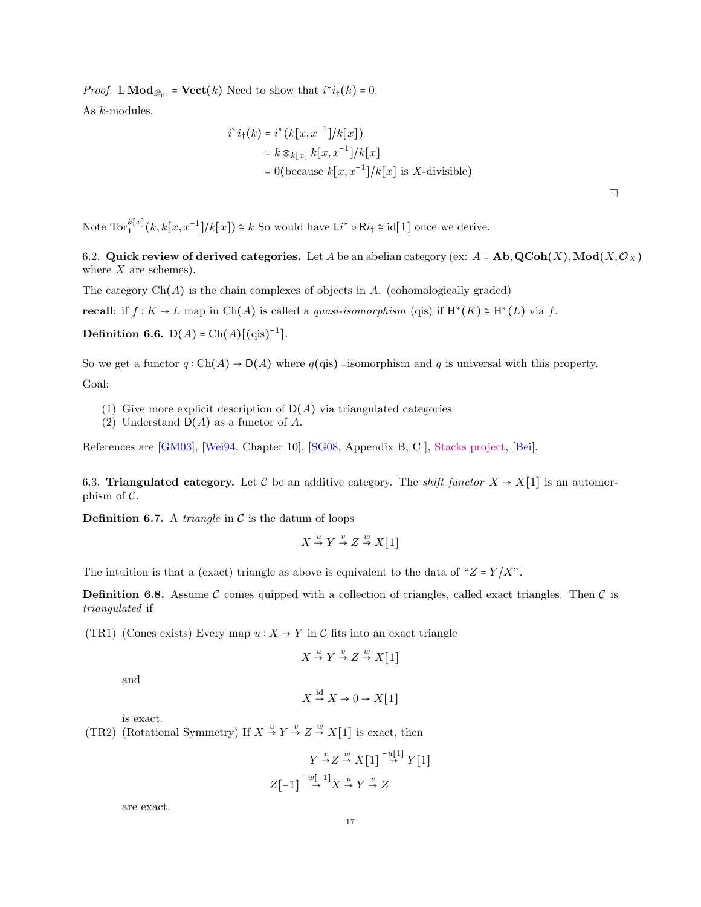*Proof.* L  $\mathbf{Mod}_{\mathscr{D}_{\mathbb{P}^t}} = \mathbf{Vect}(k)$  Need to show that  $i^*i_{\dagger}(k) = 0$ . As k-modules,

$$
i^*i_{\uparrow}(k) = i^*(k[x, x^{-1}]/k[x])
$$
  
=  $k \otimes_{k[x]} k[x, x^{-1}]/k[x]$   
= 0(because  $k[x, x^{-1}]/k[x]$  is X-divisible)

 $\Box$ 

Note  $\text{Tor}_{1}^{k[x]}(k, k[x, x^{-1}]/k[x]) \cong k$  So would have  $\text{Li}^* \circ \text{R}i_{\dagger} \cong \text{id}[1]$  once we derive.

<span id="page-16-0"></span>6.2. Quick review of derived categories. Let A be an abelian category (ex:  $A = Ab$ ,  $QCoh(X)$ ,  $Mod(X, \mathcal{O}_X)$ where  $X$  are schemes).

The category  $Ch(A)$  is the chain complexes of objects in  $A$ . (cohomologically graded)

**recall**: if  $f: K \to L$  map in Ch(A) is called a *quasi-isomorphism* (qis) if  $H^*(K) \cong H^*(L)$  via f.

**Definition 6.6.**  $D(A) = Ch(A)[(qis)^{-1}].$ 

So we get a functor  $q: Ch(A) \to D(A)$  where  $q(qis)$  =isomorphism and q is universal with this property. Goal:

- (1) Give more explicit description of  $D(A)$  via triangulated categories
- (2) Understand  $D(A)$  as a functor of A.

References are [\[GM03\]](#page-63-3), [\[Wei94,](#page-63-4) Chapter 10], [\[SG08,](#page-63-5) Appendix B, C ], [Stacks project,](https://stacks.math.columbia.edu/) [\[Bei\]](#page-63-6).

<span id="page-16-1"></span>6.3. Triangulated category. Let C be an additive category. The *shift functor*  $X \rightarrow X[1]$  is an automorphism of  $C$ .

**Definition 6.7.** A *triangle* in  $\mathcal C$  is the datum of loops

$$
X \stackrel{u}{\to} Y \stackrel{v}{\to} Z \stackrel{w}{\to} X[1]
$$

The intuition is that a (exact) triangle as above is equivalent to the data of " $Z = Y/X$ ".

**Definition 6.8.** Assume C comes quipped with a collection of triangles, called exact triangles. Then C is triangulated if

(TR1) (Cones exists) Every map  $u: X \to Y$  in C fits into an exact triangle

$$
X \stackrel{u}{\to} Y \stackrel{v}{\to} Z \stackrel{w}{\to} X[1]
$$

and

$$
X \stackrel{\text{nd}}{\rightarrow} X \rightarrow 0 \rightarrow X[1]
$$

id

is exact.

(TR2) (Rotational Symmetry) If  $X \stackrel{u}{\rightarrow} Y \stackrel{v}{\rightarrow} Z \stackrel{w}{\rightarrow} X[1]$  is exact, then

$$
Y \stackrel{v}{\rightarrow} Z \stackrel{w}{\rightarrow} X[1] \stackrel{-u[1]}{\rightarrow} Y[1]
$$

$$
Z[-1] \stackrel{-w[-1]}{\rightarrow} X \stackrel{u}{\rightarrow} Y \stackrel{v}{\rightarrow} Z
$$

are exact.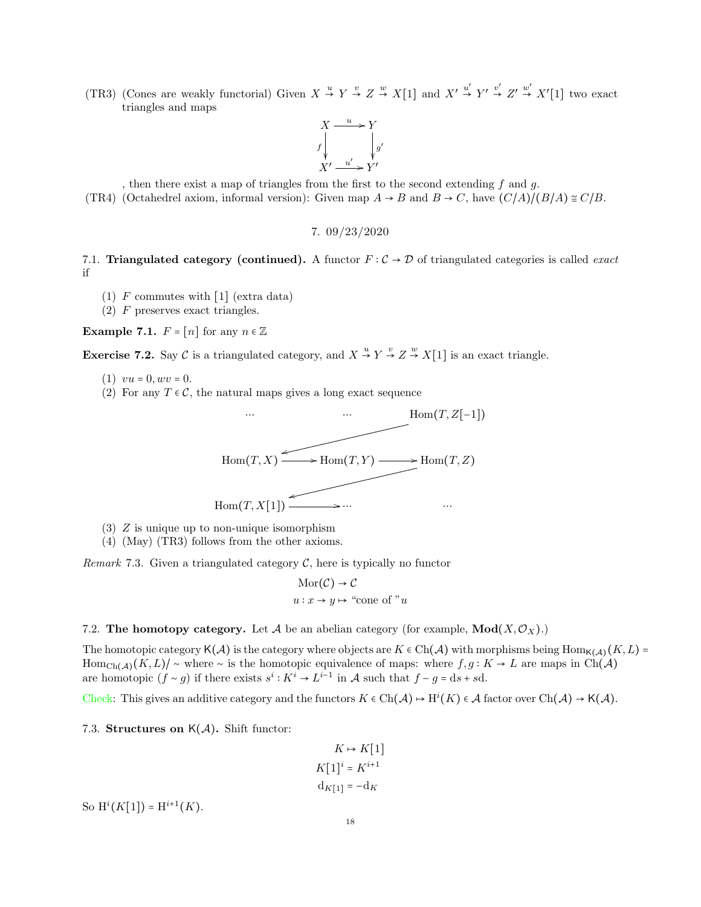(TR3) (Cones are weakly functorial) Given  $X \stackrel{u}{\rightarrow} Y \stackrel{v}{\rightarrow} Z \stackrel{w}{\rightarrow} X[1]$  and  $X' \stackrel{u'}{\rightarrow} Y' \stackrel{v'}{\rightarrow} Z' \stackrel{w'}{\rightarrow} X'[1]$  two exact triangles and maps



, then there exist a map of triangles from the first to the second extending  $f$  and  $g$ .

<span id="page-17-0"></span>(TR4) (Octahedrel axiom, informal version): Given map  $A \rightarrow B$  and  $B \rightarrow C$ , have  $(C/A)/(B/A) \cong C/B$ .

7. 09/23/2020

<span id="page-17-1"></span>7.1. Triangulated category (continued). A functor  $F: \mathcal{C} \to \mathcal{D}$  of triangulated categories is called *exact* if

- (1)  $F$  commutes with  $\lceil 1 \rceil$  (extra data)
- (2) F preserves exact triangles.

**Example 7.1.**  $F = [n]$  for any  $n \in \mathbb{Z}$ 

**Exercise 7.2.** Say C is a triangulated category, and  $X \stackrel{u}{\rightarrow} Y \stackrel{v}{\rightarrow} Z \stackrel{w}{\rightarrow} X[1]$  is an exact triangle.

- (1)  $vu = 0, wv = 0.$
- (2) For any  $T \in \mathcal{C}$ , the natural maps gives a long exact sequence



- (3) Z is unique up to non-unique isomorphism
- (4) (May) (TR3) follows from the other axioms.

Remark 7.3. Given a triangulated category  $C$ , here is typically no functor

$$
Mor(\mathcal{C}) \to \mathcal{C}
$$
  

$$
u: x \to y \mapsto \text{``cone of'' } u
$$

<span id="page-17-2"></span>7.2. The homotopy category. Let A be an abelian category (for example,  $Mod(X, \mathcal{O}_X)$ .)

The homotopic category K(A) is the category where objects are  $K \in Ch(\mathcal{A})$  with morphisms being  $\text{Hom}_{K(\mathcal{A})}(K, L)$  = Hom<sub>Ch(A)</sub> $(K, L)/ \sim$  where  $\sim$  is the homotopic equivalence of maps: where  $f, g: K \to L$  are maps in Ch(A) are homotopic  $(f \sim g)$  if there exists  $s^i : K^i \to L^{i-1}$  in A such that  $f - g = ds + sd$ .

Check: This gives an additive category and the functors  $K \in \text{Ch}(\mathcal{A}) \to H^i(K) \in \mathcal{A}$  factor over  $\text{Ch}(\mathcal{A}) \to \mathsf{K}(\mathcal{A})$ .

<span id="page-17-3"></span>7.3. Structures on  $K(\mathcal{A})$ . Shift functor:

$$
K \mapsto K[1]
$$

$$
K[1]^i = K^{i+1}
$$

$$
d_{K[1]} = -d_K
$$

So  $H^{i}(K[1]) = H^{i+1}(K)$ .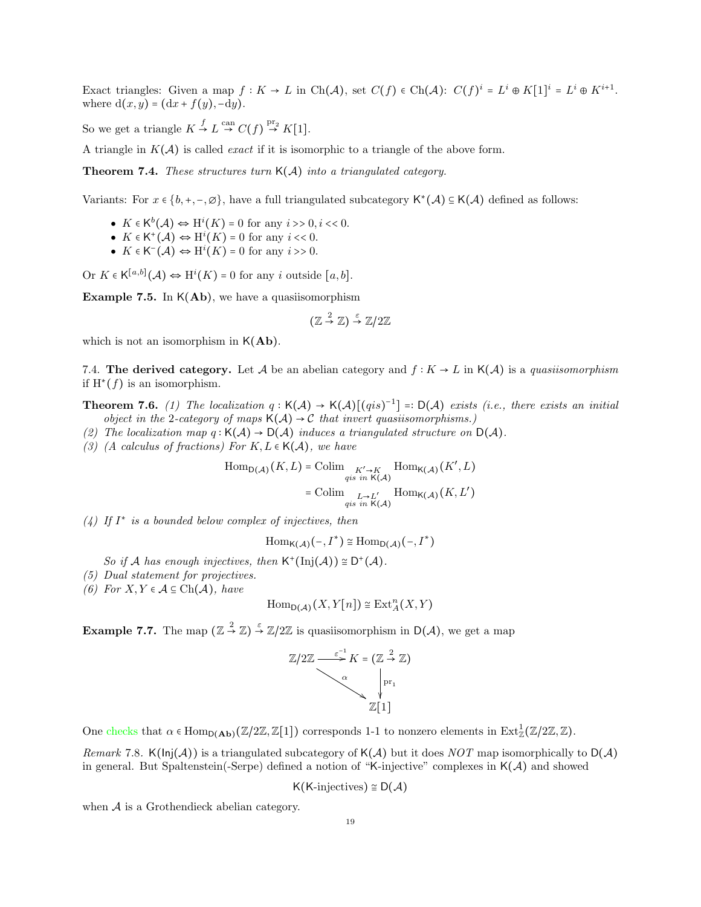Exact triangles: Given a map  $f: K \to L$  in Ch(A), set  $C(f) \in \text{Ch}(\mathcal{A})$ :  $C(f)^i = L^i \oplus K[1]^i = L^i \oplus K^{i+1}$ . where  $d(x, y) = (dx + f(y), -dy)$ .

So we get a triangle  $K \stackrel{f}{\rightarrow} L \stackrel{\text{can}}{\rightarrow} C(f) \stackrel{\text{pr}_2}{\rightarrow} K[1]$ .

A triangle in  $K(\mathcal{A})$  is called *exact* if it is isomorphic to a triangle of the above form.

**Theorem 7.4.** These structures turn  $K(A)$  into a triangulated category.

Variants: For  $x \in \{b, +, -, \emptyset\}$ , have a full triangulated subcategory  $\mathsf{K}^*(\mathcal{A}) \subseteq \mathsf{K}(\mathcal{A})$  defined as follows:

- $K \in \mathsf{K}^b(\mathcal{A}) \Leftrightarrow \mathrm{H}^i(K) = 0$  for any  $i >> 0, i << 0$ .
- $K \in \mathsf{K}^+(\mathcal{A}) \Leftrightarrow \mathrm{H}^i(K) = 0$  for any  $i \ll 0$ .
- $K \in K^{-}(A) \Leftrightarrow H^{i}(K) = 0$  for any  $i >> 0$ .

Or  $K \in \mathsf{K}^{[a,b]}(\mathcal{A}) \Leftrightarrow \mathrm{H}^i(K) = 0$  for any i outside  $[a,b]$ .

**Example 7.5.** In  $K(Ab)$ , we have a quasiisomorphism

$$
(\mathbb{Z} \stackrel{2}{\to} \mathbb{Z}) \stackrel{\varepsilon}{\to} \mathbb{Z}/2\mathbb{Z}
$$

which is not an isomorphism in  $K(Ab)$ .

<span id="page-18-0"></span>7.4. The derived category. Let A be an abelian category and  $f: K \to L$  in  $K(\mathcal{A})$  is a quasiisomorphism if  $H^*(f)$  is an isomorphism.

**Theorem 7.6.** (1) The localization  $q : K(\mathcal{A}) \to K(\mathcal{A})[(qis)^{-1}] = D(\mathcal{A})$  exists (i.e., there exists an initial object in the 2-category of maps  $K(\mathcal{A}) \to \mathcal{C}$  that invert quasiisomorphisms.)

- (2) The localization map  $q: K(\mathcal{A}) \to D(\mathcal{A})$  induces a triangulated structure on  $D(\mathcal{A})$ .
- (3) (A calculus of fractions) For  $K, L \in \mathsf{K}(\mathcal{A})$ , we have

$$
\text{Hom}_{\mathsf{D}(\mathcal{A})}(K, L) = \text{Colim}_{\substack{K' \to K \\ qis \text{ in } \mathsf{K}(\mathcal{A})}} \text{Hom}_{\mathsf{K}(\mathcal{A})}(K', L)
$$
\n
$$
= \text{Colim}_{\substack{L \to L' \\ qis \text{ in } \mathsf{K}(\mathcal{A})}} \text{Hom}_{\mathsf{K}(\mathcal{A})}(K, L')
$$

 $(4)$  If  $I^*$  is a bounded below complex of injectives, then

$$
\mathrm{Hom}_{\mathsf{K}(\mathcal{A})}(-,I^*) \cong \mathrm{Hom}_{\mathsf{D}(\mathcal{A})}(-,I^*)
$$

So if A has enough injectives, then  $\mathsf{K}^{\dagger}(\mathrm{Inj}(\mathcal{A})) \cong \mathsf{D}^{\dagger}(\mathcal{A})$ .

- (5) Dual statement for projectives.
- (6) For  $X, Y \in \mathcal{A} \subseteq \text{Ch}(\mathcal{A})$ , have

$$
\operatorname{Hom}_{\mathsf{D}(\mathcal{A})}(X,Y[n]) \cong \operatorname{Ext}^n_{\mathcal{A}}(X,Y)
$$

**Example 7.7.** The map  $(\mathbb{Z} \stackrel{2}{\to} \mathbb{Z}) \stackrel{\varepsilon}{\to} \mathbb{Z}/2\mathbb{Z}$  is quasiisomorphism in  $D(\mathcal{A})$ , we get a map



One checks that  $\alpha \in \text{Hom}_{D(\textbf{Ab})}(\mathbb{Z}/2\mathbb{Z}, \mathbb{Z}[1])$  corresponds 1-1 to nonzero elements in  $\text{Ext}^1_{\mathbb{Z}}(\mathbb{Z}/2\mathbb{Z}, \mathbb{Z})$ .

Remark 7.8. K( $\text{Inj}(\mathcal{A})$ ) is a triangulated subcategory of K( $\mathcal{A}$ ) but it does NOT map isomorphically to D( $\mathcal{A}$ ) in general. But Spaltenstein(-Serpe) defined a notion of "K-injective" complexes in  $K(\mathcal{A})$  and showed

$$
\mathsf{K}(\mathsf{K}\text{-}\mathrm{injectives})\cong\mathsf{D}(\mathcal{A})
$$

when  $A$  is a Grothendieck abelian category.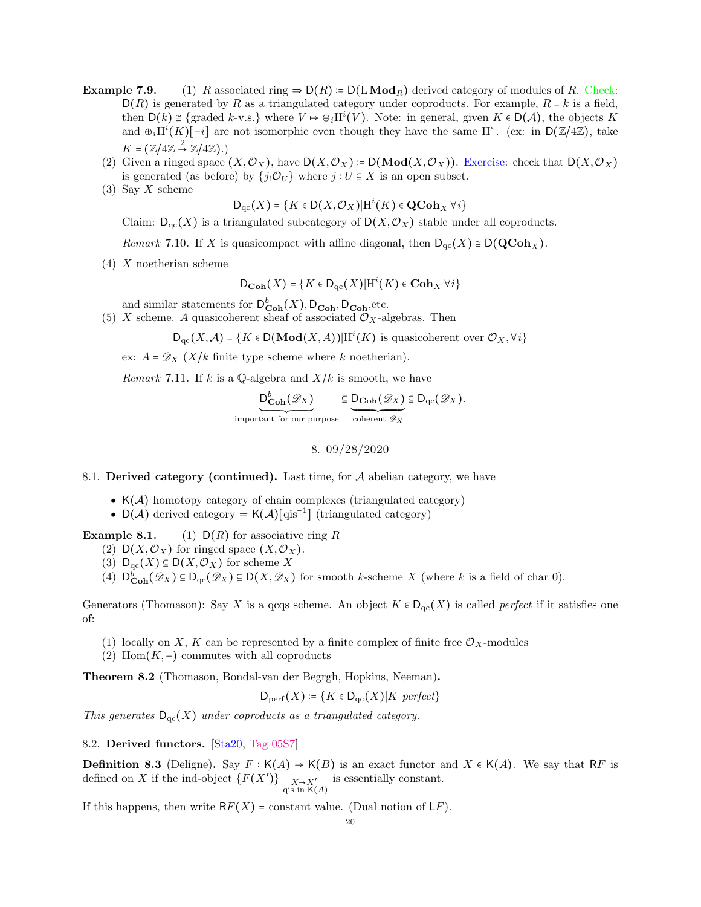- **Example 7.9.** (1) R associated ring  $\Rightarrow$   $D(R) := D(L \text{Mod}_R)$  derived category of modules of R. Check:  $D(R)$  is generated by R as a triangulated category under coproducts. For example,  $R = k$  is a field, then  $D(k) \cong \{ \text{graded } k-\text{v.s.} \}$  where  $V \mapsto \bigoplus_i H^i(V)$ . Note: in general, given  $K \in D(\mathcal{A})$ , the objects K and  $\oplus_i H^i(K)[-i]$  are not isomorphic even though they have the same H<sup>\*</sup>. (ex: in D(Z/4Z), take  $K = (\mathbb{Z}/4\mathbb{Z} \stackrel{2}{\rightarrow} \mathbb{Z}/4\mathbb{Z}).$ 
	- (2) Given a ringed space  $(X, \mathcal{O}_X)$ , have  $D(X, \mathcal{O}_X) := D(\text{Mod}(X, \mathcal{O}_X))$ . Exercise: check that  $D(X, \mathcal{O}_X)$ is generated (as before) by  $\{j_!\mathcal{O}_U\}$  where  $j:U\subseteq X$  is an open subset.
	- $(3)$  Say X scheme

 $\mathsf{D}_{\mathrm{qc}}(X)$  = { $K \in \mathsf{D}(X, \mathcal{O}_X)|\mathrm{H}^i(K) \in \operatorname{\mathbf{QCoh}}_X \forall i$ }

Claim:  $D_{\text{qc}}(X)$  is a triangulated subcategory of  $D(X, \mathcal{O}_X)$  stable under all coproducts.

Remark 7.10. If X is quasicompact with affine diagonal, then  $D_{\text{qc}}(X) \cong D(\text{QCoh}_X)$ .

(4) X noetherian scheme

$$
\mathsf{D}_{\mathbf{Coh}}(X) = \{ K \in \mathsf{D}_{\mathrm{qc}}(X) | \mathrm{H}^i(K) \in \mathbf{Coh}_X \; \forall i \}
$$

and similar statements for  $D_{\textbf{Coh}}^b(X)$ ,  $D_{\textbf{Coh}}^+$ ,  $D_{\textbf{Coh}}^-$ , etc.

(5) X scheme. A quasicoherent sheaf of associated  $\mathcal{O}_X$ -algebras. Then

 $D_{\mathrm{qc}}(X, \mathcal{A}) = \{ K \in D(\mathrm{Mod}(X, A)) | H^i(K) \text{ is quasicoherent over } \mathcal{O}_X, \forall i \}$ 

ex:  $A = \mathscr{D}_X$  (X/k finite type scheme where k noetherian).

Remark 7.11. If k is a Q-algebra and  $X/k$  is smooth, we have

 $\mathsf{D}^b_{\mathbf{Coh}}(\mathscr{D}_X)$ important for our purpose  $\subseteq D_{\mathbf{Coh}}(\mathscr{D}_X)$  $\overline{\text{coherent }\mathscr{D}_X}$  $\subseteq D_{\mathrm{qc}}(\mathscr{D}_X).$ 

8. 09/28/2020

<span id="page-19-1"></span><span id="page-19-0"></span>8.1. Derived category (continued). Last time, for  $A$  abelian category, we have

- $K(\mathcal{A})$  homotopy category of chain complexes (triangulated category)
- $D(\mathcal{A})$  derived category =  $K(\mathcal{A})$ [qis<sup>-1</sup>] (triangulated category)

**Example 8.1.** (1)  $D(R)$  for associative ring R

- (2)  $D(X, \mathcal{O}_X)$  for ringed space  $(X, \mathcal{O}_X)$ .
- (3)  $D_{\text{qc}}(X) \subseteq D(X, \mathcal{O}_X)$  for scheme X
- (4)  $D^b_{\text{Coh}}(\mathscr{D}_X) \subseteq D_{\text{qc}}(\mathscr{D}_X) \subseteq D(X, \mathscr{D}_X)$  for smooth k-scheme X (where k is a field of char 0).

Generators (Thomason): Say X is a qcqs scheme. An object  $K \in D_{qc}(X)$  is called *perfect* if it satisfies one of:

- (1) locally on X, K can be represented by a finite complex of finite free  $\mathcal{O}_X$ -modules
- (2) Hom $(K, -)$  commutes with all coproducts

Theorem 8.2 (Thomason, Bondal-van der Begrgh, Hopkins, Neeman).

$$
\mathsf{D}_{\mathrm{perf}}(X) \coloneqq \{ K \in \mathsf{D}_{\mathrm{qc}}(X) | K \ \mathit{perfect} \}
$$

This generates  $D_{qc}(X)$  under coproducts as a triangulated category.

<span id="page-19-2"></span>8.2. Derived functors. [\[Sta20,](#page-63-7) [Tag 05S7\]](https://stacks.math.columbia.edu/tag/05S7)

**Definition 8.3** (Deligne). Say  $F : K(A) \to K(B)$  is an exact functor and  $X \in K(A)$ . We say that RF is defined on X if the ind-object  $\{F(X')\}_{\substack{X\to X'\\ \text{qis in } K(A)}}$ is essentially constant.

If this happens, then write  $RF(X)$  = constant value. (Dual notion of  $LF$ ).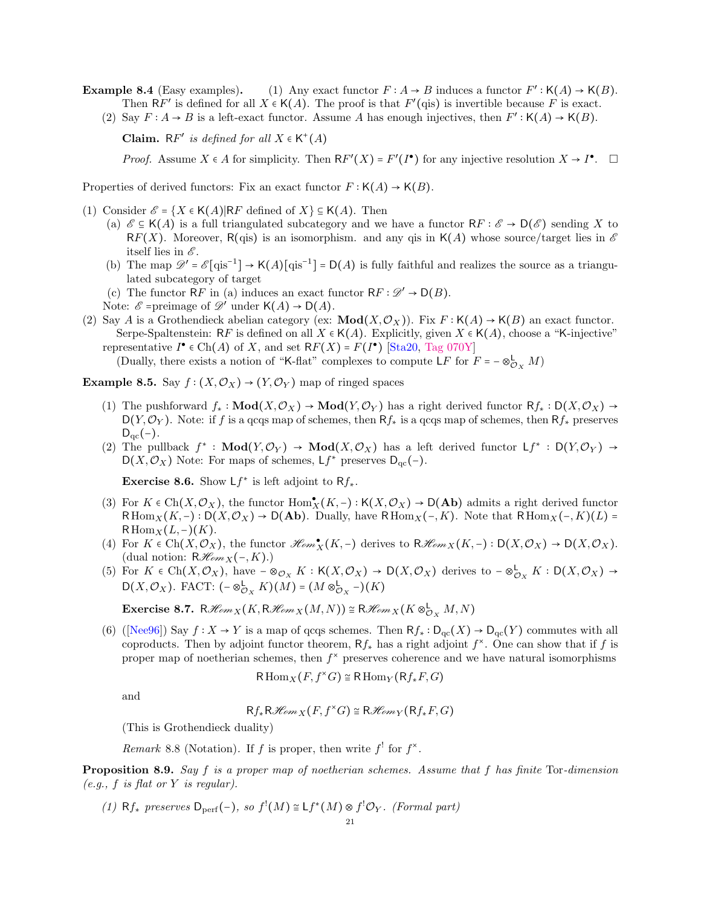**Example 8.4** (Easy examples). (1) Any exact functor  $F : A \to B$  induces a functor  $F' : K(A) \to K(B)$ . Then RF' is defined for all  $X \in K(A)$ . The proof is that  $F'(\text{qis})$  is invertible because F is exact.

(2) Say  $F: A \to B$  is a left-exact functor. Assume A has enough injectives, then  $F': \mathsf{K}(A) \to \mathsf{K}(B)$ .

Claim. RF' is defined for all  $X \in K^+(A)$ 

*Proof.* Assume  $X \in A$  for simplicity. Then  $RF'(X) = F'(I^{\bullet})$  for any injective resolution  $X \to I^{\bullet}$ .  $\Box$ 

Properties of derived functors: Fix an exact functor  $F : K(A) \to K(B)$ .

- (1) Consider  $\mathcal{E} = \{X \in \mathsf{K}(A)|\mathsf{R}F \text{ defined of } X\} \subseteq \mathsf{K}(A)$ . Then
	- (a)  $\mathscr{E} \subseteq K(A)$  is a full triangulated subcategory and we have a functor  $\mathsf{R} F : \mathscr{E} \to \mathsf{D}(\mathscr{E})$  sending X to RF(X). Moreover, R(qis) is an isomorphism. and any qis in K(A) whose source/target lies in  $\mathscr E$ itself lies in  $\mathscr E$ .
	- (b) The map  $\mathscr{D}' = \mathscr{E}[\text{qis}^{-1}] \to \mathsf{K}(A)[\text{qis}^{-1}] = \mathsf{D}(A)$  is fully faithful and realizes the source as a triangulated subcategory of target
	- (c) The functor RF in (a) induces an exact functor  $RF : \mathscr{D}' \to D(B)$ .
	- Note:  $\mathcal{E}$  =preimage of  $\mathcal{D}'$  under  $\mathsf{K}(A) \to \mathsf{D}(A)$ .
- (2) Say A is a Grothendieck abelian category (ex:  $\text{Mod}(X, \mathcal{O}_X)$ ). Fix  $F : \mathsf{K}(A) \to \mathsf{K}(B)$  an exact functor. Serpe-Spaltenstein: RF is defined on all  $X \in K(A)$ . Explicitly, given  $X \in K(A)$ , choose a "K-injective" representative  $I^{\bullet} \in \text{Ch}(A)$  of X, and set  $RF(X) = F(I^{\bullet})$  [\[Sta20,](#page-63-7) [Tag 070Y\]](https://stacks.math.columbia.edu/tag/070Y) (Dually, there exists a notion of "K-flat" complexes to compute  $LF$  for  $F = -\otimes_{\mathcal{O}_X}^{\mathsf{L}} M$ )

Example 8.5. Say  $f : (X, \mathcal{O}_X) \to (Y, \mathcal{O}_Y)$  map of ringed spaces

- (1) The pushforward  $f_* : Mod(X, \mathcal{O}_X) \to Mod(Y, \mathcal{O}_Y)$  has a right derived functor  $Rf_* : D(X, \mathcal{O}_X) \to Q$  $D(Y, \mathcal{O}_Y)$ . Note: if f is a qcqs map of schemes, then  $Rf_*$  is a qcqs map of schemes, then  $Rf_*$  preserves  $D_{\rm qc}(-)$ .
- (2) The pullback  $f^* : Mod(Y, \mathcal{O}_Y) \to Mod(X, \mathcal{O}_X)$  has a left derived functor  $Lf^* : D(Y, \mathcal{O}_Y) \to Mod(X, \mathcal{O}_X)$  $D(X, \mathcal{O}_X)$  Note: For maps of schemes,  $Lf^*$  preserves  $D_{qc}(-)$ .

**Exercise 8.6.** Show  $Lf^*$  is left adjoint to  $Rf_*$ .

- (3) For  $K \in \text{Ch}(X,\mathcal{O}_X)$ , the functor  $\text{Hom}_X^{\bullet}(K,-): \mathsf{K}(X,\mathcal{O}_X) \to \mathsf{D}(\mathbf{Ab})$  admits a right derived functor RHom<sub>X</sub>(K,-): D(X, $\mathcal{O}_X$ ) → D(Ab). Dually, have RHom<sub>X</sub>(-, K). Note that RHom<sub>X</sub>(-, K)(L) =  $R\operatorname{Hom}_X(L,-)(K)$ .
- (4) For  $K \in \text{Ch}(X, \mathcal{O}_X)$ , the functor  $\mathcal{H}om_X(K, -)$  derives to  $\mathcal{H}om_X(K, -) : D(X, \mathcal{O}_X) \to D(X, \mathcal{O}_X)$ . (dual notion:  $R\mathcal{H}_{\ell m}(\text{-},K)$ .)
- (5) For  $K \in Ch(X, \mathcal{O}_X)$ , have  $-\otimes_{\mathcal{O}_X} K : K(X, \mathcal{O}_X) \to D(X, \mathcal{O}_X)$  derives to  $-\otimes_{\mathcal{O}_X} K : D(X, \mathcal{O}_X) \to$ D(X,  $\mathcal{O}_X$ ). FACT:  $(- \otimes_{\mathcal{O}_X}^{\mathsf{L}} K)(M) = (M \otimes_{\mathcal{O}_X}^{\mathsf{L}} -)(K)$

Exercise 8.7. R $\mathcal{H}_{emX}(K, R\mathcal{H}_{emX}(M,N)) \cong R\mathcal{H}_{emX}(K \otimes^{\mathsf{L}}_{\mathcal{O}_X} M, N)$ 

(6) ([\[Nee96\]](#page-63-8)) Say  $f: X \to Y$  is a map of qcqs schemes. Then  $Rf_* : D_{\text{nc}}(X) \to D_{\text{nc}}(Y)$  commutes with all coproducts. Then by adjoint functor theorem,  $Rf_*$  has a right adjoint  $f^*$ . One can show that if f is proper map of noetherian schemes, then  $f^*$  preserves coherence and we have natural isomorphisms

$$
\mathsf{R}\operatorname{Hom}_X(F, f^{\times}G) \cong \mathsf{R}\operatorname{Hom}_Y(\mathsf{R}f_*F, G)
$$

and

$$
Rf_*R\mathcal{H}om_X(F, f^*G)\cong R\mathcal{H}om_Y(Rf_*F, G)
$$

(This is Grothendieck duality)

Remark 8.8 (Notation). If f is proper, then write  $f'$  for  $f^*$ .

Proposition 8.9. Say f is a proper map of noetherian schemes. Assume that f has finite Tor-dimension  $(e.g., f is flat or Y is regular).$ 

(1) Rf<sub>\*</sub> preserves  $D_{\text{perf}}(-)$ , so  $f'(M) \cong Lf^*(M) \otimes f' \mathcal{O}_Y$ . (Formal part)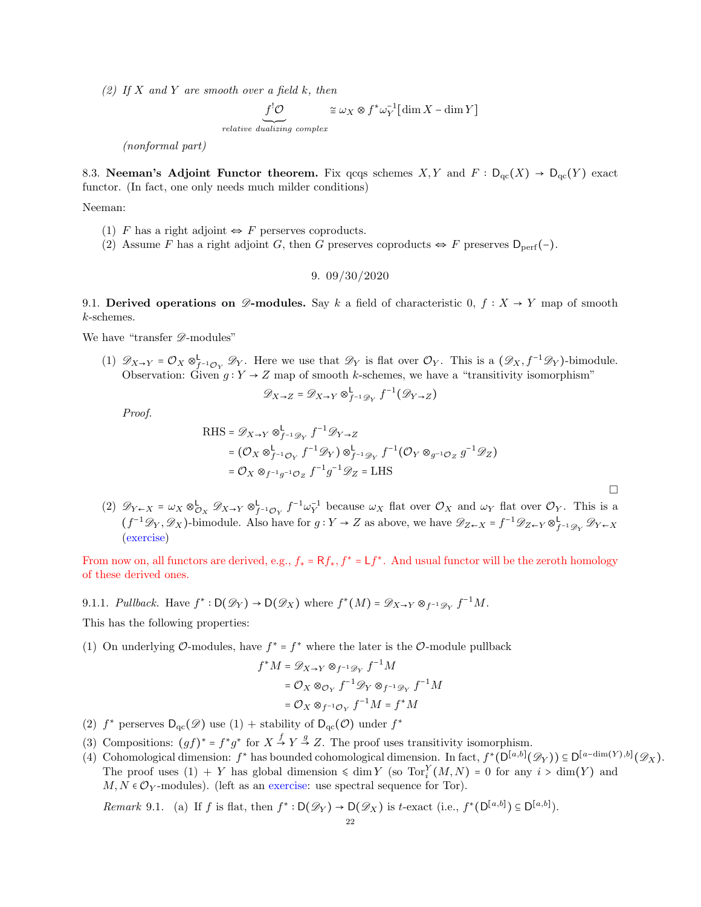(2) If X and Y are smooth over a field k, then

 $f'$ O<br>relative dualizing complex  $\cong \omega_X \otimes f^* \omega_Y^{-1} [\dim X - \dim Y]$ 

(nonformal part)

<span id="page-21-0"></span>8.3. Neeman's Adjoint Functor theorem. Fix qcqs schemes  $X, Y$  and  $F : D_{qc}(X) \to D_{qc}(Y)$  exact functor. (In fact, one only needs much milder conditions)

Neeman:

- (1) F has a right adjoint  $\Leftrightarrow$  F perserves coproducts.
- <span id="page-21-1"></span>(2) Assume F has a right adjoint G, then G preserves coproducts  $\Leftrightarrow$  F preserves  $D_{\text{perf}}(-)$ .

9. 09/30/2020

<span id="page-21-2"></span>9.1. Derived operations on  $\mathscr{D}$ -modules. Say k a field of characteristic 0,  $f : X \to Y$  map of smooth k-schemes.

We have "transfer  $\mathscr{D}\text{-modules}$ "

(1)  $\mathscr{D}_{X\to Y} = \mathcal{O}_X \otimes_{f^{-1}\mathcal{O}_Y}^{\mathsf{L}} \mathscr{D}_Y$ . Here we use that  $\mathscr{D}_Y$  is flat over  $\mathcal{O}_Y$ . This is a  $(\mathscr{D}_X, f^{-1}\mathscr{D}_Y)$ -bimodule. Observation: Given  $g: Y \to Z$  map of smooth k-schemes, we have a "transitivity isomorphism"

$$
\mathscr{D}_{X \to Z} = \mathscr{D}_{X \to Y} \otimes_{f^{-1} \mathscr{D}_Y}^{\mathsf{L}} f^{-1}(\mathscr{D}_{Y \to Z})
$$

Proof.

RHS = 
$$
\mathscr{D}_{X \to Y} \otimes_{f^{-1}\mathscr{D}_Y}^{\mathsf{L}} f^{-1} \mathscr{D}_{Y \to Z}
$$
  
\n=  $(\mathcal{O}_X \otimes_{f^{-1}\mathcal{O}_Y}^{\mathsf{L}} f^{-1} \mathscr{D}_Y) \otimes_{f^{-1}\mathscr{D}_Y}^{\mathsf{L}} f^{-1} (\mathcal{O}_Y \otimes_{g^{-1}\mathcal{O}_Z} g^{-1} \mathscr{D}_Z)$   
\n=  $\mathcal{O}_X \otimes_{f^{-1}g^{-1}\mathcal{O}_Z}^{\mathsf{L}} f^{-1} g^{-1} \mathscr{D}_Z = \text{LHS}$ 

 $\Box$ 

(2)  $\mathscr{D}_{Y \leftarrow X} = \omega_X \otimes_{\mathcal{O}_X}^{\mathsf{L}} \mathscr{D}_{X \rightarrow Y} \otimes_{f^{-1}\mathcal{O}_Y}^{\mathsf{L}} f^{-1} \omega_Y^{-1}$  because  $\omega_X$  flat over  $\mathcal{O}_X$  and  $\omega_Y$  flat over  $\mathcal{O}_Y$ . This is a  $(f^{-1}\mathscr{D}_Y,\mathscr{D}_X)$ -bimodule. Also have for  $g:Y\to Z$  as above, we have  $\mathscr{D}_{Z\leftarrow X} = f^{-1}\mathscr{D}_{Z\leftarrow Y}\otimes^{\mathsf{L}}_{f^{-1}\mathscr{D}_Y}\mathscr{D}_{Y\leftarrow X}$ (exercise)

From now on, all functors are derived, e.g.,  $f_* = Rf_*, f^* = Lf^*$ . And usual functor will be the zeroth homology of these derived ones.

9.1.1. Pullback. Have  $f^* : D(\mathscr{D}_Y) \to D(\mathscr{D}_X)$  where  $f^*(M) = \mathscr{D}_{X \to Y} \otimes_{f^{-1}\mathscr{D}_Y} f^{-1}M$ .

This has the following properties:

(1) On underlying  $\mathcal{O}\text{-modules}$ , have  $f^* = f^*$  where the later is the  $\mathcal{O}\text{-module pullback}$ 

$$
f^*M = \mathscr{D}_{X \to Y} \otimes_{f^{-1}\mathscr{D}_Y} f^{-1}M
$$
  
=  $\mathcal{O}_X \otimes_{\mathcal{O}_Y} f^{-1}\mathscr{D}_Y \otimes_{f^{-1}\mathscr{D}_Y} f^{-1}M$   
=  $\mathcal{O}_X \otimes_{f^{-1}\mathcal{O}_Y} f^{-1}M = f^*M$ 

- (2)  $f^*$  perserves  $D_{qc}(\mathscr{D})$  use  $(1)$  + stability of  $D_{qc}(\mathscr{O})$  under  $f^*$
- (3) Compositions:  $(gf)^* = f^*g^*$  for  $X \stackrel{f}{\rightarrow} Y \stackrel{g}{\rightarrow} Z$ . The proof uses transitivity isomorphism.
- (4) Cohomological dimension:  $f^*$  has bounded cohomological dimension. In fact,  $f^*(D^{[a,b]}(\mathscr{D}_Y)) \subseteq D^{[a-\dim(Y),b]}(\mathscr{D}_X)$ . The proof uses  $(1) + Y$  has global dimension  $\leq \dim Y$  (so  $Tor_i^Y(M, N) = 0$  for any  $i > \dim(Y)$  and  $M, N \in \mathcal{O}_Y$ -modules). (left as an exercise: use spectral sequence for Tor).

Remark 9.1. (a) If f is flat, then  $f^*: D(\mathscr{D}_Y) \to D(\mathscr{D}_X)$  is t-exact (i.e.,  $f^*(D^{[a,b]}) \subseteq D^{[a,b]}$ ).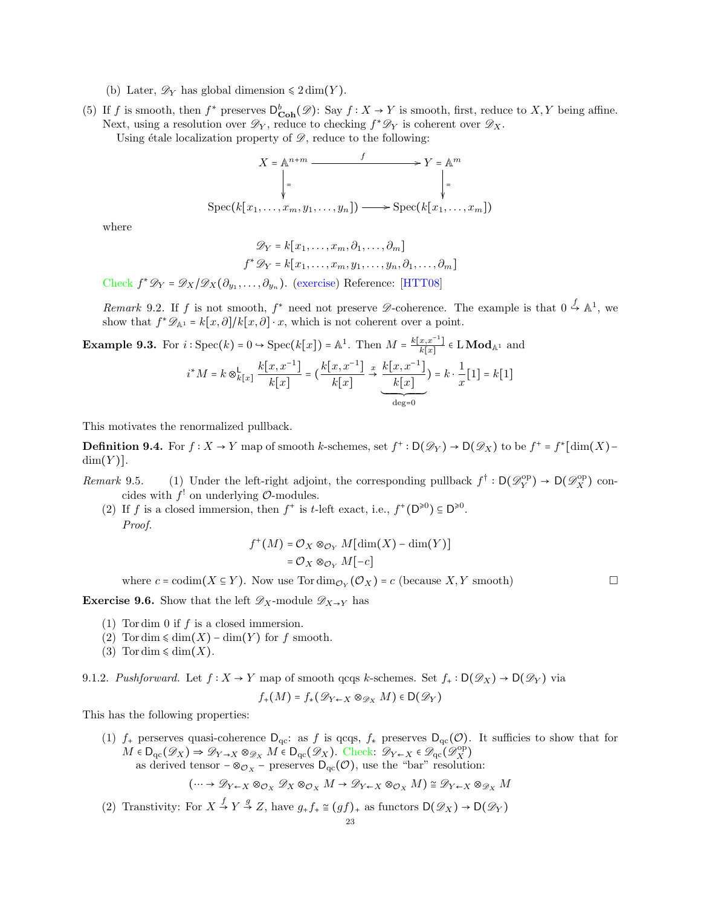- (b) Later,  $\mathscr{D}_Y$  has global dimension  $\leq 2 \dim(Y)$ .
- (5) If f is smooth, then  $f^*$  preserves  $D^b_{\text{Coh}}(\mathscr{D})$ : Say  $f : X \to Y$  is smooth, first, reduce to  $X, Y$  being affine. Next, using a resolution over  $\mathscr{D}_Y$ , reduce to checking  $f^*\mathscr{D}_Y$  is coherent over  $\mathscr{D}_X$ .

Using étale localization property of  $\mathscr{D}$ , reduce to the following:

$$
X = \mathbb{A}^{n+m} \xrightarrow{f} Y = \mathbb{A}^m
$$
  
\n
$$
\downarrow = \qquad \qquad \downarrow =
$$
  
\n
$$
\text{Spec}(k[x_1, \dots, x_m, y_1, \dots, y_n]) \longrightarrow \text{Spec}(k[x_1, \dots, x_m])
$$

where

$$
\mathscr{D}_Y = k[x_1, \dots, x_m, \partial_1, \dots, \partial_m]
$$
  

$$
f^* \mathscr{D}_Y = k[x_1, \dots, x_m, y_1, \dots, y_n, \partial_1, \dots, \partial_m]
$$

Check  $f^* \mathscr{D}_Y = \mathscr{D}_X/\mathscr{D}_X(\partial_{y_1}, \dots, \partial_{y_n})$ . (exercise) Reference: [\[HTT08\]](#page-63-9)

Remark 9.2. If f is not smooth,  $f^*$  need not preserve  $\mathscr{D}$ -coherence. The example is that  $0 \stackrel{f}{\hookrightarrow} \mathbb{A}^1$ , we show that  $f^*\mathscr{D}_{\mathbb{A}^1} = k[x,\partial]/k[x,\partial] \cdot x$ , which is not coherent over a point.

 $\deg=0$ 

**Example 9.3.** For  $i : \text{Spec}(k) = 0 \rightarrow \text{Spec}(k[x]) = \mathbb{A}^1$ . Then  $M = \frac{k[x, x^{-1}]}{k[x]}$  $\frac{x,x-1}{k[x]} \in \text{LMod}_{\mathbb{A}^1}$  and  $i^*M = k \otimes_{k[x]}^{\mathsf{L}}$  $k[x, x^{-1}]$  $\frac{x, x^{-1}}{k[x]} = \left(\frac{k[x, x^{-1}]}{k[x]}\right)$  $k[x]$  $x \xrightarrow[k\infty]{} k[x,x^{-1}]$  $k[x]$ ´¹¹¹¹¹¹¹¹¹¸ ¹¹¹¹¹¹¹¹¹¶  $) = k \cdot \frac{1}{k}$  $\frac{1}{x}[1] = k[1]$ 

This motivates the renormalized pullback.

**Definition 9.4.** For  $f: X \to Y$  map of smooth k-schemes, set  $f^*: D(\mathscr{D}_Y) \to D(\mathscr{D}_X)$  to be  $f^* = f^*$  [dim(X) –  $dim(Y)$ ].

- Remark 9.5. (1) Under the left-right adjoint, the corresponding pullback  $f^{\dagger} : D(\mathscr{D}_Y^{\text{op}}) \to D(\mathscr{D}_X^{\text{op}})$  concides with  $f'$  on underlying  $\mathcal{O}\text{-modules.}$ 
	- (2) If f is a closed immersion, then  $f^+$  is t-left exact, i.e.,  $f^+(\mathsf{D}^{\geq 0}) \subseteq \mathsf{D}^{\geq 0}$ . Proof.

$$
f^+(M) = \mathcal{O}_X \otimes_{\mathcal{O}_Y} M[\dim(X) - \dim(Y)]
$$
  
=  $\mathcal{O}_X \otimes_{\mathcal{O}_Y} M[-c]$ 

where  $c = \text{codim}(X \subseteq Y)$ . Now use  $\text{Tordim}_{\mathcal{O}_Y}(\mathcal{O}_X) = c$  (because  $X, Y$  smooth)

**Exercise 9.6.** Show that the left  $\mathscr{D}_X$ -module  $\mathscr{D}_{X\to Y}$  has

- (1) Tordim 0 if  $f$  is a closed immersion.
- (2) Tor dim  $\leq$  dim(X) dim(Y) for f smooth.
- (3) Tor dim  $\leq$  dim(X).

9.1.2. Pushforward. Let  $f: X \to Y$  map of smooth qcqs k-schemes. Set  $f_+ : D(\mathscr{D}_X) \to D(\mathscr{D}_Y)$  via

$$
f_+(M) = f_*(\mathscr{D}_{Y \leftarrow X} \otimes_{\mathscr{D}_X} M) \in \mathsf{D}(\mathscr{D}_Y)
$$

This has the following properties:

(1)  $f_+$  perserves quasi-coherence  $D_{qc}$ : as f is qcqs,  $f_*$  preserves  $D_{qc}(\mathcal{O})$ . It sufficies to show that for  $M \in D_{\text{qc}}(\mathscr{D}_X) \Rightarrow \mathscr{D}_{Y \to X} \otimes_{\mathscr{D}_X} M \in D_{\text{qc}}(\mathscr{D}_X)$ . Check:  $\mathscr{D}_{Y \leftarrow X} \in \mathscr{D}_{\text{qc}}(\mathscr{D}_X^{\text{op}})$ as derived tensor  $-\otimes_{\mathcal{O}_X}$  – preserves  $D_{qc}(\mathcal{O})$ , use the "bar" resolution:

$$
(\cdots \to \mathscr{D}_{Y \leftarrow X} \otimes_{\mathcal{O}_X} \mathscr{D}_X \otimes_{\mathcal{O}_X} M \to \mathscr{D}_{Y \leftarrow X} \otimes_{\mathcal{O}_X} M) \cong \mathscr{D}_{Y \leftarrow X} \otimes_{\mathscr{D}_X} M
$$

(2) Transtivity: For  $X \stackrel{f}{\rightarrow} Y \stackrel{g}{\rightarrow} Z$ , have  $g_+ f_+ \cong (gf)_+$  as functors  $\mathsf{D}(\mathscr{D}_X) \rightarrow \mathsf{D}(\mathscr{D}_Y)$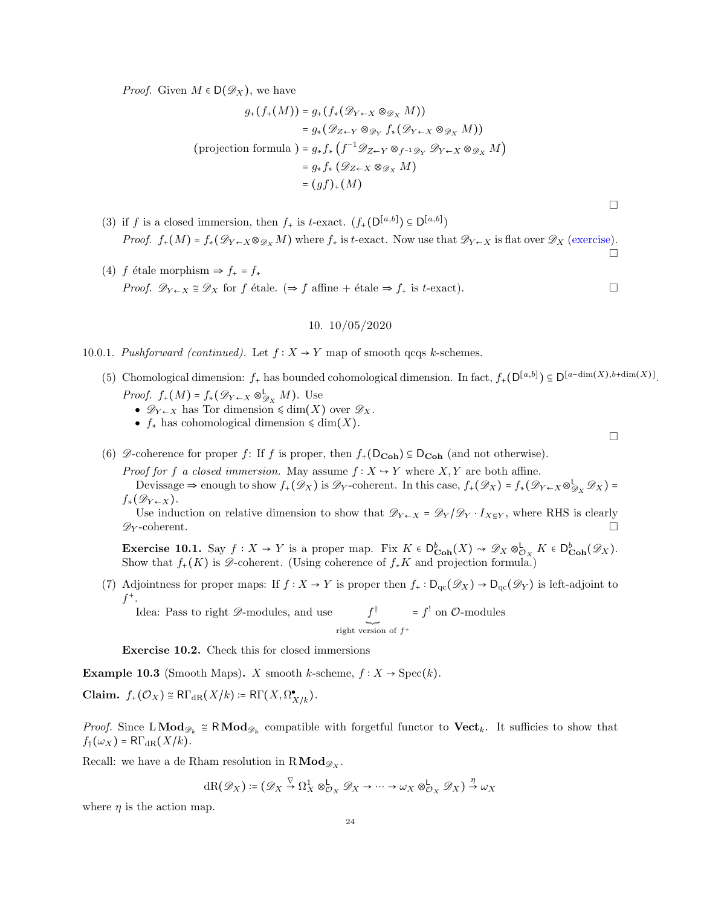*Proof.* Given  $M \in D(\mathscr{D}_X)$ , we have

$$
g_{+}(f_{+}(M)) = g_{+}(f_{*}(\mathcal{D}_{Y \leftarrow X} \otimes_{\mathcal{D}_{X}} M))
$$
  
\n
$$
= g_{*}(\mathcal{D}_{Z \leftarrow Y} \otimes_{\mathcal{D}_{Y}} f_{*}(\mathcal{D}_{Y \leftarrow X} \otimes_{\mathcal{D}_{X}} M))
$$
  
\n
$$
\text{(projection formula)} = g_{*}f_{*}(f^{-1}\mathcal{D}_{Z \leftarrow Y} \otimes_{f^{-1}\mathcal{D}_{Y}} \mathcal{D}_{Y \leftarrow X} \otimes_{\mathcal{D}_{X}} M)
$$
  
\n
$$
= g_{*}f_{*}(\mathcal{D}_{Z \leftarrow X} \otimes_{\mathcal{D}_{X}} M)
$$
  
\n
$$
= (gf)_{+}(M)
$$

- (3) if f is a closed immersion, then  $f_+$  is t-exact.  $(f_+({\mathsf{D}}^{[a,b]}) \subseteq {\mathsf{D}}^{[a,b]})$ *Proof.*  $f_+(M) = f_*(\mathscr{D}_{Y \leftarrow X} \otimes_{\mathscr{D}_X} M)$  where  $f_*$  is t-exact. Now use that  $\mathscr{D}_{Y \leftarrow X}$  is flat over  $\mathscr{D}_X$  (exercise).  $\Box$
- (4) f étale morphism  $\Rightarrow f_{+} = f_{*}$ *Proof.*  $\mathscr{D}_{Y \leftarrow X} \cong \mathscr{D}_X$  for f étale. (⇒ f affine + étale ⇒ f<sub>+</sub> is t-exact).

## 10. 10/05/2020

- <span id="page-23-0"></span>10.0.1. Pushforward (continued). Let  $f: X \to Y$  map of smooth qcqs k-schemes.
	- (5) Chomological dimension:  $f_+$  has bounded cohomological dimension. In fact,  $f_+$ ( $D^{[a,b]}$ )  $\subseteq D^{[a-\dim(X),b+\dim(X)]}$ . *Proof.*  $f_+(M) = f_*(\mathscr{D}_{Y \leftarrow X} \otimes_{\mathscr{D}_X}^{\mathsf{L}} M)$ . Use
		- $\mathscr{D}_{Y \leftarrow X}$  has Tor dimension  $\leq \dim(X)$  over  $\mathscr{D}_X$ .
		- $f_*$  has cohomological dimension  $\leq \dim(X)$ .
	- (6)  $\mathscr{D}$ -coherence for proper f: If f is proper, then  $f_+(\mathsf{D}_{\mathbf{Coh}}) \subseteq \mathsf{D}_{\mathbf{Coh}}$  (and not otherwise).

*Proof for f a closed immersion.* May assume  $f: X \rightarrow Y$  where  $X, Y$  are both affine.

Devissage  $\Rightarrow$  enough to show  $f_+(\mathscr{D}_X)$  is  $\mathscr{D}_Y$ -coherent. In this case,  $f_+(\mathscr{D}_X) = f_*(\mathscr{D}_{Y \leftarrow X} \otimes_{\mathscr{D}_X}^{\mathsf{L}} \mathscr{D}_X) =$  $f_*(\mathscr{D}_{Y\leftarrow X})$ .

Use induction on relative dimension to show that  $\mathscr{D}_{Y \leftarrow X} = \mathscr{D}_{Y}/\mathscr{D}_{Y} \cdot I_{X \subseteq Y}$ , where RHS is clearly  $\mathscr{D}_Y$ -coherent.

Exercise 10.1. Say  $f: X \to Y$  is a proper map. Fix  $K \in D^b_{\mathbf{Coh}}(X) \rightsquigarrow \mathscr{D}_X \otimes^{\mathsf{L}}_{\mathbf{Coh}}(\mathscr{D}_X)$ . Show that  $f_+(K)$  is  $\mathscr{D}$ -coherent. (Using coherence of  $f_*K$  and projection formula.)

(7) Adjointness for proper maps: If  $f : X \to Y$  is proper then  $f_+ : D_{\text{qc}}(\mathscr{D}_X) \to D_{\text{qc}}(\mathscr{D}_Y)$  is left-adjoint to  $f^+$ .

Idea: Pass to right  $\mathscr{D}\text{-modules}$ , and use † right version of  $f^+$  $= f'$  on  $\mathcal{O}\text{-modules}$ 

Exercise 10.2. Check this for closed immersions

Example 10.3 (Smooth Maps). X smooth k-scheme,  $f: X \to \text{Spec}(k)$ .

Claim.  $f_+(\mathcal{O}_X) \cong \mathsf{R}\Gamma_{\mathrm{dR}}(X/k) \coloneqq \mathsf{R}\Gamma(X,\Omega^{\bullet}_{X/k}).$ 

*Proof.* Since  $LMod_{\mathscr{D}_k} \cong RMod_{\mathscr{D}_k}$  compatible with forgetful functor to  $Vect_k$ . It sufficies to show that  $f_{\dagger}(\omega_X) = R\Gamma_{\text{dR}}(X/k).$ 

Recall: we have a de Rham resolution in  $R\text{Mod}_{\mathscr{D}_X}$ .

$$
dR(\mathscr{D}_X) := (\mathscr{D}_X \stackrel{\nabla}{\to} \Omega_X^1 \otimes_{\mathcal{O}_X}^{\mathbb{L}} \mathscr{D}_X \to \cdots \to \omega_X \otimes_{\mathcal{O}_X}^{\mathbb{L}} \mathscr{D}_X) \stackrel{\eta}{\to} \omega_X
$$

where  $\eta$  is the action map.

 $\Box$ 

 $\Box$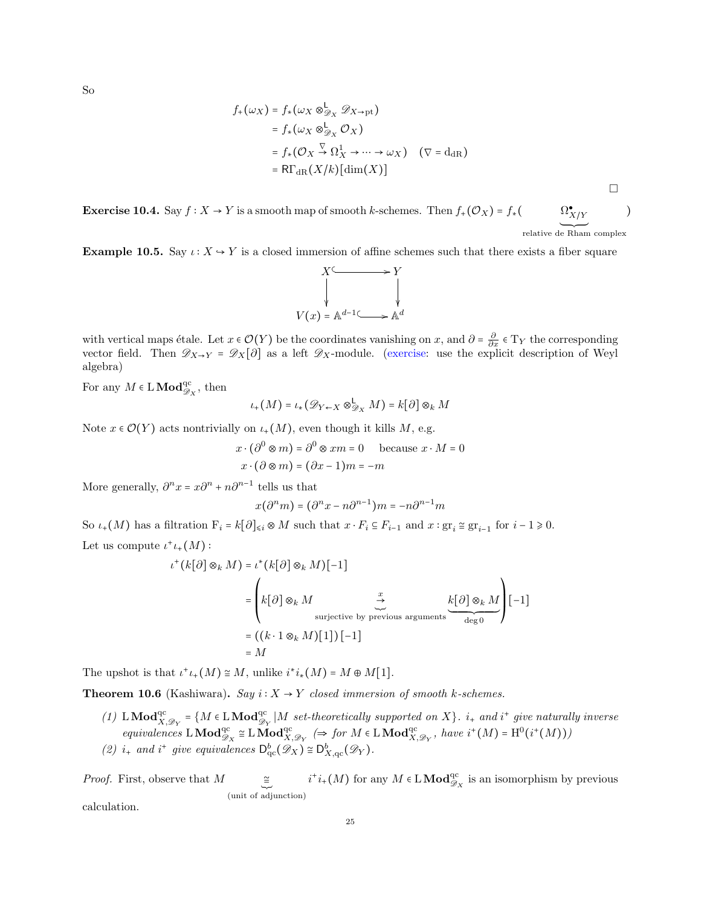So

$$
f_{+}(\omega_{X}) = f_{*}(\omega_{X} \otimes_{\mathscr{D}_{X}}^{L} \mathscr{D}_{X \to pt})
$$
  
=  $f_{*}(\omega_{X} \otimes_{\mathscr{D}_{X}}^{L} \mathscr{O}_{X})$   
=  $f_{*}(\mathscr{O}_{X} \otimes_{X}^{L} \mathscr{O}_{X} \to \cdots \to \omega_{X}) \quad (\nabla = d_{dR})$   
=  $RT_{dR}(X/k)[dim(X)]$ 

Exercise 10.4. Say  $f : X \to Y$  is a smooth map of smooth k-schemes. Then  $f_+(\mathcal{O}_X) = f_*(\bigotimes_{x \in X} \mathcal{O}_{X/X}^*$ <br>relative de Rham complex )

 $\Box$ 

Example 10.5. Say  $\iota: X \to Y$  is a closed immersion of affine schemes such that there exists a fiber square



with vertical maps étale. Let  $x \in \mathcal{O}(Y)$  be the coordinates vanishing on  $x$ , and  $\partial = \frac{\partial}{\partial x} \in T_Y$  the corresponding vector field. Then  $\mathscr{D}_{X\to Y} = \mathscr{D}_X[\partial]$  as a left  $\mathscr{D}_X$ -module. (exercise: use the explicit description of Weyl algebra)

For any  $M \in L \textbf{Mod}^{\text{qc}}_{\mathscr{D}_X}$ , then

$$
\iota_+(M) = \iota_*(\mathscr{D}_{Y \leftarrow X} \otimes_{\mathscr{D}_X}^{\mathsf{L}} M) = k[\partial] \otimes_k M
$$

Note  $x \in \mathcal{O}(Y)$  acts nontrivially on  $\iota_+(M)$ , even though it kills M, e.g.

$$
x \cdot (\partial^0 \otimes m) = \partial^0 \otimes xm = 0 \quad \text{because } x \cdot M = 0
$$

$$
x \cdot (\partial \otimes m) = (\partial x - 1)m = -m
$$

More generally,  $\partial^n x = x \partial^{n} + n \partial^{n-1}$  tells us that

$$
x(\partial^n m) = (\partial^n x - n\partial^{n-1})m = -n\partial^{n-1}m
$$

So  $\iota_+(M)$  has a filtration  $F_i = k[\partial]_{\leq i} \otimes M$  such that  $x \cdot F_i \subseteq F_{i-1}$  and  $x : \text{gr}_i \cong \text{gr}_{i-1}$  for  $i-1 \geq 0$ . Let us compute  $\iota^+ \iota_+(M)$ :

$$
\iota^+(k[\partial] \otimes_k M) = \iota^*(k[\partial] \otimes_k M)[-1]
$$
  
= 
$$
\left(k[\partial] \otimes_k M \underset{\text{surjective by previous arguments}}{\overset{x}{\underset{\text{deg 0}}{\sum}} \underbrace{k[\partial] \otimes_k M}}\right)[-1]
$$
  
= 
$$
((k \cdot 1 \otimes_k M)[1]) [-1]
$$
  
= M

The upshot is that  $\iota^+ \iota_+(M) \cong M$ , unlike  $i^*i_*(M) = M \oplus M[1]$ .

**Theorem 10.6** (Kashiwara). Say  $i: X \rightarrow Y$  closed immersion of smooth k-schemes.

(1) LMod<sup>qc</sup> = { $M \in LMod_{\mathscr{D}_Y}^{\text{qc}} | M \text{ set-theoretically supported on } X$ }. i<sub>+</sub> and i<sup>+</sup> give naturally inverse equivalences  $\operatorname{LMod}_{\mathscr{D}_X}^{\rm qc} \cong \operatorname{LMod}_{X,\mathscr{D}_Y}^{\rm qc} \iff$  for  $M \in \operatorname{LMod}_{X,\mathscr{D}_Y}^{\rm qc}$ , have  $i^+(M) = \mathrm{H}^0(i^+(M)))$ (2)  $i_+$  and  $i^+$  give equivalences  $D^b_{\mathrm{qc}}(\mathscr{D}_X) \cong D^b_{X,\mathrm{qc}}(\mathscr{D}_Y)$ .

*Proof.* First, observe that  $M \cong$  (unit of adjunction)  $i^+i_+(M)$  for any  $M \in \mathbf{L} \mathbf{Mod}^{\mathrm{qc}}_{\mathscr{D}_X}$  is an isomorphism by previous

calculation.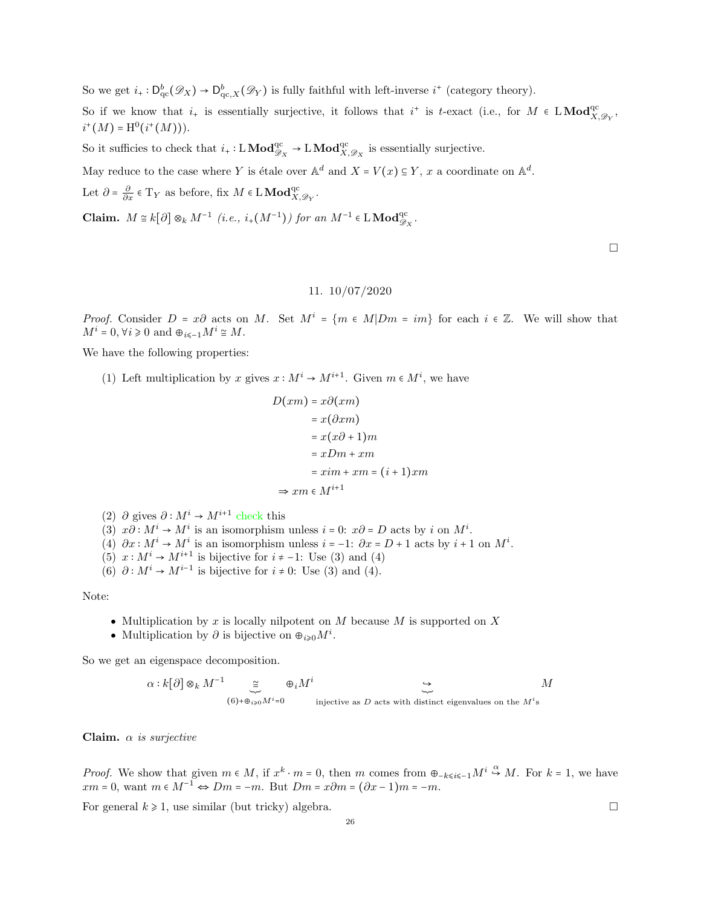So we get  $i_+ : D^b_{\mathrm{qc}}(\mathscr{D}_X) \to D^b_{\mathrm{qc},X}(\mathscr{D}_Y)$  is fully faithful with left-inverse  $i^+$  (category theory).

So if we know that  $i_+$  is essentially surjective, it follows that  $i^+$  is t-exact (i.e., for  $M \in LMod_{X,\mathscr{D}_Y}^{qc}$ ,  $i^+(M) = \mathrm{H}^0(i^+(M))).$ 

So it sufficies to check that  $i_+ : L \textbf{Mod}_{\mathscr{D}_X}^{\text{qc}} \to L \textbf{Mod}_{X,\mathscr{D}_X}^{\text{qc}}$  is essentially surjective.

May reduce to the case where Y is étale over  $\mathbb{A}^d$  and  $X = V(x) \subseteq Y$ , x a coordinate on  $\mathbb{A}^d$ .

Let  $\partial = \frac{\partial}{\partial x} \in T_Y$  as before, fix  $M \in L \textbf{Mod}^{\text{qc}}_{X, \mathscr{D}_Y}$ .

Claim.  $M \cong k[\partial] \otimes_k M^{-1}$  (i.e.,  $i_+(M^{-1})$ ) for an  $M^{-1} \in \mathcal{L} \text{Mod}^{\text{qc}}_{\mathscr{D}_X}$ .

 $\Box$ 

# 11. 10/07/2020

<span id="page-25-0"></span>*Proof.* Consider  $D = x\partial$  acts on M. Set  $M^i = \{m \in M | Dm = im\}$  for each  $i \in \mathbb{Z}$ . We will show that  $M^i = 0, \forall i \geq 0 \text{ and } \oplus_{i \leq -1} M^i \cong M.$ 

We have the following properties:

(1) Left multiplication by x gives  $x : M^i \to M^{i+1}$ . Given  $m \in M^i$ , we have

$$
D(xm) = x\partial(xm)
$$
  
=  $x(\partial xm)$   
=  $x(x\partial + 1)m$   
=  $xDm + xm$   
=  $xim + xm = (i + 1)xm$   
 $\Rightarrow xm \in M^{i+1}$ 

(2)  $\partial$  gives  $\partial : M^i \to M^{i+1}$  check this

- (3)  $x\partial : M^i \to M^i$  is an isomorphism unless  $i = 0$ :  $x\partial = D$  acts by i on  $M^i$ .
- (4)  $\partial x : M^i \to M^i$  is an isomorphism unless  $i = -1: \partial x = D + 1$  acts by  $i + 1$  on  $M^i$ .
- (5)  $x: M^i \to M^{i+1}$  is bijective for  $i \neq -1$ : Use (3) and (4)
- (6)  $\partial: M^i \to M^{i-1}$  is bijective for  $i \neq 0$ : Use (3) and (4).

Note:

- Multiplication by x is locally nilpotent on  $M$  because  $M$  is supported on  $X$
- Multiplication by  $\partial$  is bijective on  $\Theta_{i\geqslant 0}M^i$ .

So we get an eigenspace decomposition.

$$
\alpha : k[\partial] \otimes_k M^{-1} \underset{(6) + \oplus_{i \geqslant 0} M^i = 0}{\cong} \oplus_i M^i \underset{\text{injective as } D \text{ acts with distinct eigenvalues on the } M^i \text{ s}}{\cong} M
$$

Claim.  $\alpha$  is surjective

*Proof.* We show that given  $m \in M$ , if  $x^k \cdot m = 0$ , then m comes from  $\bigoplus_{k \leq i \leq -1} M^i \stackrel{\alpha}{\hookrightarrow} M$ . For  $k = 1$ , we have  $xm = 0$ , want  $m \in M^{-1} \Leftrightarrow Dm = -m$ . But  $Dm = x\partial m = (\partial x - 1)m = -m$ .

For general  $k \ge 1$ , use similar (but tricky) algebra.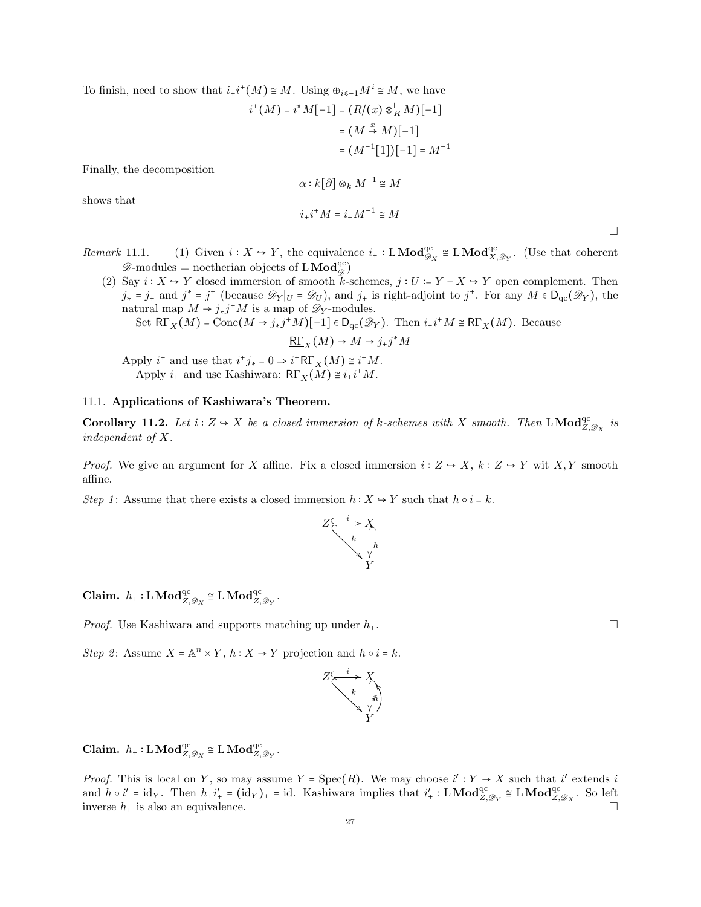To finish, need to show that  $i_+i^+(M) \cong M$ . Using  $\bigoplus_{i \leq -1} M^i \cong M$ , we have

$$
i^+(M) = i^*M[-1] = (R/(x) \otimes_R^{\mathsf{L}} M)[-1]
$$

$$
= (M \xrightarrow{x} M)[-1]
$$

$$
= (M^{-1}[1])[-1] = M^{-1}
$$

Finally, the decomposition

$$
\alpha : k[\partial] \otimes_k M^{-1} \cong M
$$
  

$$
i_+ i^+ M = i_+ M^{-1} \cong M
$$

shows that

$$
\Box
$$

Remark 11.1. (1) Given  $i : X \to Y$ , the equivalence  $i_+ : L \text{Mod}_{\mathscr{D}_X}^{qc} \cong L \text{Mod}_{X, \mathscr{D}_Y}^{qc}$ . (Use that coherent  $\mathscr{D}\text{-modules} = \text{noetherian objects of } L\,\mathbf{Mod}_{\mathscr{D}}^{\mathrm{qc}})$ 

(2) Say  $i: X \to Y$  closed immersion of smooth k-schemes,  $j: U := Y - X \to Y$  open complement. Then  $j_* = j_+$  and  $j^* = j^+$  (because  $\mathscr{D}_Y|_U = \mathscr{D}_U$ ), and  $j_+$  is right-adjoint to  $j^+$ . For any  $M \in D_{qc}(\mathscr{D}_Y)$ , the natural map  $M \to j_*j^*M$  is a map of  $\mathscr{D}_Y$ -modules.

Set 
$$
\underline{R\Gamma}_X(M)
$$
 = Cone $(M \to j_*j^+M)[-1] \in D_{qc}(\mathscr{D}_Y)$ . Then  $i_*i^+M \cong \underline{R\Gamma}_X(M)$ . Because

 $\underline{\mathsf{R}\Gamma}_X(M) \to M \to j_*j^*M$ 

Apply  $i^+$  and use that  $i^+j_* = 0 \Rightarrow i^+\underline{\mathsf{R}\Gamma}_X(M) \cong i^+M$ . Apply  $i_+$  and use Kashiwara:  $\underline{\mathsf{R}\Gamma}_X(M) \cong i_+i^+M$ .

## <span id="page-26-0"></span>11.1. Applications of Kashiwara's Theorem.

**Corollary 11.2.** Let  $i: Z \to X$  be a closed immersion of k-schemes with X smooth. Then L Mod<sup>qc</sup><sub>Z, $\mathscr{D}_X$ </sub> is independent of X.

*Proof.* We give an argument for X affine. Fix a closed immersion  $i: Z \rightarrow X$ ,  $k: Z \rightarrow Y$  wit X, Y smooth affine.

Step 1: Assume that there exists a closed immersion  $h: X \to Y$  such that  $h \circ i = k$ .



 $\textbf{Claim.}~~h_+:\text{L}\,\textbf{Mod}_{Z,\mathscr{D}_X}^{\text{qc}}\cong \text{L}\,\textbf{Mod}_{Z,\mathscr{D}_Y}^{\text{qc}}.$ 

*Proof.* Use Kashiwara and supports matching up under  $h_{+}$ .

Step 2: Assume  $X = \mathbb{A}^n \times Y$ ,  $h: X \to Y$  projection and  $h \circ i = k$ .

$$
Z \xrightarrow{k} X
$$
  
\n
$$
k \uparrow \uparrow \uparrow
$$
  
\n
$$
Y
$$

 $\textbf{Claim.} \ \ h_+:\text{L}\,\textbf{Mod}_{Z,\mathscr{D}_X}^{\text{qc}}\cong \text{L}\,\textbf{Mod}_{Z,\mathscr{D}_Y}^{\text{qc}}.$ 

*Proof.* This is local on Y, so may assume  $Y = \text{Spec}(R)$ . We may choose  $i': Y \to X$  such that i' extends i and  $h \circ i' = id_Y$ . Then  $h_+ i'_+ = (id_Y)_+ = id$ . Kashiwara implies that  $i'_+ : L \textbf{Mod}_{Z, \mathscr{D}_Y}^{qc} \cong L \textbf{Mod}_{Z, \mathscr{D}_X}^{qc}$ . So left inverse  $h_+$  is also an equivalence.

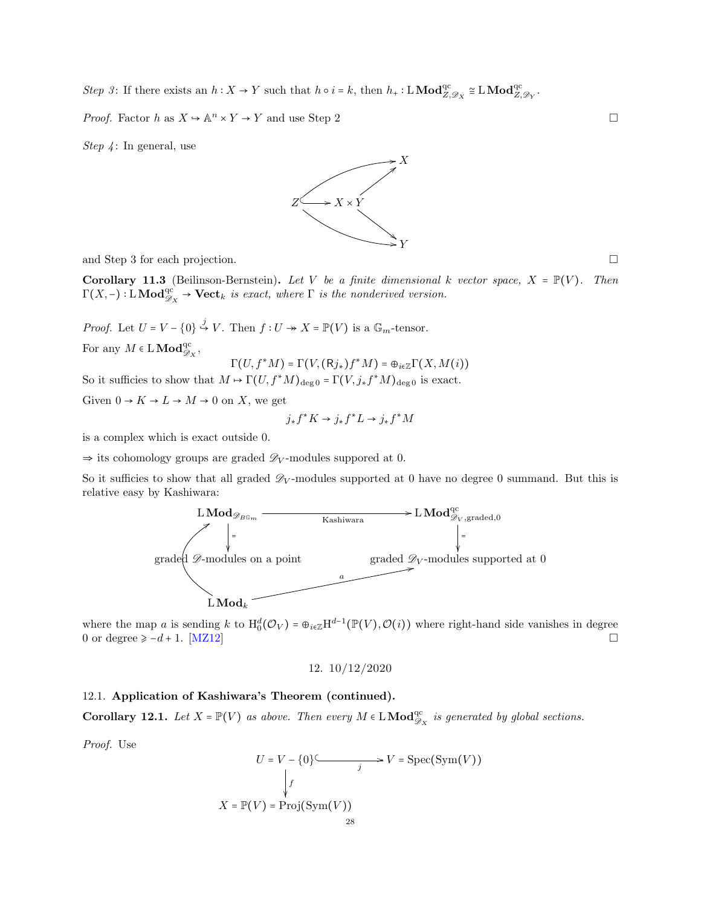Step 3: If there exists an  $h: X \to Y$  such that  $h \circ i = k$ , then  $h_+ : L \textbf{Mod}_{Z, \mathscr{D}_X}^{\text{qc}} \cong L \textbf{Mod}_{Z, \mathscr{D}_Y}^{\text{qc}}$ .

*Proof.* Factor h as  $X \to \mathbb{A}^n \times Y \to Y$  and use Step 2

Step  $\sqrt{4}$ : In general, use



and Step 3 for each projection.

**Corollary 11.3** (Beilinson-Bernstein). Let V be a finite dimensional k vector space,  $X = \mathbb{P}(V)$ . Then  $\Gamma(X, -): L\textbf{Mod}_{\mathscr{D}_X}^{\text{qc}} \to \textbf{Vect}_k$  is exact, where  $\Gamma$  is the nonderived version.

*Proof.* Let  $U = V - \{0\} \stackrel{j}{\hookrightarrow} V$ . Then  $f: U \twoheadrightarrow X = \mathbb{P}(V)$  is a  $\mathbb{G}_m$ -tensor.

For any  $M \in L \textbf{Mod}^{\text{qc}}_{\mathscr{D}_X}$ ,

$$
\Gamma(U, f^*M) = \Gamma(V, (\mathsf{R}j_*)f^*M) = \oplus_{i \in \mathbb{Z}} \Gamma(X, M(i))
$$

So it sufficies to show that  $M \mapsto \Gamma(U, f^*M)_{\text{deg }0} = \Gamma(V, j_*f^*M)_{\text{deg }0}$  is exact.

Given  $0 \to K \to L \to M \to 0$  on X, we get

$$
j_* f^* K \to j_* f^* L \to j_* f^* M
$$

is a complex which is exact outside 0.

 $\Rightarrow$  its cohomology groups are graded  $\mathscr{D}_V$ -modules suppored at 0.

So it sufficies to show that all graded  $\mathscr{D}_V$ -modules supported at 0 have no degree 0 summand. But this is relative easy by Kashiwara:



where the map a is sending k to  $H_0^d(\mathcal{O}_V) = \bigoplus_{i \in \mathbb{Z}} H^{d-1}(\mathbb{P}(V), \mathcal{O}(i))$  where right-hand side vanishes in degree 0 or degree  $\geq -d + 1$ . [\[MZ12\]](#page-63-10)

12. 10/12/2020

## <span id="page-27-1"></span><span id="page-27-0"></span>12.1. Application of Kashiwara's Theorem (continued).

**Corollary 12.1.** Let  $X = \mathbb{P}(V)$  as above. Then every  $M \in L \text{Mod}_{\mathscr{D}_X}^{\text{qc}}$  is generated by global sections.

Proof. Use

$$
U = V - \{0\} \xrightarrow{j} V = \text{Spec}(\text{Sym}(V))
$$
  
\n
$$
\downarrow f
$$
  
\n
$$
X = \mathbb{P}(V) = \text{Proj}(\text{Sym}(V))
$$
  
\n
$$
28
$$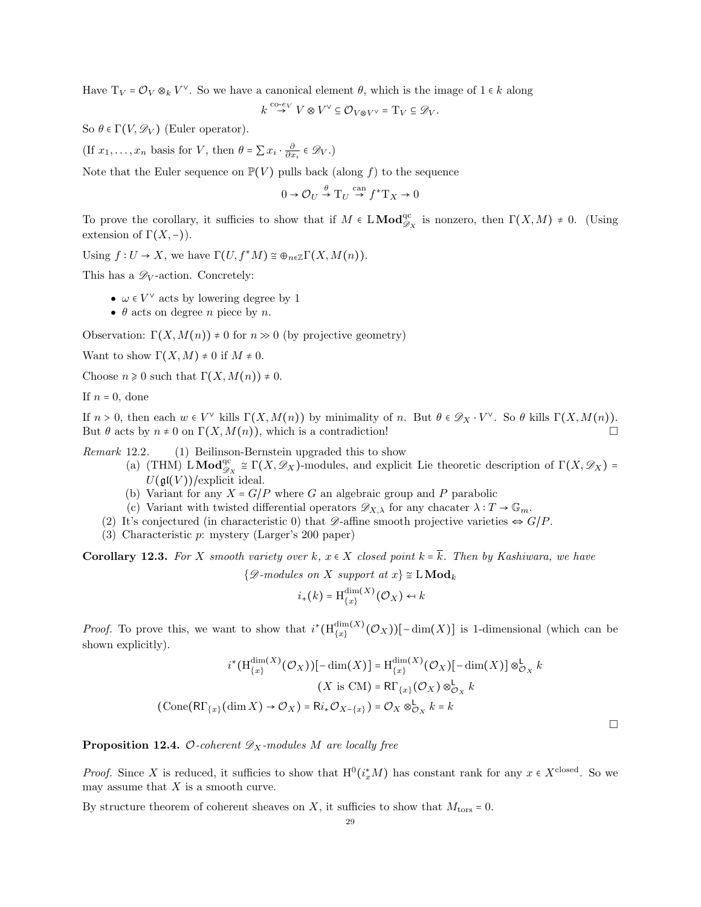Have  $T_V = \mathcal{O}_V \otimes_k V^{\vee}$ . So we have a canonical element  $\theta$ , which is the image of  $1 \in k$  along

$$
k \stackrel{\mathrm{co}\text{-}ev}{\to} V \otimes V^{\vee} \subseteq \mathcal{O}_{V \otimes V^{\vee}} = \mathrm{T}_V \subseteq \mathscr{D}_V.
$$

So  $\theta \in \Gamma(V, \mathscr{D}_V)$  (Euler operator).

(If  $x_1, \ldots, x_n$  basis for V, then  $\theta = \sum x_i \cdot \frac{\partial}{\partial x_i} \in \mathcal{D}_V$ .)

Note that the Euler sequence on  $\mathbb{P}(V)$  pulls back (along f) to the sequence

$$
0 \to \mathcal{O}_U \overset{\theta}{\to} \mathrm{T}_U \overset{\mathrm{can}}{\to} f^* \mathrm{T}_X \to 0
$$

To prove the corollary, it sufficies to show that if  $M \in L\textbf{Mod}_{\mathscr{D}_X}^{\text{qc}}$  is nonzero, then  $\Gamma(X,M) \neq 0$ . (Using extension of  $\Gamma(X,-)$ ).

Using  $f: U \to X$ , we have  $\Gamma(U, f^*M) \cong \bigoplus_{n \in \mathbb{Z}} \Gamma(X, M(n)).$ 

This has a  $\mathscr{D}_V$ -action. Concretely:

- $\bullet \ \omega \in V^\vee$  acts by lowering degree by  $1$
- $\theta$  acts on degree *n* piece by *n*.

Observation:  $\Gamma(X, M(n)) \neq 0$  for  $n \gg 0$  (by projective geometry)

Want to show  $\Gamma(X, M) \neq 0$  if  $M \neq 0$ .

Choose  $n \geq 0$  such that  $\Gamma(X, M(n)) \neq 0$ .

If  $n = 0$ , done

If  $n > 0$ , then each  $w \in V^{\vee}$  kills  $\Gamma(X, M(n))$  by minimality of n. But  $\theta \in \mathscr{D}_X \cdot V^{\vee}$ . So  $\theta$  kills  $\Gamma(X, M(n))$ . But  $\theta$  acts by  $n \neq 0$  on  $\Gamma(X, M(n))$ , which is a contradiction!

Remark 12.2. (1) Beilinson-Bernstein upgraded this to show

- (a) (THM)  $\text{LMod}_{\mathscr{D}_X}^{\text{qc}} \cong \Gamma(X, \mathscr{D}_X)$ -modules, and explicit Lie theoretic description of  $\Gamma(X, \mathscr{D}_X)$  =  $U(\mathfrak{gl}(V))$ /explicit ideal.
- (b) Variant for any  $X = G/P$  where G an algebraic group and P parabolic
- (c) Variant with twisted differential operators  $\mathscr{D}_{X,\lambda}$  for any chacater  $\lambda: T \to \mathbb{G}_m$ .
- (2) It's conjectured (in characteristic 0) that  $\mathscr{D}$ -affine smooth projective varieties  $\Leftrightarrow G/P$ .
- (3) Characteristic p: mystery (Larger's 200 paper)

**Corollary 12.3.** For X smooth variety over k,  $x \in X$  closed point  $k = \overline{k}$ . Then by Kashiwara, we have

 $\{\mathscr{D}$-modules on X support at  $x\} \cong L\textbf{Mod}_k$$ 

$$
i_+(k) = \mathrm{H}_{\{x\}}^{\dim(X)}(\mathcal{O}_X) \leftrightarrow k
$$

*Proof.* To prove this, we want to show that  $i^*(H_{\{x\}}^{\dim(X)})$  $\lim_{\{x\}}(X)(\mathcal{O}_X))[-\dim(X)]$  is 1-dimensional (which can be shown explicitly).

$$
i^*(\operatorname{H}_{\{x\}}^{\dim(X)}(\mathcal{O}_X))[-\dim(X)] = \operatorname{H}_{\{x\}}^{\dim(X)}(\mathcal{O}_X)[- \dim(X)] \otimes_{\mathcal{O}_X}^{\mathbb{L}} k
$$
  

$$
(X \text{ is CM}) = \operatorname{R\Gamma}_{\{x\}}(\mathcal{O}_X) \otimes_{\mathcal{O}_X}^{\mathbb{L}} k
$$
  

$$
(\operatorname{Cone}(\operatorname{R\Gamma}_{\{x\}}(\dim X) \to \mathcal{O}_X) = \operatorname{R}_{\mathbb{L}_*} \mathcal{O}_{X - \{x\}}) = \mathcal{O}_X \otimes_{\mathcal{O}_X}^{\mathbb{L}} k = k
$$

<span id="page-28-0"></span>**Proposition 12.4.** O-coherent  $\mathscr{D}_X$ -modules M are locally free

*Proof.* Since X is reduced, it sufficies to show that  $H^0(i_x^*M)$  has constant rank for any  $x \in X^{\text{closed}}$ . So we may assume that  $X$  is a smooth curve.

By structure theorem of coherent sheaves on X, it sufficies to show that  $M_{\text{tors}} = 0$ .

 $\Box$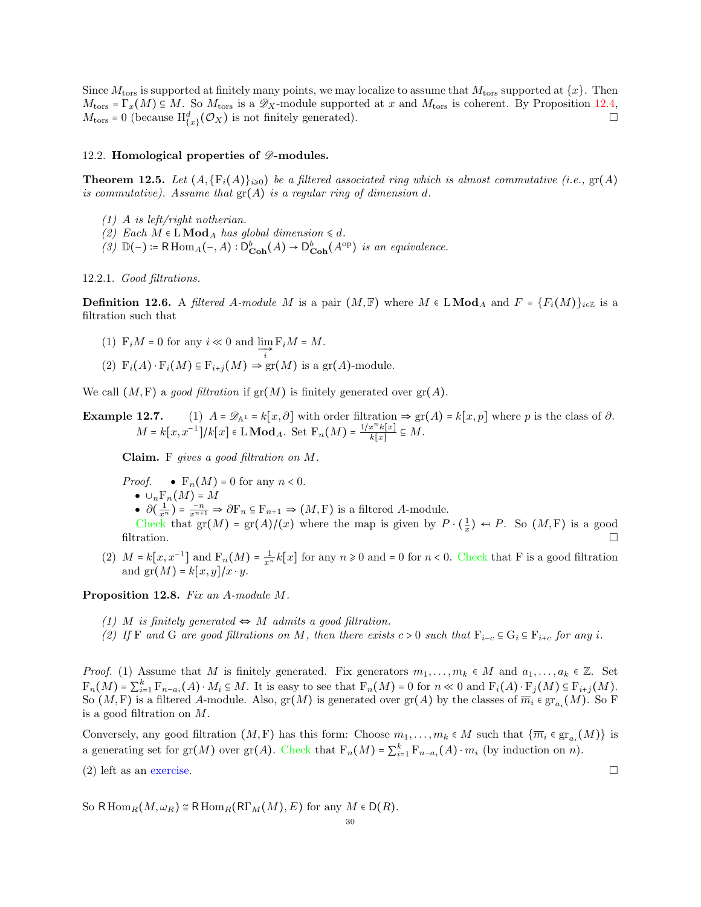Since  $M_{\text{tors}}$  is supported at finitely many points, we may localize to assume that  $M_{\text{tors}}$  supported at  $\{x\}$ . Then  $M_{\text{tors}} = \Gamma_x(M) \subseteq M$ . So  $M_{\text{tors}}$  is a  $\mathscr{D}_X$ -module supported at x and  $M_{\text{tors}}$  is coherent. By Proposition [12.4,](#page-28-0)  $M_{\text{tors}} = 0$  (because  $H^d_{\{x\}}(\mathcal{O}_X)$  is not finitely generated).

#### <span id="page-29-0"></span>12.2. Homological properties of  $\mathscr{D}$ -modules.

**Theorem 12.5.** Let  $(A, \{F_i(A)\}_{i\geq0})$  be a filtered associated ring which is almost commutative (i.e.,  $gr(A)$ ) is commutative). Assume that  $\text{gr}(A)$  is a regular ring of dimension d.

- (1) A is left/right notherian.
- (2) Each  $M \in L \text{Mod}_A$  has global dimension  $\leq d$ .
- (3)  $\mathbb{D}(-)$  := RHom<sub>A</sub>(-, A) :  $D^b_{\text{Coh}}(A) \rightarrow D^b_{\text{Coh}}(A^{\text{op}})$  is an equivalence.

12.2.1. Good filtrations.

**Definition 12.6.** A filtered A-module M is a pair  $(M, \mathbb{F})$  where  $M \in LMod_A$  and  $F = \{F_i(M)\}_{i \in \mathbb{Z}}$  is a filtration such that

- (1)  $F_i M = 0$  for any  $i \ll 0$  and  $\lim_{i \to \infty} F_i M = M$ .
- (2)  $F_i(A) \cdot F_i(M) \subseteq F_{i+j}(M) \Rightarrow \text{gr}(M)$  is a  $\text{gr}(A)$ -module.

We call  $(M, F)$  a good filtration if  $gr(M)$  is finitely generated over  $gr(A)$ .

**Example 12.7.** (1)  $A = \mathscr{D}_{\mathbb{A}^1} = k[x, \partial]$  with order filtration  $\Rightarrow$  gr(A) = k[x, p] where p is the class of  $\partial$ .  $M = k[x, x^{-1}]/k[x] \in \mathbf{LMod}_A$ . Set  $F_n(M) = \frac{1/x^n k[x]}{k[x]}$  $\frac{x-\kappa[x]}{k[x]} \subseteq M.$ 

Claim. F gives a good filtration on M.

- *Proof.*  $\bullet$   $F_n(M) = 0$  for any  $n < 0$ .
	- $\bullet \cup_n \mathbb{F}_n(M) = M$

•  $\partial(\frac{1}{x^n}) = \frac{-n}{x^{n+1}} \Rightarrow \partial F_n \subseteq F_{n+1} \Rightarrow (M, F)$  is a filtered A-module.

Check that  $gr(M) = gr(A)/(x)$  where the map is given by  $P \cdot (\frac{1}{x}) \leftrightarrow P$ . So  $(M, F)$  is a good filtration.  $\Box$ 

(2)  $M = k[x, x^{-1}]$  and  $F_n(M) = \frac{1}{x^n} k[x]$  for any  $n \ge 0$  and = 0 for  $n < 0$ . Check that F is a good filtration and  $gr(M) = k[x, y]/x \cdot y$ .

Proposition 12.8. Fix an A-module M.

- (1) M is finitely generated  $\Leftrightarrow M$  admits a good filtration.
- (2) If F and G are good filtrations on M, then there exists  $c > 0$  such that  $F_{i-c} \subseteq G_i \subseteq F_{i+c}$  for any i.

*Proof.* (1) Assume that M is finitely generated. Fix generators  $m_1, \ldots, m_k \in M$  and  $a_1, \ldots, a_k \in \mathbb{Z}$ . Set  $F_n(M) = \sum_{i=1}^k F_{n-a_i}(A) \cdot M_i \subseteq M$ . It is easy to see that  $F_n(M) = 0$  for  $n \ll 0$  and  $F_i(A) \cdot F_j(M) \subseteq F_{i+j}(M)$ . So  $(M, F)$  is a filtered A-module. Also,  $gr(M)$  is generated over  $gr(A)$  by the classes of  $\overline{m}_i \in gr_{a_i}(M)$ . So F is a good filtration on M.

Conversely, any good filtration  $(M, F)$  has this form: Choose  $m_1, \ldots, m_k \in M$  such that  $\{\overline{m}_i \in \text{gr}_{a_i}(M)\}$  is a generating set for gr(M) over gr(A). Check that  $F_n(M) = \sum_{i=1}^k F_{n-a_i}(A) \cdot m_i$  (by induction on n).

(2) left as an exercise.

So RHom<sub>R</sub> $(M, \omega_R) \cong$  RHom<sub>R</sub> $(R\Gamma_M(M), E)$  for any  $M \in D(R)$ .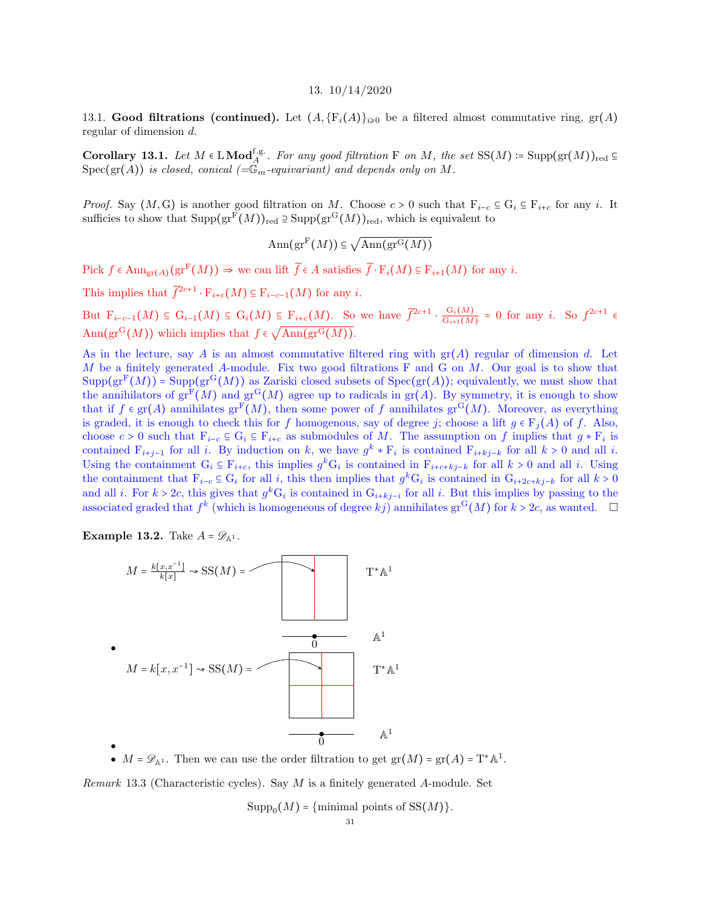#### 13. 10/14/2020

<span id="page-30-1"></span><span id="page-30-0"></span>13.1. Good filtrations (continued). Let  $(A, \{F_i(A)\}_{i\geq0}$  be a filtered almost commutative ring,  $gr(A)$ regular of dimension d.

Corollary 13.1. Let  $M \in LMod_A^{f.g.}$ . For any good filtration F on M, the set  $SS(M) = Supp(gr(M))_{red} \subseteq$  $Spec(gr(A))$  is closed, conical  $(\equiv \mathbb{G}_{m}$ -equivariant) and depends only on M.

*Proof.* Say  $(M, G)$  is another good filtration on M. Choose  $c > 0$  such that  $F_{i-c} \subseteq G_i \subseteq F_{i+c}$  for any i. It sufficies to show that  $\text{Supp}(\text{gr}^{\mathbf{F}}(M))_{\text{red}} \supseteq \text{Supp}(\text{gr}^{\mathbf{G}}(M))_{\text{red}}$ , which is equivalent to

> $\mathrm{Ann}(\mathrm{gr}^{\mathrm{F}}(M))\subseteq$  $\sqrt{\mathrm{Ann}(\mathrm{gr}^{\mathrm{G}}(M))}$

Pick  $f \in \text{Ann}_{gr(A)}(gr^F(M)) \Rightarrow$  we can lift  $\widetilde{f} \in A$  satisfies  $\widetilde{f} \cdot F_i(M) \subseteq F_{i+1}(M)$  for any i.

This implies that  $\tilde{f}^{2c+1} \cdot F_{i+c}(M) \subseteq F_{i-c-1}(M)$  for any i.

But  $F_{i-c-1}(M) \subseteq G_{i-1}(M) \subseteq G_i(M) \subseteq F_{i+c}(M)$ . So we have  $\widetilde{f}^{2c+1} \cdot \frac{G_i(M)}{G_{i+1}(M)}$  $\frac{G_i(M)}{G_{i+1}(M)} = 0$  for any *i*. So  $f^{2c+1} \in$ Ann $(\text{gr}^{\mathbf{G}}(M))$  which implies that  $f \in \sqrt{\text{Ann}(\text{gr}^{\mathbf{G}}(M))}$ .

As in the lecture, say A is an almost commutative filtered ring with  $gr(A)$  regular of dimension d. Let M be a finitely generated A-module. Fix two good filtrations  $F$  and  $G$  on  $M$ . Our goal is to show that  $Supp(\text{gr}^F(M))$  = Supp $(\text{gr}^G(M))$  as Zariski closed subsets of  $Spec(\text{gr}(A))$ ; equivalently, we must show that the annihilators of  $gr^F(M)$  and  $gr^G(M)$  agree up to radicals in  $gr(A)$ . By symmetry, it is enough to show that if  $f \in \text{gr}(A)$  annihilates  $\text{gr}^F(M)$ , then some power of f annihilates  $\text{gr}^G(M)$ . Moreover, as everything is graded, it is enough to check this for f homogenous, say of degree j; choose a lift  $g \in F_i(A)$  of f. Also, choose  $c > 0$  such that  $F_{i-c} \subseteq G_i \subseteq F_{i+c}$  as submodules of M. The assumption on f implies that  $g * F_i$  is contained  $F_{i+j-1}$  for all i. By induction on k, we have  $g^k * F_i$  is contained  $F_{i+kj-k}$  for all  $k > 0$  and all i. Using the containment  $G_i \subseteq F_{i+c}$ , this implies  $g^k G_i$  is contained in  $F_{i+c+kj-k}$  for all  $k > 0$  and all i. Using the containment that  $F_{i-c} \subseteq G_i$  for all i, this then implies that  $g^k G_i$  is contained in  $G_{i+2c+kj-k}$  for all  $k > 0$ and all *i*. For  $k > 2c$ , this gives that  $g^k G_i$  is contained in  $G_{i+kj-i}$  for all *i*. But this implies by passing to the associated graded that  $f^k$  (which is homogeneous of degree  $kj$ ) annihilates  $gr^G(M)$  for  $k > 2c$ , as wanted.  $\Box$ 

**Example 13.2.** Take  $A = \mathscr{D}_{\mathbb{A}^1}$ .



•  $M = \mathscr{D}_{\mathbb{A}^1}$ . Then we can use the order filtration to get  $gr(M) = gr(A) = T^* \mathbb{A}^1$ .

*Remark* 13.3 (Characteristic cycles). Say  $M$  is a finitely generated  $A$ -module. Set

 $\text{Supp}_0(M) = \{\text{minimal points of }SS(M)\}.$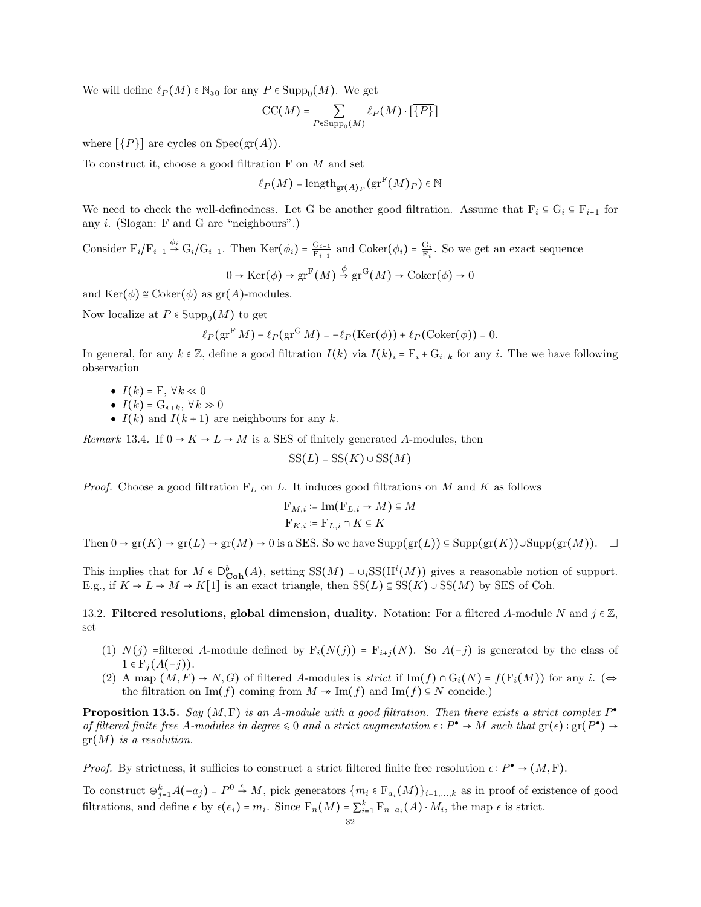We will define  $\ell_P(M) \in \mathbb{N}_{\geq 0}$  for any  $P \in \text{Supp}_0(M)$ . We get

$$
\mathrm{CC}(M) = \sum_{P \in \mathrm{Supp}_0(M)} \ell_P(M) \cdot \left[ \overline{\{P\}} \right]
$$

where  $\{P\}$  are cycles on  $Spec(gr(A)).$ 

To construct it, choose a good filtration F on M and set

$$
\ell_P(M)=\mathrm{length}_{\mathrm{gr}(A)_P}(\mathrm{gr}^{\mathrm{F}}(M)_P)\in\mathbb{N}
$$

We need to check the well-definedness. Let G be another good filtration. Assume that  $F_i \subseteq G_i \subseteq F_{i+1}$  for any i. (Slogan: F and G are "neighbours".)

Consider  $F_i/F_{i-1} \stackrel{\phi_i}{\rightarrow} G_i/G_{i-1}$ . Then  $\text{Ker}(\phi_i) = \frac{G_{i-1}}{F_{i-1}}$  and  $\text{Coker}(\phi_i) = \frac{G_i}{F_i}$ . So we get an exact sequence φ

$$
0 \to \text{Ker}(\phi) \to \text{gr}^{\text{F}}(M) \stackrel{\varphi}{\to} \text{gr}^{\text{G}}(M) \to \text{Coker}(\phi) \to 0
$$

and  $\text{Ker}(\phi) \cong \text{Coker}(\phi)$  as  $\text{gr}(A)$ -modules.

Now localize at  $P \in \text{Supp}_0(M)$  to get

$$
\ell_P(\operatorname{gr}^F M) - \ell_P(\operatorname{gr}^G M) = -\ell_P(\operatorname{Ker}(\phi)) + \ell_P(\operatorname{Coker}(\phi)) = 0.
$$

In general, for any  $k \in \mathbb{Z}$ , define a good filtration  $I(k)$  via  $I(k)_i = F_i + G_{i+k}$  for any i. The we have following observation

- $I(k) = \mathbf{F}, \forall k \ll 0$
- $I(k) = G_{k+k}, \forall k \gg 0$
- $I(k)$  and  $I(k+1)$  are neighbours for any k.

Remark 13.4. If  $0 \rightarrow K \rightarrow L \rightarrow M$  is a SES of finitely generated A-modules, then

$$
SS(L) = SS(K) \cup SS(M)
$$

*Proof.* Choose a good filtration  $F<sub>L</sub>$  on L. It induces good filtrations on M and K as follows

$$
\mathcal{F}_{M,i} \coloneqq \text{Im}(\mathcal{F}_{L,i} \to M) \subseteq M
$$

$$
\mathcal{F}_{K,i} \coloneqq \mathcal{F}_{L,i} \cap K \subseteq K
$$

Then  $0 \to \text{gr}(K) \to \text{gr}(L) \to \text{gr}(M) \to 0$  is a SES. So we have  $\text{Supp}(\text{gr}(L)) \subseteq \text{Supp}(\text{gr}(K)) \cup \text{Supp}(\text{gr}(M)).$ 

This implies that for  $M \in D_{\text{Coh}}^b(A)$ , setting  $SS(M) = \bigcup_i SS(H^i(M))$  gives a reasonable notion of support. E.g., if  $K \to L \to M \to K[1]$  is an exact triangle, then  $SS(L) \subseteq SS(K) \cup SS(M)$  by SES of Coh.

<span id="page-31-0"></span>13.2. Filtered resolutions, global dimension, duality. Notation: For a filtered A-module N and  $j \in \mathbb{Z}$ , set

- (1)  $N(j)$  =filtered A-module defined by  $F_i(N(j)) = F_{i+j}(N)$ . So  $A(-j)$  is generated by the class of  $1 \in F_i(A(-j)).$
- (2) A map  $(M, F) \to N, G$  of filtered A-modules is strict if Im(f)  $\cap G_i(N) = f(F_i(M))$  for any i. (⇔ the filtration on Im(f) coming from  $M \to \text{Im}(f)$  and Im(f)  $\subseteq N$  concide.)

**Proposition 13.5.** Say  $(M, F)$  is an A-module with a good filtration. Then there exists a strict complex  $P^{\bullet}$ of filtered finite free A-modules in degree  $\leq 0$  and a strict augmentation  $\epsilon : P^{\bullet} \to M$  such that  $gr(\epsilon) : gr(P^{\bullet}) \to$  $gr(M)$  is a resolution.

*Proof.* By strictness, it sufficies to construct a strict filtered finite free resolution  $\epsilon : P^{\bullet} \to (M, F)$ .

To construct  $\bigoplus_{j=1}^k A(-a_j) = P^0 \stackrel{\epsilon}{\to} M$ , pick generators  $\{m_i \in F_{a_i}(M)\}_{i=1,\ldots,k}$  as in proof of existence of good filtrations, and define  $\epsilon$  by  $\epsilon(e_i) = m_i$ . Since  $F_n(M) = \sum_{i=1}^k F_{n-a_i}(A) \cdot M_i$ , the map  $\epsilon$  is strict.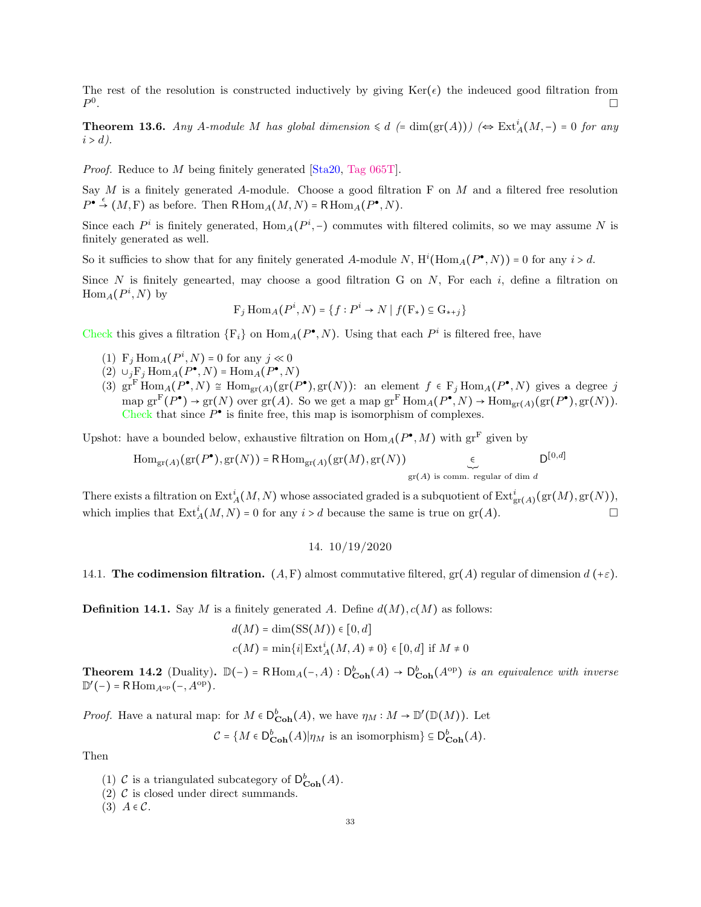The rest of the resolution is constructed inductively by giving  $\text{Ker}(\epsilon)$  the indeuced good filtration from  $P^0$ .

**Theorem 13.6.** Any A-module M has global dimension  $\leq d$  (= dim(gr(A))) ( $\Leftrightarrow$   $\text{Ext}_{A}^{i}(M,-) = 0$  for any  $i > d$ ).

Proof. Reduce to M being finitely generated [\[Sta20,](#page-63-7) [Tag 065T\]](https://stacks.math.columbia.edu/tag/065T).

Say  $M$  is a finitely generated A-module. Choose a good filtration F on  $M$  and a filtered free resolution  $P^{\bullet} \stackrel{\epsilon}{\rightarrow} (M, F)$  as before. Then  $R\operatorname{Hom}_A(M, N) = R\operatorname{Hom}_A(P^{\bullet}, N)$ .

Since each  $P^i$  is finitely generated,  $\text{Hom}_A(P^i, -)$  commutes with filtered colimits, so we may assume N is finitely generated as well.

So it sufficies to show that for any finitely generated A-module N,  $H^i(\text{Hom}_A(P^{\bullet}, N)) = 0$  for any  $i > d$ .

Since N is finitely genearted, may choose a good filtration G on N, For each i, define a filtration on  $\text{Hom}_A(P^i,N)$  by

$$
F_j \operatorname{Hom}_A(P^i, N) = \{ f : P^i \to N \mid f(\mathbf{F}_*) \subseteq \mathbf{G}_{*+j} \}
$$

Check this gives a filtration  $\{F_i\}$  on  $\text{Hom}_A(P^{\bullet}, N)$ . Using that each  $P^i$  is filtered free, have

- (1)  $F_j \text{Hom}_A(P^i, N) = 0$  for any  $j \ll 0$
- (2)  $\cup_j \mathbf{F}_j \text{Hom}_A(P^{\bullet}, N) = \text{Hom}_A(P^{\bullet}, N)$
- (3)  $\operatorname{gr}^F\operatorname{Hom}_A(P^{\bullet}, N) \cong \operatorname{Hom}_{\operatorname{gr}(A)}(\operatorname{gr}(P^{\bullet}), \operatorname{gr}(N))$ : an element  $f \in F_j \operatorname{Hom}_A(P^{\bullet}, N)$  gives a degree j map  $gr^F(P^{\bullet}) \to gr(N)$  over  $gr(A)$ . So we get a map  $gr^F \text{Hom}_A(P^{\bullet}, N) \to \text{Hom}_{gr(A)}(gr(P^{\bullet}), gr(N)).$ Check that since  $P^{\bullet}$  is finite free, this map is isomorphism of complexes.

Upshot: have a bounded below, exhaustive filtration on  $\text{Hom}_A(P^{\bullet}, M)$  with  $\text{gr}^{\text{F}}$  given by

$$
\operatorname{Hom}_{\operatorname{gr}(A)}(\operatorname{gr}(P^{\bullet}), \operatorname{gr}(N)) = \operatorname{R}\operatorname{Hom}_{\operatorname{gr}(A)}(\operatorname{gr}(M), \operatorname{gr}(N)) \underset{\operatorname{gr}(A) \text{ is comm. regular of dim }d}{\longleftarrow} D^{[0,d]}
$$

There exists a filtration on  $\mathrm{Ext}^i_A(M,N)$  whose associated graded is a subquotient of  $\mathrm{Ext}^i_{\mathrm{gr}(A)}(\mathrm{gr}(M),\mathrm{gr}(N)),$ which implies that  $\text{Ext}_{A}^{i}(M, N) = 0$  for any  $i > d$  because the same is true on  $\text{gr}(A)$ .

14. 10/19/2020

<span id="page-32-1"></span><span id="page-32-0"></span>14.1. The codimension filtration.  $(A, F)$  almost commutative filtered,  $gr(A)$  regular of dimension  $d(\pm \varepsilon)$ .

**Definition 14.1.** Say M is a finitely generated A. Define  $d(M), c(M)$  as follows:

$$
d(M) = \dim(SS(M)) \in [0, d]
$$
  

$$
c(M) = \min\{i | \operatorname{Ext}_{A}^{i}(M, A) \neq 0\} \in [0, d] \text{ if } M \neq 0
$$

**Theorem 14.2** (Duality).  $\mathbb{D}(-) = \text{R}\operatorname{Hom}_{A}(-, A) : D_{\text{Coh}}^{b}(A) \to D_{\text{Coh}}^{b}(A^{\text{op}})$  is an equivalence with inverse  $\mathbb{D}'(-) = \mathsf{R}\operatorname{Hom}_{A^{\rm op}}(-, A^{\rm op}).$ 

*Proof.* Have a natural map: for  $M \in D_{\text{Coh}}^b(A)$ , we have  $\eta_M : M \to D'(\mathbb{D}(M))$ . Let

 $C = \{M \in D_{\textbf{Coh}}^{b}(A) | \eta_M \text{ is an isomorphism}\}\subseteq D_{\textbf{Coh}}^{b}(A).$ 

Then

- (1) C is a triangulated subcategory of  $\mathsf{D}^b_{\mathbf{Coh}}(A)$ .
- (2)  $\mathcal{C}$  is closed under direct summands.
- (3)  $A \in \mathcal{C}$ .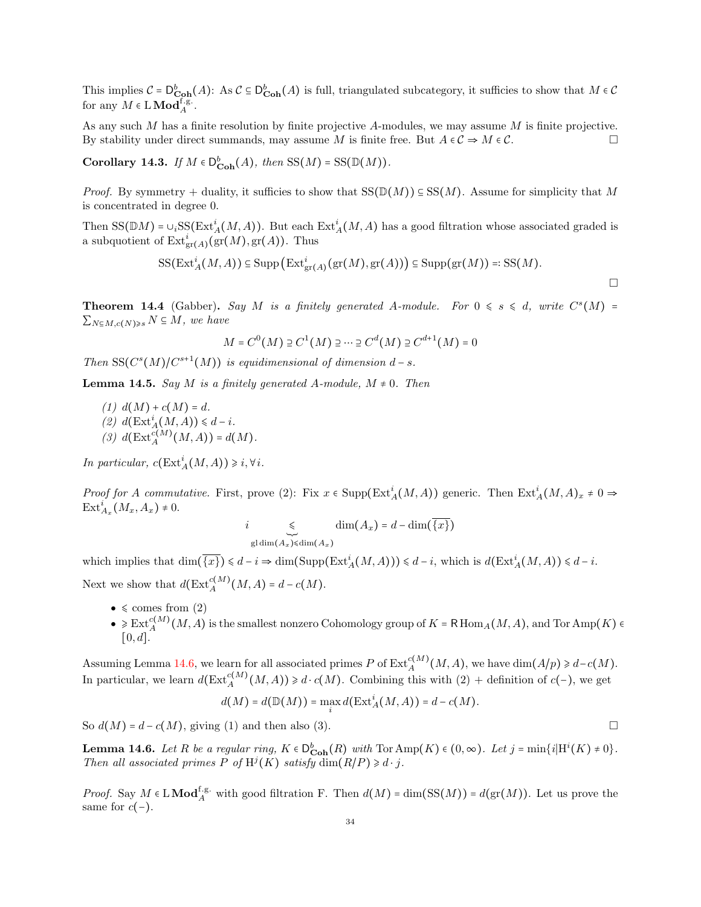This implies  $C = D_{\text{Coh}}^b(A)$ : As  $C \subseteq D_{\text{Coh}}^b(A)$  is full, triangulated subcategory, it sufficies to show that  $M \in \mathcal{C}$ for any  $M \in L \textbf{Mod}^{\text{f.g.}}_A$ .

As any such  $M$  has a finite resolution by finite projective  $A$ -modules, we may assume  $M$  is finite projective. By stability under direct summands, may assume M is finite free. But  $A \in \mathcal{C} \Rightarrow M \in \mathcal{C}$ .

Corollary 14.3. If  $M \in D^b_{\mathbf{Coh}}(A)$ , then  $SS(M) = SS(\mathbb{D}(M))$ .

*Proof.* By symmetry + duality, it sufficies to show that  $SS(\mathbb{D}(M)) \subseteq SS(M)$ . Assume for simplicity that M is concentrated in degree 0.

Then  $SS(\mathbb{D}M) = \cup_i SS(Ext_A^i(M, A))$ . But each  $Ext_A^i(M, A)$  has a good filtration whose associated graded is a subquotient of  $\mathrm{Ext}^i_{\mathrm{gr}(A)}(\mathrm{gr}(M), \mathrm{gr}(A))$ . Thus

$$
SS(Ext_A^i(M, A)) \subseteq \text{Supp}\left( Ext_{gr(A)}^i(gr(M), gr(A)) \right) \subseteq \text{Supp}(gr(M)) =: SS(M).
$$

**Theorem 14.4** (Gabber). Say M is a finitely generated A-module. For  $0 \le s \le d$ , write  $C^{s}(M) =$  $\sum_{N\subseteq M, c(N)\geqslant s} N \subseteq M$ , we have

$$
M = C0(M) \supseteq C1(M) \supseteq \cdots \supseteq Cd(M) \supseteq Cd+1(M) = 0
$$

Then  $SS(C<sup>s</sup>(M)/C<sup>s+1</sup>(M))$  is equidimensional of dimension  $d-s$ .

**Lemma 14.5.** Say M is a finitely generated A-module,  $M \neq 0$ . Then

(1)  $d(M) + c(M) = d$ . (2)  $d(\text{Ext}_A^i(M, A)) \leq d - i$ . (3)  $d(\text{Ext}_{A}^{c(M)}(M, A)) = d(M)$ .

In particular,  $c(\text{Ext}^i_A(M,A)) \geq i, \forall i$ .

Proof for A commutative. First, prove (2): Fix  $x \in \text{Supp}(\text{Ext}^i_A(M, A))$  generic. Then  $\text{Ext}^i_A(M, A)_x \neq 0 \Rightarrow$  $\text{Ext}_{A_x}^i(M_x, A_x) \neq 0.$ 

$$
i \underset{\text{gl\,dim}(A_x)\leq \text{dim}(A_x)}{\leq} \dim(A_x) = d - \dim(\overline{\{x\}})
$$

which implies that  $\dim(\overline{\{x\}}) \leq d - i \Rightarrow \dim(\text{Supp}(\text{Ext}^i_A(M, A))) \leq d - i$ , which is  $d(\text{Ext}^i_A(M, A)) \leq d - i$ . Next we show that  $d(\text{Ext}_{A}^{c(M)}(M, A) = d - c(M)).$ 

- $\bullet \le \text{comes from (2)}$
- $\bullet \geq \text{Ext}_{A}^{c(M)}(M, A)$  is the smallest nonzero Cohomology group of  $K = \text{R}\text{Hom}_{A}(M, A)$ , and Tor  $\text{Amp}(K) \in$  $[0, d].$

Assuming Lemma [14.6,](#page-33-0) we learn for all associated primes P of  $\text{Ext}_{A}^{c(M)}(M, A)$ , we have  $\dim(A/p) \geq d-c(M)$ . In particular, we learn  $d(\text{Ext}_{A}^{c(M)}(M, A)) \geq d \cdot c(M)$ . Combining this with  $(2) +$  definition of  $c(-)$ , we get

$$
d(M) = d(\mathbb{D}(M)) = \max_i d(\mathrm{Ext}^i_A(M, A)) = d - c(M).
$$

So  $d(M) = d - c(M)$ , giving (1) and then also (3).

<span id="page-33-0"></span>**Lemma 14.6.** Let R be a regular ring,  $K \in D_{\text{Coh}}^b(R)$  with  $\text{Tor Amp}(K) \in (0, \infty)$ . Let  $j = \min\{i | H^i(K) \neq 0\}$ . Then all associated primes P of  $H^j(K)$  satisfy  $\dim(R/P) \geq d \cdot j$ .

*Proof.* Say  $M \in \mathcal{L} \mathbf{Mod}_{A}^{f,g.}$  with good filtration F. Then  $d(M) = \dim(\mathcal{SS}(M)) = d(\text{gr}(M))$ . Let us prove the same for  $c(-)$ .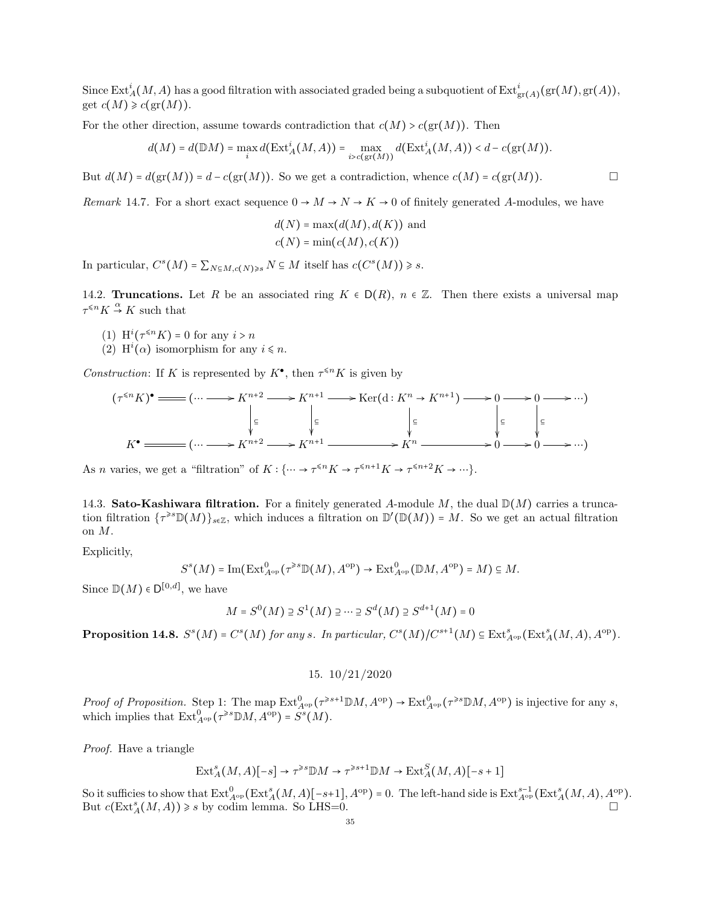Since  $\mathrm{Ext}^i_A(M,A)$  has a good filtration with associated graded being a subquotient of  $\mathrm{Ext}^i_{\mathrm{gr}(A)}(\mathrm{gr}(M), \mathrm{gr}(A)),$ get  $c(M) \geqslant c(\text{gr}(M)).$ 

For the other direction, assume towards contradiction that  $c(M) > c(\text{gr}(M))$ . Then

$$
d(M) = d(\mathbb{D}M) = \max_{i} d(\mathrm{Ext}^{i}_{A}(M, A)) = \max_{i > c(\mathrm{gr}(M))} d(\mathrm{Ext}^{i}_{A}(M, A)) < d - c(\mathrm{gr}(M)).
$$

But  $d(M) = d(\text{gr}(M)) = d - c(\text{gr}(M))$ . So we get a contradiction, whence  $c(M) = c(\text{gr}(M))$ .

Remark 14.7. For a short exact sequence  $0 \to M \to N \to K \to 0$  of finitely generated A-modules, we have

$$
d(N) = \max(d(M), d(K))
$$
 and  

$$
c(N) = \min(c(M), c(K))
$$

In particular,  $C^{s}(M) = \sum_{N \subseteq M, c(N) \geq s} N \subseteq M$  itself has  $c(C^{s}(M)) \geq s$ .

<span id="page-34-0"></span>14.2. Truncations. Let R be an associated ring  $K \in D(R)$ ,  $n \in \mathbb{Z}$ . Then there exists a universal map  $\tau^{\leq n} K \stackrel{\alpha}{\to} K$  such that

- (1)  $\mathrm{H}^i(\tau^{\leq n}K) = 0$  for any  $i > n$
- (2)  $\mathcal{H}^i(\alpha)$  isomorphism for any  $i \leq n$ .

Construction: If K is represented by  $K^{\bullet}$ , then  $\tau^{\leq n}K$  is given by

$$
(\tau^{\leq n} K)^{\bullet} \longrightarrow K^{n+2} \longrightarrow K^{n+1} \longrightarrow \text{Ker}(\text{d}: K^{n} \to K^{n+1}) \longrightarrow 0 \longrightarrow 0 \longrightarrow \cdots)
$$
  

$$
\downarrow_{\subseteq} \qquad \qquad \downarrow_{\subseteq} \qquad \qquad \downarrow_{\subseteq} \qquad \qquad \downarrow_{\subseteq} \qquad \qquad \downarrow_{\subseteq} \qquad \qquad \downarrow_{\subseteq}
$$
  

$$
K^{\bullet} \longrightarrow K^{n+2} \longrightarrow K^{n+1} \longrightarrow K^{n} \longrightarrow K^{n} \longrightarrow 0 \longrightarrow 0 \longrightarrow \cdots)
$$

As *n* varies, we get a "filtration" of  $K: \{\cdots \to \tau^{\le n}K \to \tau^{\le n+1}K \to \tau^{\le n+2}K \to \cdots\}.$ 

<span id="page-34-1"></span>14.3. Sato-Kashiwara filtration. For a finitely generated A-module M, the dual  $\mathbb{D}(M)$  carries a truncation filtration  $\{\tau^{\geq s}\mathbb{D}(M)\}_{s\in\mathbb{Z}}$ , which induces a filtration on  $\mathbb{D}'(\mathbb{D}(M)) = M$ . So we get an actual filtration on M.

Explicitly,

$$
S^{s}\big(M\big)=\textrm{Im}\big(\textrm{Ext}^{0}_{A^{\textrm{op}}}(\tau^{\geqslant s}\mathbb{D}(M),A^{\textrm{op}}\big)\rightarrow\textrm{Ext}^{0}_{A^{\textrm{op}}} \big(\mathbb{D} M,A^{\textrm{op}}\big)=M\big)\subseteq M.
$$

Since  $\mathbb{D}(M) \in D^{[0,d]}$ , we have

$$
M = S^{0}(M) \supseteq S^{1}(M) \supseteq \cdots \supseteq S^{d}(M) \supseteq S^{d+1}(M) = 0
$$

<span id="page-34-2"></span>**Proposition 14.8.**  $S^s(M) = C^s(M)$  for any s. In particular,  $C^s(M)/C^{s+1}(M) \subseteq \text{Ext}_{A^{\text{op}}}^s(\text{Ext}_A^s(M, A), A^{\text{op}})$ .

15. 10/21/2020

Proof of Proposition. Step 1: The map  $\text{Ext}_{A^{\text{op}}}^0(\tau^{\geq s+1} \mathbb{D}M, A^{\text{op}}) \to \text{Ext}_{A^{\text{op}}}^0(\tau^{\geq s} \mathbb{D}M, A^{\text{op}})$  is injective for any s, which implies that  $\mathrm{Ext}^0_{A^\mathrm{op}}(\tau^{\geq s}\mathbb{D} M, A^\mathrm{op}) = S^s(M)$ .

Proof. Have a triangle

$$
\text{Ext}_{A}^{s}(M, A)[-s] \to \tau^{\geq s} \mathbb{D}M \to \tau^{\geq s+1} \mathbb{D}M \to \text{Ext}_{A}^{S}(M, A)[-s+1]
$$

So it sufficies to show that  $\mathrm{Ext}^0_{A^{\mathrm{op}}}(\mathrm{Ext}^s_A(M,A)[-s+1], A^{\mathrm{op}}) = 0$ . The left-hand side is  $\mathrm{Ext}^{s-1}_{A^{\mathrm{op}}}(\mathrm{Ext}^s_A(M,A), A^{\mathrm{op}})$ . But  $c(\text{Ext}_{A}^{s}(M, A)) \geq s$  by codim lemma. So LHS=0.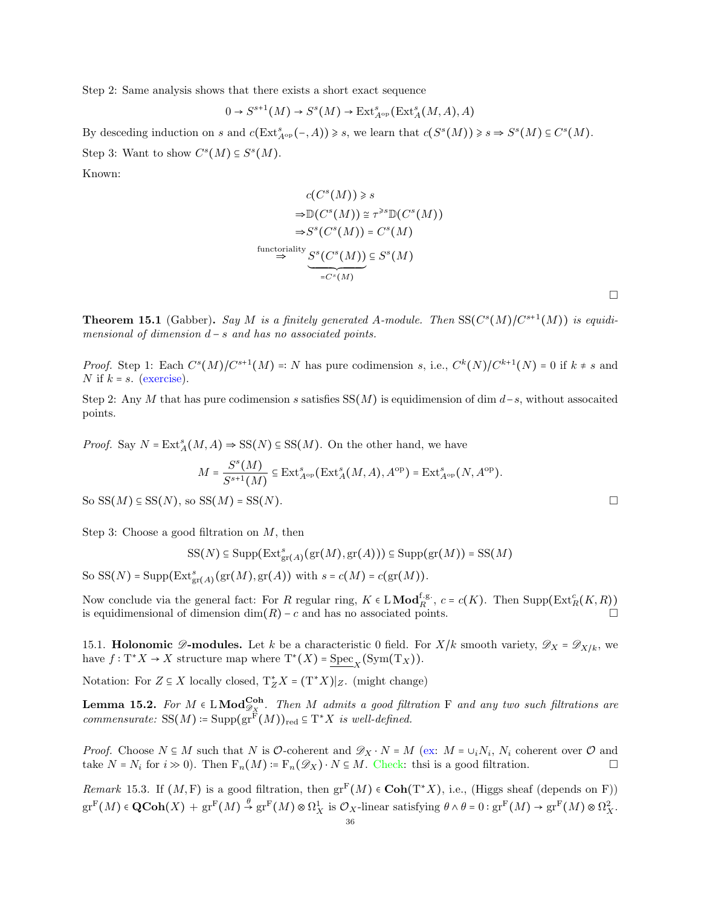Step 2: Same analysis shows that there exists a short exact sequence

$$
0\to S^{s+1}(M)\to S^s(M)\to \operatorname{Ext}\nolimits^s_{A^{\rm op}}(\operatorname{Ext}\nolimits^s_A(M,A),A)
$$

By desceding induction on s and  $c(\text{Ext}_{A^{\text{op}}}^s(-, A)) \geq s$ , we learn that  $c(S^s(M)) \geq s \Rightarrow S^s(M) \subseteq C^s(M)$ . Step 3: Want to show  $C<sup>s</sup>(M) \subseteq S<sup>s</sup>(M)$ .

Known:

$$
c(C^{s}(M)) \geq s
$$
  
\n
$$
\Rightarrow \mathbb{D}(C^{s}(M)) \cong \tau^{s} \mathbb{D}(C^{s}(M))
$$
  
\n
$$
\Rightarrow S^{s}(C^{s}(M)) = C^{s}(M)
$$
  
\n
$$
\xrightarrow{\text{functionality}} S^{s}(C^{s}(M)) \subseteq S^{s}(M)
$$
  
\n
$$
= C^{s}(M)
$$

 $\Box$ 

**Theorem 15.1** (Gabber). Say M is a finitely generated A-module. Then  $SS(C<sup>s</sup>(M)/C<sup>s+1</sup>(M))$  is equidimensional of dimension  $d - s$  and has no associated points.

*Proof.* Step 1: Each  $C^{s}(M)/C^{s+1}(M) =: N$  has pure codimension s, i.e.,  $C^{k}(N)/C^{k+1}(N) = 0$  if  $k \neq s$  and N if  $k = s$ . (exercise).

Step 2: Any M that has pure codimension s satisfies  $SS(M)$  is equidimension of dim d−s, without assocaited points.

*Proof.* Say  $N = \text{Ext}_{A}^{s}(M, A) \Rightarrow SS(N) \subseteq SS(M)$ . On the other hand, we have

$$
M = \frac{S^s(M)}{S^{s+1}(M)} \subseteq \text{Ext}^s_{A^{\text{op}}}(\text{Ext}^s_A(M, A), A^{\text{op}}) = \text{Ext}^s_{A^{\text{op}}}(N, A^{\text{op}}).
$$

So  $SS(M) \subseteq SS(N)$ , so  $SS(M) = SS(N)$ .

Step 3: Choose a good filtration on  $M$ , then

$$
SS(N) \subseteq \text{Supp}(\text{Ext}^s_{\text{gr}(A)}(\text{gr}(M), \text{gr}(A))) \subseteq \text{Supp}(\text{gr}(M)) = SS(M)
$$

So SS(N) = Supp( $\text{Ext}_{gr(A)}^{s}(\text{gr}(M), \text{gr}(A))$  with  $s = c(M) = c(\text{gr}(M)).$ 

Now conclude via the general fact: For R regular ring,  $K \in L \textbf{Mod}_{R}^{\text{f.g.}}$ ,  $c = c(K)$ . Then  $\text{Supp}(\text{Ext}_{R}^{c}(K, R))$ is equidimensional of dimension dim(R) – c and has no associated points.

<span id="page-35-0"></span>15.1. **Holonomic**  $\mathscr{D}$ **-modules.** Let k be a characteristic 0 field. For X/k smooth variety,  $\mathscr{D}_X = \mathscr{D}_{X/k}$ , we have  $f: \mathrm{T}^* X \to X$  structure map where  $\mathrm{T}^*(X) = \mathrm{Spec}_X(\mathrm{Sym}(\mathrm{T}_X)).$ 

Notation: For  $Z \subseteq X$  locally closed,  $T_Z^* X = (T^* X)|_Z$ . (might change)

**Lemma 15.2.** For  $M \in LMod_{\mathscr{D}_X}^{Coh}$ . Then  $M$  admits a good filtration F and any two such filtrations are commensurate:  $SS(M) = Supp(gr^{F}(M))_{red} \subseteq T^{*}X$  is well-defined.

*Proof.* Choose  $N \subseteq M$  such that N is  $\mathcal{O}\text{-coherent}$  and  $\mathscr{D}_X \cdot N = M$  (ex:  $M = \cup_i N_i$ ,  $N_i$  coherent over  $\mathcal O$  and take  $N = N_i$  for  $i \gg 0$ ). Then  $F_n(M) := F_n(\mathscr{D}_X) \cdot N \subseteq M$ . Check: thsi is a good filtration.

Remark 15.3. If  $(M, F)$  is a good filtration, then  $gr^F(M) \in \text{Coh}(T^*X)$ , i.e., (Higgs sheaf (depends on F))  $gr^F(M) \in \mathbf{QCoh}(X) + gr^F(M) \stackrel{\theta}{\rightarrow} gr^F(M) \otimes \Omega^1_X$  is  $\mathcal{O}_X$ -linear satisfying  $\theta \wedge \theta = 0 : gr^F(M) \rightarrow gr^F(M) \otimes \Omega^2_X$ .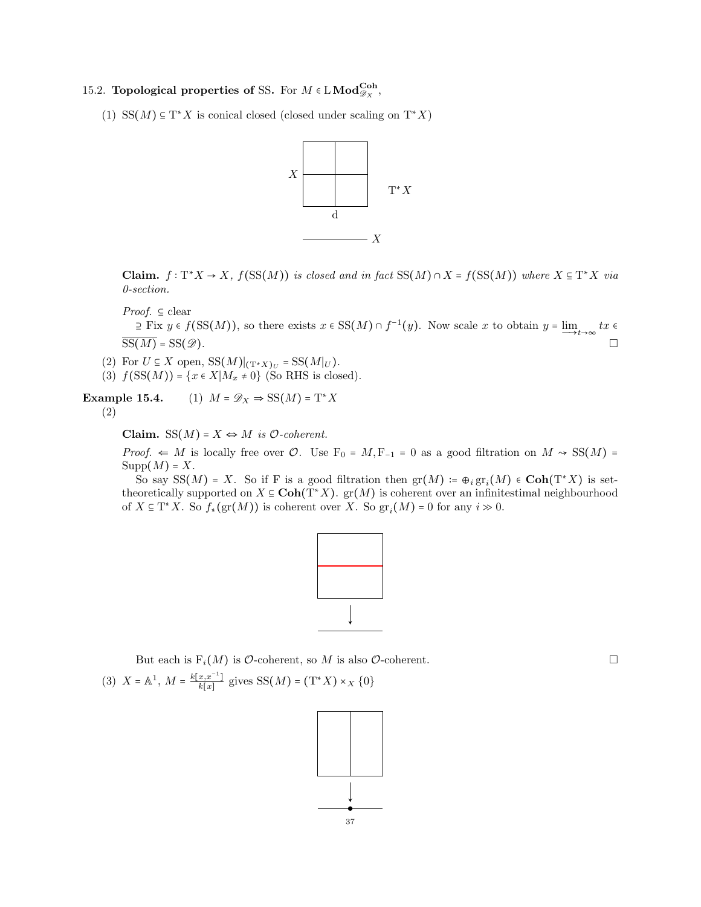# <span id="page-36-0"></span>15.2. Topological properties of SS. For  $M \in \text{LMod}^{\text{Coh}}_{\mathscr{D}_X}$ ,

(1) SS( $M$ ) ⊆ T<sup>∗</sup>X is conical closed (closed under scaling on T<sup>∗</sup>X)



Claim.  $f: T^*X \to X$ ,  $f(SS(M))$  is closed and in fact  $SS(M) \cap X = f(SS(M))$  where  $X \subseteq T^*X$  via 0-section.



 $\supseteq$  Fix  $y \in f(SS(M))$ , so there exists  $x \in SS(M) \cap f^{-1}(y)$ . Now scale x to obtain  $y = \lim_{x \to \infty} tx \in$  $\overline{\mathrm{SS}(M)}$  = SS( $\mathscr{D}$ ).

- (2) For  $U \subseteq X$  open,  $SS(M)|_{(\mathrm{T}^*X)_U} = SS(M|_U)$ .
- (3)  $f(SS(M)) = {x \in X | M_x \neq 0}$  (So RHS is closed).

Example 15.4. (1)  $M = \mathscr{D}_X \Rightarrow SS(M) = T^*X$ 

(2)

Claim.  $SS(M) = X \Leftrightarrow M$  is  $O$ -coherent.

*Proof.*  $\Leftarrow$  *M* is locally free over *O*. Use F<sub>0</sub> = *M*, F<sub>-1</sub> = 0 as a good filtration on *M*  $\sim$  SS(*M*) =  $\text{Supp}(M) = X.$ 

So say  $SS(M) = X$ . So if F is a good filtration then  $gr(M) := \bigoplus_i gr_i(M) \in \text{Coh}(T^*X)$  is settheoretically supported on  $X \subseteq \text{Coh}(\mathrm{T}^*X)$ .  $\text{gr}(M)$  is coherent over an infinitestimal neighbourhood of  $X \subseteq T^*X$ . So  $f_*(\text{gr}(M))$  is coherent over X. So  $\text{gr}_i(M) = 0$  for any  $i \gg 0$ .



But each is  $F_i(M)$  is  $\mathcal O$ -coherent, so M is also  $\mathcal O$ -coherent. (3)  $X = \mathbb{A}^1$ ,  $M = \frac{k[x, x^{-1}]}{k[x]}$  $\frac{x,x^{-1}}{k[x]}$  gives SS(M) =  $(T^*X) \times_X \{0\}$ 

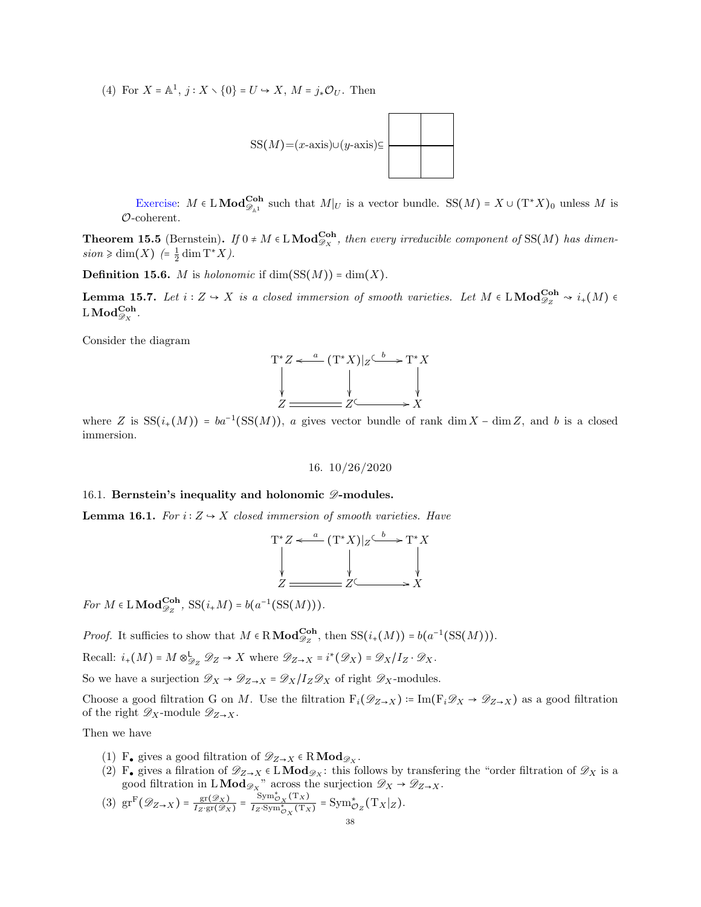(4) For  $X = \mathbb{A}^1$ ,  $j : X \setminus \{0\} = U \hookrightarrow X$ ,  $M = j_* \mathcal{O}_U$ . Then



Exercise:  $M \in \text{LMod}_{\mathscr{D}_{\mathbb{A}^1}}^{\text{Coh}}$  such that  $M|_U$  is a vector bundle. SS $(M) = X \cup (T^*X)_0$  unless M is O-coherent.

**Theorem 15.5** (Bernstein). If  $0 \neq M \in L \text{Mod}^{\text{Coh}}_{\mathscr{D}_X}$ , then every irreducible component of SS(M) has dimen $sion \geq \dim(X)$  (=  $\frac{1}{2} \dim T^*X$ ).

**Definition 15.6.** *M* is holonomic if  $dim(SS(M)) = dim(X)$ .

**Lemma 15.7.** Let  $i: Z \to X$  is a closed immersion of smooth varieties. Let  $M \in LMod_{\mathscr{D}_Z}^{Coh} \rightsquigarrow i_+(M) \in$  $\operatorname{LMod}_{\mathscr{D}_X}^{\mathbf{Coh}}.$ 

Consider the diagram



<span id="page-37-0"></span>where Z is  $SS(i_+(M)) = ba^{-1}(SS(M))$ , a gives vector bundle of rank dim X – dim Z, and b is a closed immersion.

16. 10/26/2020

#### <span id="page-37-1"></span>16.1. Bernstein's inequality and holonomic  $\mathscr{D}$ -modules.

**Lemma 16.1.** For  $i: Z \rightarrow X$  closed immersion of smooth varieties. Have

$$
T^*Z \xleftarrow{a} (T^*X)|_Z \xrightarrow{b} T^*X
$$
  
\n
$$
\downarrow \qquad \qquad \downarrow
$$
  
\n
$$
Z \xleftarrow{a} Z \xleftarrow{b} X
$$

For  $M \in \mathcal{L} \text{Mod}_{\mathscr{D}_Z}^{\text{Coh}}, \text{SS}(i_*M) = b(a^{-1}(\text{SS}(M))).$ 

*Proof.* It sufficies to show that  $M \in \mathbb{R} \text{Mod}_{\mathscr{D}_Z}^{\text{Coh}}$ , then  $SS(i_+(M)) = b(a^{-1}(SS(M))).$ 

Recall:  $i_+(M) = M \otimes_{\mathcal{D}_Z}^{\mathsf{L}} \mathcal{D}_Z \to X$  where  $\mathcal{D}_{Z \to X} = i^*(\mathcal{D}_X) = \mathcal{D}_X/I_Z \cdot \mathcal{D}_X$ .

So we have a surjection  $\mathscr{D}_X \to \mathscr{D}_{Z\to X} = \mathscr{D}_X/I_Z \mathscr{D}_X$  of right  $\mathscr{D}_X$ -modules.

Choose a good filtration G on M. Use the filtration  $F_i(\mathscr{D}_{Z\to X}) \coloneqq \text{Im}(F_i\mathscr{D}_X \to \mathscr{D}_{Z\to X})$  as a good filtration of the right  $\mathscr{D}_X$ -module  $\mathscr{D}_{Z\rightarrow X}$ .

Then we have

- (1) F<sub>•</sub> gives a good filtration of  $\mathscr{D}_{Z\to X} \in \mathbb{R} \text{Mod}_{\mathscr{D}_X}$ .
- (2) F• gives a filration of  $\mathscr{D}_{Z\to X} \in L\textbf{Mod}_{\mathscr{D}_X}$ : this follows by transfering the "order filtration of  $\mathscr{D}_X$  is a good filtration in  $LMod_{\mathscr{D}_X}$ " across the surjection  $\mathscr{D}_X \to \mathscr{D}_{Z \to X}$ .

(3) 
$$
gr^{F}(\mathscr{D}_{Z\to X}) = \frac{gr(\mathscr{D}_{X})}{I_{Z} \cdot gr(\mathscr{D}_{X})} = \frac{Sym_{\mathcal{O}_{X}}^{*}(Tx)}{I_{Z} \cdot Sym_{\mathcal{O}_{X}}^{*}(Tx)} = Sym_{\mathcal{O}_{Z}}^{*}(T_{X}|_{Z}).
$$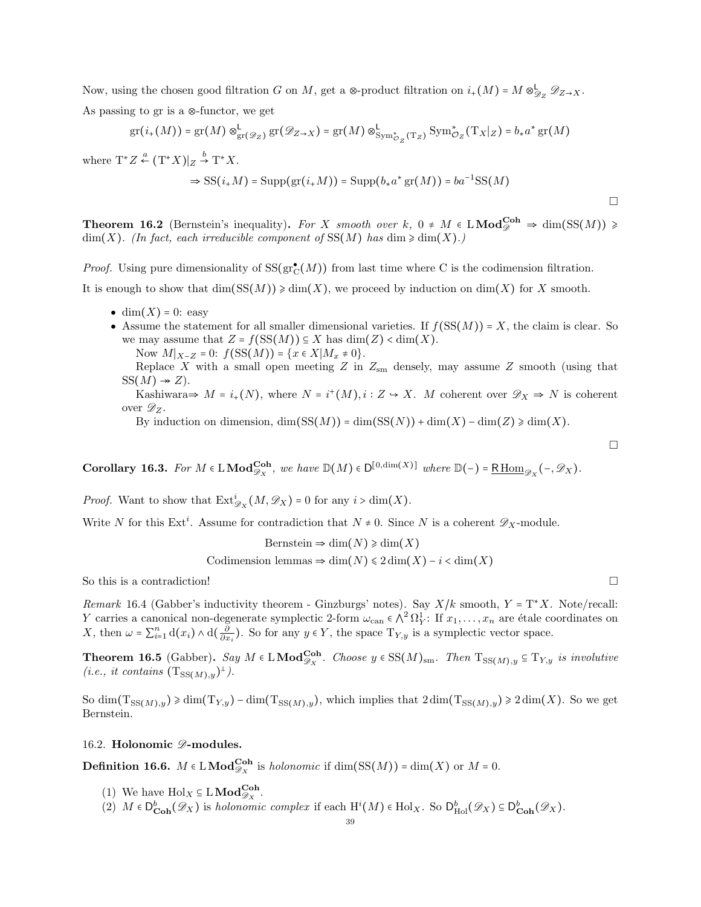Now, using the chosen good filtration G on M, get a ⊗-product filtration on  $i_+(M) = M \otimes_{\mathscr{D}_Z}^{\mathsf{L}} \mathscr{D}_{Z \to X}$ . As passing to gr is a ⊗-functor, we get

$$
\mathrm{gr}(i_+(M)) = \mathrm{gr}(M) \otimes^{\mathsf{L}}_{\mathrm{gr}(\mathscr{D}_Z)} \mathrm{gr}(\mathscr{D}_{Z \to X}) = \mathrm{gr}(M) \otimes^{\mathsf{L}}_{\mathrm{Sym}^*_{\mathcal{O}_Z}(\mathrm{T}_Z)} \mathrm{Sym}^*_{\mathcal{O}_Z}(\mathrm{T}_X|_Z) = b_* a^* \mathrm{gr}(M)
$$

where  $T^*Z \stackrel{a}{\leftarrow} (T^*X)|_Z \stackrel{b}{\rightarrow} T^*X$ .

$$
\Rightarrow SS(i_{+}M) = \text{Supp}(\text{gr}(i_{+}M)) = \text{Supp}(b_{*}a^{*}\text{gr}(M)) = ba^{-1}SS(M)
$$

**Theorem 16.2** (Bernstein's inequality). For X smooth over k,  $0 \neq M \in LMod_{\mathscr{D}}^{\text{Coh}} \Rightarrow \dim(\text{SS}(M)) \geq$  $\dim(X)$ . (In fact, each irreducible component of SS(M) has  $\dim \geq \dim(X)$ .)

*Proof.* Using pure dimensionality of  $SS(gr_C^{\bullet}(M))$  from last time where C is the codimension filtration.

It is enough to show that  $\dim(S(S(M)) \geq \dim(X)$ , we proceed by induction on  $\dim(X)$  for X smooth.

- dim $(X) = 0$ : easy
- Assume the statement for all smaller dimensional varieties. If  $f(SS(M)) = X$ , the claim is clear. So we may assume that  $Z = f(SS(M)) \subseteq X$  has  $dim(Z) < dim(X)$ .

Now  $M|_{X-Z} = 0$ :  $f(SS(M)) = \{x \in X | M_x \neq 0\}.$ 

Replace X with a small open meeting  $Z$  in  $Z_{\rm sm}$  densely, may assume  $Z$  smooth (using that  $SS(M) \rightarrow Z$ ).

Kashiwara $\Rightarrow M = i_{+}(N)$ , where  $N = i^{+}(M), i : Z \rightarrow X$ . M coherent over  $\mathscr{D}_{X} \Rightarrow N$  is coherent over  $\mathscr{D}_Z$ .

By induction on dimension,  $\dim(SS(M)) = \dim(SS(N)) + \dim(X) - \dim(Z) \geq \dim(X)$ .

**Corollary 16.3.** For  $M \in LMod_{\mathscr{D}_X}^{Coh}$ , we have  $\mathbb{D}(M) \in D^{[0,\dim(X)]}$  where  $\mathbb{D}(-) = \underline{R \operatorname{Hom}}_{\mathscr{D}_X}(-,\mathscr{D}_X)$ .

*Proof.* Want to show that  $\text{Ext}^i_{\mathcal{D}_X}(M, \mathcal{D}_X) = 0$  for any  $i > \dim(X)$ .

Write N for this Ext<sup>i</sup>. Assume for contradiction that  $N \neq 0$ . Since N is a coherent  $\mathscr{D}_X$ -module.

Bernstein  $\Rightarrow$  dim(N)  $\ge$  dim(X) Codimension lemmas  $\Rightarrow$  dim(N)  $\leq$  2 dim(X) – i < dim(X)

So this is a contradiction!

Remark 16.4 (Gabber's inductivity theorem - Ginzburgs' notes). Say  $X/k$  smooth,  $Y = T^*X$ . Note/recall: Y carries a canonical non-degenerate symplectic 2-form  $\omega_{\text{can}} \in \wedge^2 \Omega_Y^1$ : If  $x_1, \ldots, x_n$  are étale coordinates on X, then  $\omega = \sum_{i=1}^n d(x_i) \wedge d(\frac{\partial}{\partial x_i})$ . So for any  $y \in Y$ , the space  $T_{Y,y}$  is a symplectic vector space.

**Theorem 16.5** (Gabber). Say  $M \in LMod_{\mathscr{D}_X}^{Coh}$ . Choose  $y \in SS(M)_{sm}$ . Then  $T_{SS(M),y} \subseteq T_{Y,y}$  is involutive  $(i.e., it contains (T<sub>SS(M),y</sub>)<sup>⊥</sup>).$ 

So  $\dim(\mathrm{T}_{SS(M),y}) \geq \dim(\mathrm{T}_{Y,y}) - \dim(\mathrm{T}_{SS(M),y})$ , which implies that  $2 \dim(\mathrm{T}_{SS(M),y}) \geq 2 \dim(X)$ . So we get Bernstein.

## <span id="page-38-0"></span>16.2. Holonomic  $\mathscr{D}\text{-modules.}$

**Definition 16.6.**  $M \in LMod_{\mathscr{D}_X}^{Coh}$  is *holonomic* if  $dim(SS(M)) = dim(X)$  or  $M = 0$ .

- (1) We have  $\text{Hol}_X \subseteq L \text{Mod}_{\mathscr{D}_X}^{\text{Coh}}$ .
- (2)  $M \in D_{\text{Coh}}^{b}(\mathscr{D}_{X})$  is holonomic complex if each  $H^{i}(M) \in Hol_{X}$ . So  $D_{\text{Hol}}^{b}(\mathscr{D}_{X}) \subseteq D_{\text{Coh}}^{b}(\mathscr{D}_{X})$ .

 $\Box$ 

 $\Box$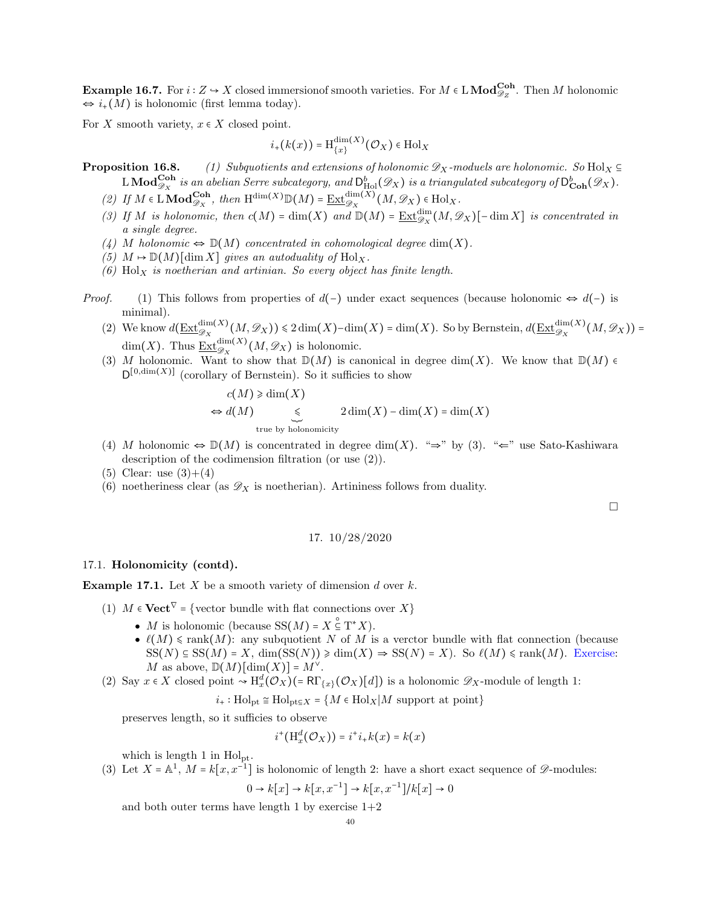**Example 16.7.** For  $i: Z \to X$  closed immersionof smooth varieties. For  $M \in LMod_{\mathscr{D}_Z}^{\mathbf{Coh}}$ . Then M holonomic  $\Leftrightarrow i_{+}(M)$  is holonomic (first lemma today).

For X smooth variety,  $x \in X$  closed point.

$$
i_+(k(x)) = \mathrm{H}^{\dim(X)}_{\{x\}}(\mathcal{O}_X) \in \mathrm{Hol}_X
$$

**Proposition 16.8.** (1) Subquotients and extensions of holonomic  $\mathscr{D}_X$ -moduels are holonomic. So Hol $_X \subseteq$  $\text{L}\,\text{Mod}_{\mathscr{D}_X}^{\textbf{Coh}}$  is an abelian Serre subcategory, and  $\text{D}_{\text{Hol}}^b(\mathscr{D}_X)$  is a triangulated subcategory of  $\text{D}_{\textbf{Coh}}^b(\mathscr{D}_X)$ .

- (2) If  $M \in \text{LMod}_{\mathscr{D}_X}^{\text{Coh}},$  then  $\text{H}^{\dim(X)}\mathbb{D}(M) = \underline{\text{Ext}}_{\mathscr{D}_X}^{\dim(X)}(M, \mathscr{D}_X) \in \text{Hol}_X$ .
- (3) If M is holonomic, then  $c(M) = \dim(X)$  and  $\mathbb{D}(M) = \underline{\operatorname{Ext}}_{\mathscr{D}_X}^{\dim}(M, \mathscr{D}_X)$  [-dim X] is concentrated in a single degree.
- (4) M holonomic  $\Leftrightarrow \mathbb{D}(M)$  concentrated in cohomological degree dim(X).
- (5)  $M \mapsto \mathbb{D}(M)[\dim X]$  gives an autoduality of  $\text{Hol}_X$ .
- (6)  $Hol_X$  is noetherian and artinian. So every object has finite length.
- *Proof.* (1) This follows from properties of  $d(-)$  under exact sequences (because holonomic  $\Leftrightarrow d(-)$  is minimal).
	- (2) We know  $d(\underline{\text{Ext}}_{\mathcal{D}_X}^{\dim(X)}(M,\mathcal{D}_X)) \leq 2\dim(X) \dim(X) = \dim(X)$ . So by Bernstein,  $d(\underline{\text{Ext}}_{\mathcal{D}_X}^{\dim(X)}(M,\mathcal{D}_X)) =$ dim(X). Thus  $\underline{\mathrm{Ext}}_{\mathscr{D}_X}^{\dim(X)}(M, \mathscr{D}_X)$  is holonomic.
	- (3) M holonomic. Want to show that  $\mathbb{D}(M)$  is canonical in degree dim(X). We know that  $\mathbb{D}(M)$   $\in$  $D^{[0,\dim(X)]}$  (corollary of Bernstein). So it sufficies to show

$$
c(M) \ge \dim(X)
$$
  
\n
$$
\Leftrightarrow d(M) \le \sum_{\text{true by holonomicity}} 2\dim(X) - \dim(X) = \dim(X)
$$

- (4) M holonomic  $\Leftrightarrow \mathbb{D}(M)$  is concentrated in degree dim(X). " $\Rightarrow$ " by (3). " $\Leftarrow$ " use Sato-Kashiwara description of the codimension filtration (or use (2)).
- (5) Clear: use  $(3)+(4)$
- (6) noetheriness clear (as  $\mathscr{D}_X$  is noetherian). Artininess follows from duality.

 $\Box$ 

$$
17. \ 10/28/2020
$$

## <span id="page-39-1"></span><span id="page-39-0"></span>17.1. Holonomicity (contd).

**Example 17.1.** Let  $X$  be a smooth variety of dimension  $d$  over  $k$ .

- (1)  $M \in \mathbf{Vect}^{\nabla}$  = {vector bundle with flat connections over  $X$ }
	- *M* is holonomic (because  $SS(M) = X \subseteq T^*X$ ).
	- $\ell(M) \leq \text{rank}(M)$ : any subquotient N of M is a verctor bundle with flat connection (because  $SS(N) \subseteq SS(M) = X$ ,  $\dim(SS(N)) \geq \dim(X) \Rightarrow SS(N) = X$ . So  $\ell(M) \leq \text{rank}(M)$ . Exercise: M as above,  $\mathbb{D}(M)[\dim(X)] = M^{\vee}$ .
- (2) Say  $x \in X$  closed point  $\rightsquigarrow H_x^d(\mathcal{O}_X)(=R\Gamma_{\{x\}}(\mathcal{O}_X)[d])$  is a holonomic  $\mathscr{D}_X$ -module of length 1:

$$
i_{+}
$$
: Hol<sub>pt</sub>  $\cong$  Hol<sub>pt</sub> $\subseteq$   $X = \{M \in Hol_X | M$  support at point\}

preserves length, so it sufficies to observe

$$
i^+\big(\mathrm{H}^d_{x}(\mathcal{O}_X)\big)=i^+i_+k(x)=k(x)
$$

which is length 1 in  $Hol_{pt}$ .

(3) Let  $X = \mathbb{A}^1$ ,  $M = k[x, x^{-1}]$  is holonomic of length 2: have a short exact sequence of  $\mathscr{D}$ -modules:

$$
0 \to k[x] \to k[x, x^{-1}] \to k[x, x^{-1}]/k[x] \to 0
$$

and both outer terms have length 1 by exercise  $1+2$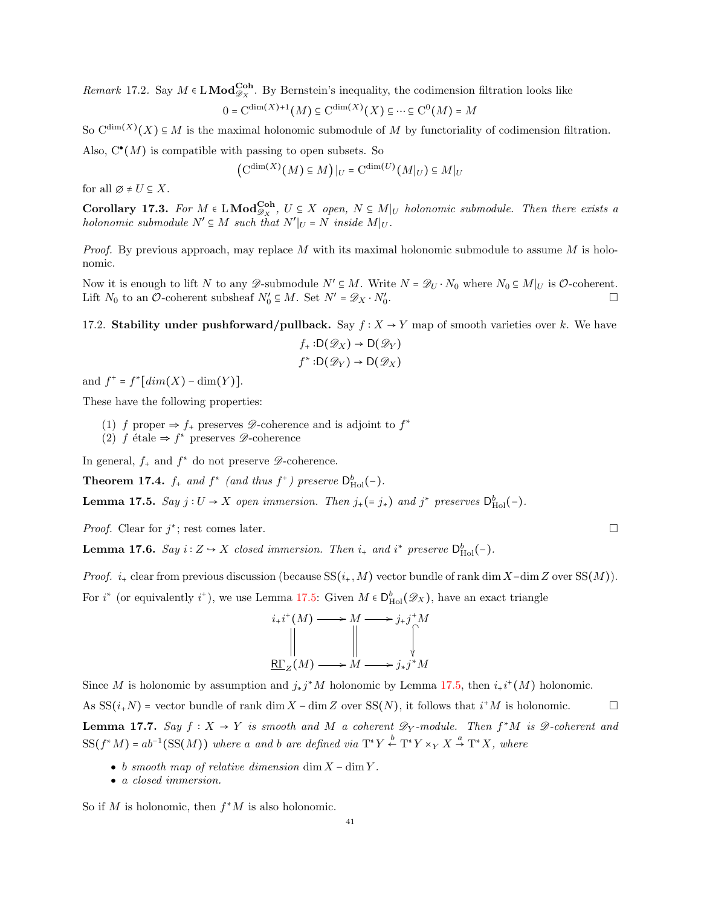Remark 17.2. Say  $M \in LMod_{\mathscr{D}_X}^{Coh}$ . By Bernstein's inequality, the codimension filtration looks like

$$
0 = \mathbf{C}^{\dim(X)+1}(M) \subseteq \mathbf{C}^{\dim(X)}(X) \subseteq \cdots \subseteq \mathbf{C}^0(M) = M
$$

So  $C^{\dim(X)}(X) \subseteq M$  is the maximal holonomic submodule of M by functoriality of codimension filtration.

Also,  $C^{\bullet}(M)$  is compatible with passing to open subsets. So

$$
\left(\mathcal{C}^{\dim(X)}(M) \subseteq M\right)|_U = \mathcal{C}^{\dim(U)}(M|_U) \subseteq M|_U
$$

for all  $\emptyset \neq U \subseteq X$ .

**Corollary 17.3.** For  $M \in LMod_{\mathscr{D}_X}^{Coh}$ ,  $U \subseteq X$  open,  $N \subseteq M|_U$  holonomic submodule. Then there exists a holonomic submodule  $N' \subseteq M$  such that  $N'|_{U} = N$  inside  $M|_{U}$ .

*Proof.* By previous approach, may replace M with its maximal holonomic submodule to assume M is holonomic.

Now it is enough to lift N to any  $\mathscr{D}$ -submodule  $N' \subseteq M$ . Write  $N = \mathscr{D}_U \cdot N_0$  where  $N_0 \subseteq M|_U$  is  $\mathcal{O}$ -coherent. Lift  $N_0$  to an  $\mathcal{O}\text{-coherent subsheaf } N'_0 \subseteq M$ . Set  $N' = \mathscr{D}_X \cdot N'_0$ .

# <span id="page-40-0"></span>17.2. Stability under pushforward/pullback. Say  $f: X \to Y$  map of smooth varieties over k. We have

$$
f_{+}:D(\mathscr{D}_X) \to D(\mathscr{D}_Y)
$$

$$
f^*:D(\mathscr{D}_Y) \to D(\mathscr{D}_X)
$$

and  $f^+ = f^*[dim(X) - dim(Y)].$ 

These have the following properties:

- (1) f proper  $\Rightarrow$  f<sub>+</sub> preserves  $\mathscr{D}$ -coherence and is adjoint to f<sup>\*</sup>
- (2)  $f$  étale ⇒  $f^*$  preserves  $\mathscr{D}$ -coherence

In general,  $f_+$  and  $f^*$  do not preserve  $\mathscr{D}$ -coherence.

**Theorem 17.4.**  $f_+$  and  $f^*$  (and thus  $f^+$ ) preserve  $D_{\text{Hol}}^b(-)$ .

<span id="page-40-1"></span>**Lemma 17.5.** Say  $j: U \to X$  open immersion. Then  $j_+ (= j_*)$  and  $j^*$  preserves  $D_{\text{Hol}}^b(-)$ .

*Proof.* Clear for  $j^*$ ; rest comes later.

<span id="page-40-2"></span>**Lemma 17.6.** Say  $i: Z \rightarrow X$  closed immersion. Then  $i_{+}$  and  $i^{*}$  preserve  $D_{\text{Hol}}^{b}(-)$ .

*Proof.* i<sub>+</sub> clear from previous discussion (because  $SS(i_+,M)$  vector bundle of rank dim X-dim Z over  $SS(M)$ ).

For  $i^*$  (or equivalently  $i^*$ ), we use Lemma [17.5:](#page-40-1) Given  $M \in D^b_{\text{Hol}}(\mathscr{D}_X)$ , have an exact triangle



Since M is holonomic by assumption and  $j_*j^*M$  holonomic by Lemma [17.5,](#page-40-1) then  $i_*i^*(M)$  holonomic.

As  $SS(i+N)$  = vector bundle of rank dim X – dim Z over  $SS(N)$ , it follows that  $i^+M$  is holonomic.

<span id="page-40-3"></span>**Lemma 17.7.** Say  $f: X \to Y$  is smooth and M a coherent  $\mathcal{D}_Y$ -module. Then  $f^*M$  is  $\mathcal{D}$ -coherent and  $SS(f^*M) = ab^{-1}(SS(M))$  where a and b are defined via  $T^*Y \stackrel{b}{\leftarrow} T^*Y \times_Y X \stackrel{a}{\rightarrow} T^*X$ , where

- $\bullet$  b smooth map of relative dimension dim  $X \dim Y$ .
- a closed immersion.

So if M is holonomic, then  $f^*M$  is also holonomic.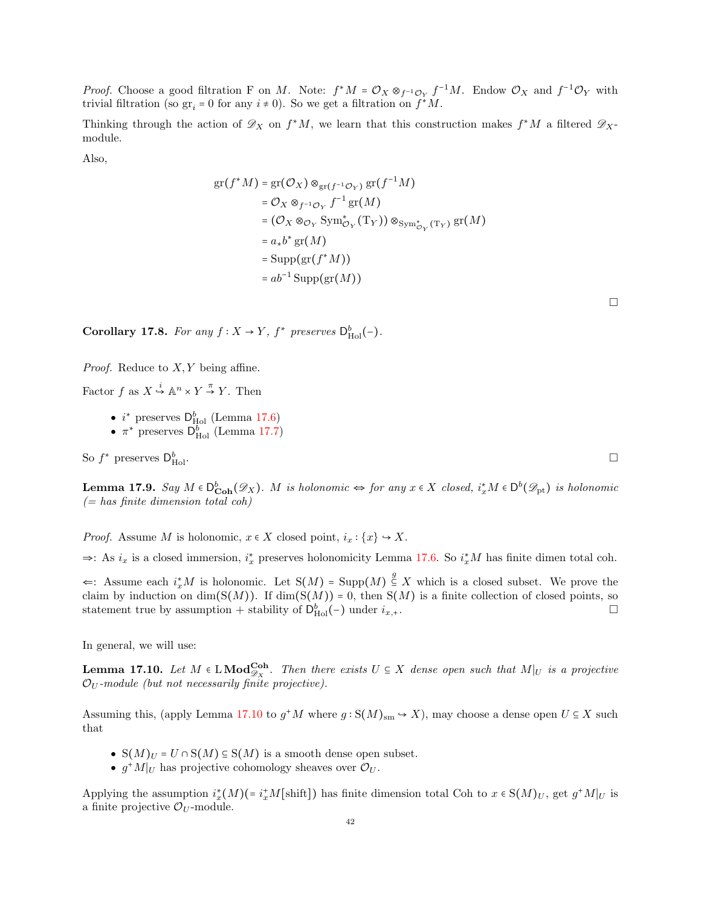*Proof.* Choose a good filtration F on M. Note:  $f^*M = \mathcal{O}_X \otimes_{f^{-1}\mathcal{O}_Y} f^{-1}M$ . Endow  $\mathcal{O}_X$  and  $f^{-1}\mathcal{O}_Y$  with trivial filtration (so  $gr_i = 0$  for any  $i \neq 0$ ). So we get a filtration on  $f^*M$ .

Thinking through the action of  $\mathscr{D}_X$  on  $f^*M$ , we learn that this construction makes  $f^*M$  a filtered  $\mathscr{D}_X$ module.

Also,

$$
gr(f^*M) = gr(O_X) \otimes_{gr(f^{-1}O_Y)} gr(f^{-1}M)
$$
  
\n
$$
= O_X \otimes_{f^{-1}O_Y} f^{-1} gr(M)
$$
  
\n
$$
= (O_X \otimes_{O_Y} Sym_{O_Y}^*(T_Y)) \otimes_{Sym_{O_Y}^*(T_Y)} gr(M)
$$
  
\n
$$
= a_* b^* gr(M)
$$
  
\n
$$
= Supp(gr(f^*M))
$$
  
\n
$$
= ab^{-1} Supp(gr(M))
$$

Corollary 17.8. For any  $f: X \to Y$ ,  $f^*$  preserves  $D_{\text{Hol}}^b(-)$ .

*Proof.* Reduce to  $X, Y$  being affine.

Factor  $f$  as  $X \stackrel{i}{\hookrightarrow} \mathbb{A}^n \times Y \stackrel{\pi}{\to} Y$ . Then

- $i^*$  preserves  $D_{\text{Hol}}^b$  (Lemma [17.6\)](#page-40-2)
- $\pi^*$  preserves  $\mathsf{D}_{\text{Hol}}^b$  (Lemma [17.7\)](#page-40-3)

So  $f^*$  preserves  $\mathsf{D}_{\mathsf{F}}^b$  $\mathbf{H}$ ol.  $\Box$ 

**Lemma 17.9.** Say  $M \in D_{\text{Coh}}^b(\mathscr{D}_X)$ . M is holonomic  $\Leftrightarrow$  for any  $x \in X$  closed,  $i_x^*M \in D^b(\mathscr{D}_{\text{pt}})$  is holonomic  $(= has finite dimension total coh)$ 

*Proof.* Assume M is holonomic,  $x \in X$  closed point,  $i_x : \{x\} \hookrightarrow X$ .

⇒: As  $i_x$  is a closed immersion,  $i_x^*$  preserves holonomicity Lemma [17.6.](#page-40-2) So  $i_x^*M$  has finite dimen total coh.

 $\Leftarrow$ : Assume each  $i_x^*M$  is holonomic. Let S(M) = Supp(M)  $\frac{g}{\leq} X$  which is a closed subset. We prove the claim by induction on  $dim(S(M))$ . If  $dim(S(M)) = 0$ , then  $S(M)$  is a finite collection of closed points, so statement true by assumption + stability of  $D_{\text{Hol}}^b(-)$  under  $i_{x,+}$ .

<span id="page-41-0"></span>In general, we will use:

**Lemma 17.10.** Let  $M \in LMod_{\mathscr{D}_X}^{Coh}$ . Then there exists  $U \subseteq X$  dense open such that  $M|_U$  is a projective  $\mathcal{O}_U$ -module (but not necessarily finite projective).

Assuming this, (apply Lemma [17.10](#page-41-0) to  $g^*M$  where  $g: S(M)_{sm} \to X$ ), may choose a dense open  $U \subseteq X$  such that

- $S(M)_U = U \cap S(M) \subseteq S(M)$  is a smooth dense open subset.
- $g^*M|_U$  has projective cohomology sheaves over  $\mathcal{O}_U$ .

Applying the assumption  $i_x^*(M)(=i_x^*M[\text{shift}])$  has finite dimension total Coh to  $x \in S(M)_U$ , get  $g^*M|_U$  is a finite projective  $\mathcal{O}_U$ -module.

 $\Box$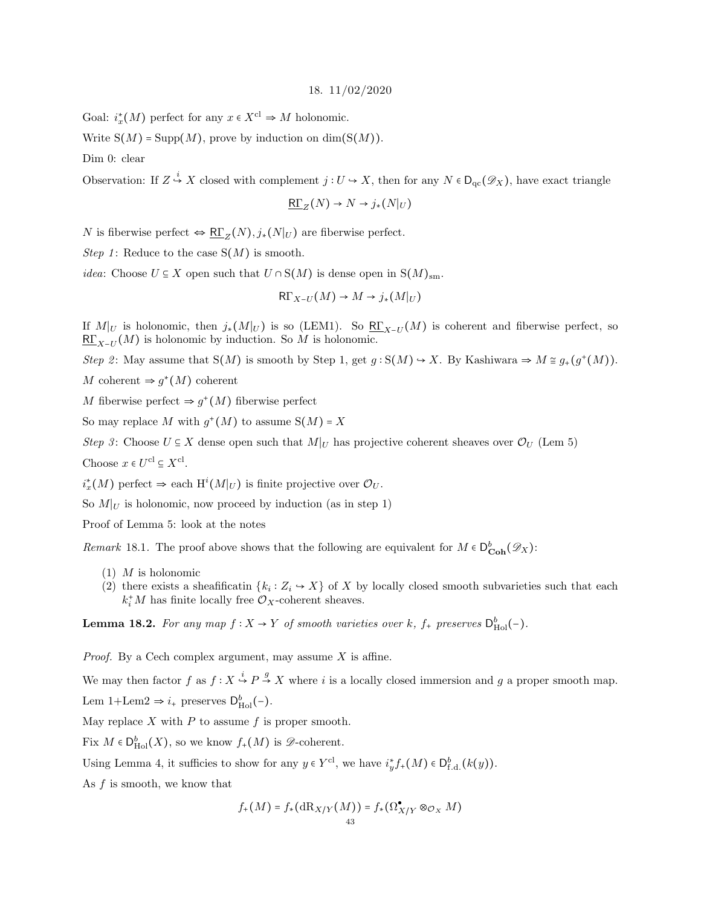#### 18. 11/02/2020

<span id="page-42-0"></span>Goal:  $i_x^*(M)$  perfect for any  $x \in X^{\text{cl}} \Rightarrow M$  holonomic.

Write  $S(M)$  = Supp $(M)$ , prove by induction on dim( $S(M)$ ).

Dim 0: clear

Observation: If  $Z \stackrel{i}{\hookrightarrow} X$  closed with complement  $j: U \hookrightarrow X$ , then for any  $N \in D_{\text{qc}}(\mathscr{D}_X)$ , have exact triangle

$$
\underline{\mathrm{R}\Gamma}_Z(N) \to N \to j_*(N|_U)
$$

N is fiberwise perfect  $\Leftrightarrow \underline{\mathrm{R}\Gamma}_Z(N), j_*(N|_U)$  are fiberwise perfect.

Step 1: Reduce to the case  $S(M)$  is smooth.

*idea*: Choose  $U \subseteq X$  open such that  $U \cap S(M)$  is dense open in  $S(M)_{\text{sm}}$ .

$$
\mathrm{R}\Gamma_{X-U}(M)\to M\to j_*(M|_U)
$$

If  $M|_U$  is holonomic, then  $j_*(M|_U)$  is so (LEM1). So  $\underline{\mathsf{RL}}_{X-U}(M)$  is coherent and fiberwise perfect, so  $\underline{\mathsf{RT}}_{X-U}(M)$  is holonomic by induction. So M is holonomic.

Step 2: May assume that  $S(M)$  is smooth by Step 1, get  $g : S(M) \to X$ . By Kashiwara  $\Rightarrow M \cong g_+(g^+(M))$ .

M coherent  $\Rightarrow g^*(M)$  coherent

M fiberwise perfect  $\Rightarrow g^+(M)$  fiberwise perfect

So may replace M with  $g^+(M)$  to assume  $S(M) = X$ 

Step 3: Choose  $U \subseteq X$  dense open such that  $M|_U$  has projective coherent sheaves over  $\mathcal{O}_U$  (Lem 5) Choose  $x \in U^{\text{cl}} \subseteq X^{\text{cl}}$ .

 $i_x^*(M)$  perfect  $\Rightarrow$  each  $\mathrm{H}^i(M|_U)$  is finite projective over  $\mathcal{O}_U$ .

So  $M|_U$  is holonomic, now proceed by induction (as in step 1)

Proof of Lemma 5: look at the notes

*Remark* 18.1. The proof above shows that the following are equivalent for  $M \in D_{\text{Coh}}^{b}(\mathscr{D}_{X})$ :

- $(1)$  *M* is holonomic
- (2) there exists a sheafificatin  $\{k_i : Z_i \to X\}$  of X by locally closed smooth subvarieties such that each  $k_i^*M$  has finite locally free  $\mathcal{O}_X$ -coherent sheaves.

**Lemma 18.2.** For any map  $f: X \to Y$  of smooth varieties over k,  $f_{+}$  preserves  $D_{\text{Hol}}^{b}(-)$ .

*Proof.* By a Cech complex argument, may assume  $X$  is affine.

We may then factor f as  $f: X \stackrel{i}{\hookrightarrow} P \stackrel{g}{\to} X$  where i is a locally closed immersion and g a proper smooth map.

Lem  $1+$ Lem $2 \Rightarrow i_+$  preserves  $D_{\text{Hol}}^b(-)$ .

May replace  $X$  with  $P$  to assume  $f$  is proper smooth.

Fix  $M \in D^b_{\text{Hol}}(X)$ , so we know  $f_+(M)$  is  $\mathscr{D}\text{-coherent}.$ 

Using Lemma 4, it sufficies to show for any  $y \in Y^{\text{cl}}$ , we have  $i^*_{y} f_+(M) \in D^b_{f,d}(k(y))$ .

As  $f$  is smooth, we know that

$$
f_+(M) = f_*(\mathrm{dR}_{X/Y}(M)) = f_*(\Omega^{\bullet}_{X/Y} \otimes_{\mathcal{O}_X} M)
$$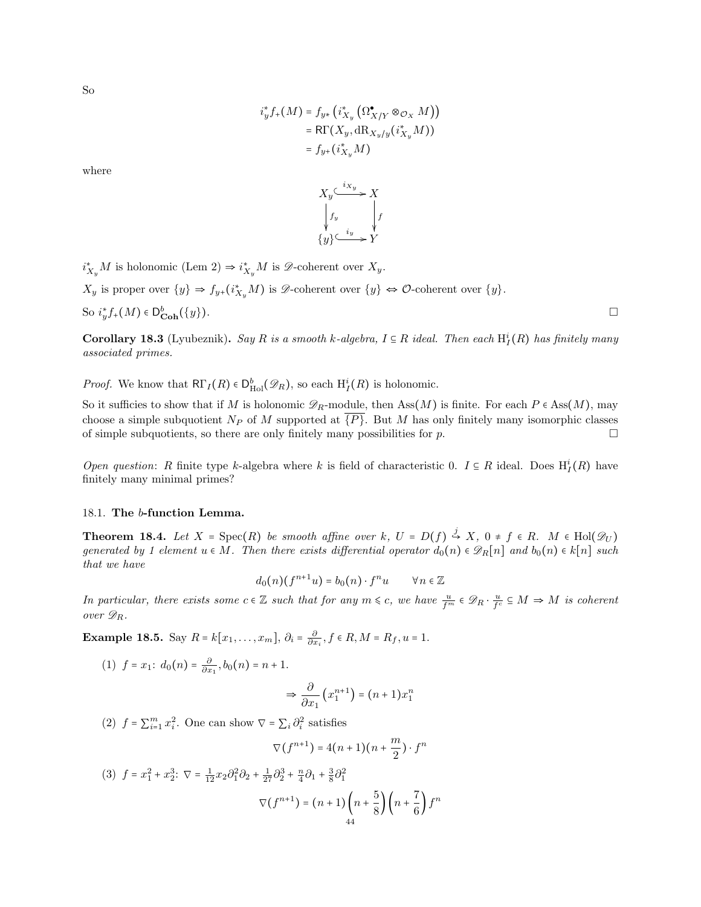So

$$
i_y^* f_+(M) = f_{y*} (i_{X_y}^* (\Omega_{X/Y}^{\bullet} \otimes_{\mathcal{O}_X} M))
$$
  
=  $\mathsf{R}\Gamma(X_y, \mathrm{dR}_{X_y/y} (i_{X_y}^* M))$   
=  $f_{y*} (i_{X_y}^* M)$ 

where



 $i_{X_y}^*M$  is holonomic (Lem 2)  $\Rightarrow i_{X_y}^*M$  is  $\mathscr{D}$ -coherent over  $X_y$ .

 $X_y$  is proper over  $\{y\} \Rightarrow f_{y+}(i_{X_y}^*M)$  is  $\mathscr{D}$ -coherent over  $\{y\} \Leftrightarrow \mathscr{O}$ -coherent over  $\{y\}$ .

So 
$$
i^*_{y}f_+(M) \in D^b_{\text{Coh}}(\{y\}).
$$

**Corollary 18.3** (Lyubeznik). Say R is a smooth k-algebra,  $I \subseteq R$  ideal. Then each  $H_I^i(R)$  has finitely many associated primes.

*Proof.* We know that  $\mathsf{R}\Gamma_I(R) \in D^b_{\text{Hol}}(\mathscr{D}_R)$ , so each  $H^i_I(R)$  is holonomic.

So it sufficies to show that if M is holonomic  $\mathscr{D}_R$ -module, then Ass $(M)$  is finite. For each P  $\in$  Ass $(M)$ , may choose a simple subquotient  $N_P$  of M supported at  $\overline{\{P\}}$ . But M has only finitely many isomorphic classes of simple subquotients, so there are only finitely many possibilities for  $p$ .

Open question: R finite type k-algebra where k is field of characteristic 0.  $I \subseteq R$  ideal. Does  $H_I^i(R)$  have finitely many minimal primes?

#### <span id="page-43-0"></span>18.1. The b-function Lemma.

**Theorem 18.4.** Let  $X = \text{Spec}(R)$  be smooth affine over k,  $U = D(f) \stackrel{j}{\hookrightarrow} X$ ,  $0 \neq f \in R$ .  $M \in \text{Hol}(\mathscr{D}_U)$ generated by 1 element  $u \in M$ . Then there exists differential operator  $d_0(n) \in \mathscr{D}_R[n]$  and  $b_0(n) \in k[n]$  such that we have

$$
d_0(n)(f^{n+1}u) = b_0(n) \cdot f^n u \qquad \forall n \in \mathbb{Z}
$$

In particular, there exists some  $c \in \mathbb{Z}$  such that for any  $m \leq c$ , we have  $\frac{u}{f^m} \in \mathscr{D}_R \cdot \frac{u}{f^c} \subseteq M \Rightarrow M$  is coherent over  $\mathscr{D}_R$ .

**Example 18.5.** Say  $R = k[x_1, \ldots, x_m], \ \partial_i = \frac{\partial}{\partial x_i}, f \in R, M = R_f, u = 1.$ 

(1) 
$$
f = x_1
$$
:  $d_0(n) = \frac{\partial}{\partial x_1}, b_0(n) = n + 1$ .

$$
\Rightarrow \frac{\partial}{\partial x_1} \left( x_1^{n+1} \right) = (n+1)x_1^n
$$

(2)  $f = \sum_{i=1}^{m} x_i^2$ . One can show  $\nabla = \sum_i \partial_i^2$  satisfies

$$
\nabla(f^{n+1}) = 4(n+1)(n+\frac{m}{2}) \cdot f^n
$$

(3) 
$$
f = x_1^2 + x_2^3
$$
:  $\nabla = \frac{1}{12} x_2 \partial_1^2 \partial_2 + \frac{1}{27} \partial_2^3 + \frac{n}{4} \partial_1 + \frac{3}{8} \partial_1^2$   

$$
\nabla (f^{n+1}) = (n+1) \left( n + \frac{5}{8} \right) \left( n + \frac{7}{6} \right) f^n
$$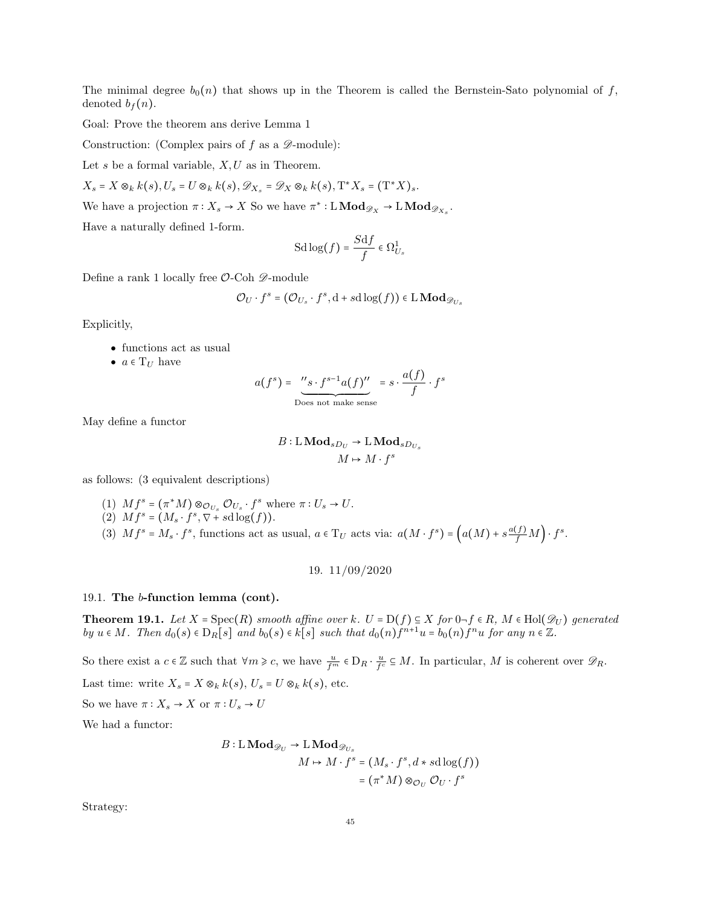The minimal degree  $b_0(n)$  that shows up in the Theorem is called the Bernstein-Sato polynomial of f, denoted  $b_f(n)$ .

Goal: Prove the theorem ans derive Lemma 1

Construction: (Complex pairs of  $f$  as a  $\mathscr{D}$ -module):

Let s be a formal variable,  $X, U$  as in Theorem.

 $X_s = X \otimes_k k(s), U_s = U \otimes_k k(s), \mathscr{D}_{X_s} = \mathscr{D}_X \otimes_k k(s), \mathrm{T}^* X_s = (\mathrm{T}^* X)_s.$ 

We have a projection  $\pi: X_s \to X$  So we have  $\pi^*: \mathbf{LMod}_{\mathscr{D}_X} \to \mathbf{LMod}_{\mathscr{D}_{X_s}}$ .

Have a naturally defined 1-form.

$$
\operatorname{Sd} \log(f) = \frac{S \mathrm{d} f}{f} \in \Omega^1_{U_s}
$$

Define a rank 1 locally free  $\mathcal{O}\text{-}\mathrm{Coh} \mathscr{D}\text{-}\mathrm{module}$ 

$$
\mathcal{O}_U \cdot f^s = (\mathcal{O}_{U_s} \cdot f^s, \mathrm{d} + s \mathrm{d} \log(f)) \in \mathrm{L} \mathbf{Mod}_{\mathscr{D}_{U_s}}
$$

Explicitly,

- functions act as usual
- $a \in T_U$  have

$$
a(f^{s}) = \underbrace{``s \cdot f^{s-1}a(f)''}_{\text{Does not make sense}} = s \cdot \frac{a(f)}{f} \cdot f^{s}
$$

May define a functor

$$
B:\operatorname{LMod}_{sD_U}\to \operatorname{LMod}_{sD_{U_s}}\\ M\mapsto M\cdot f^s
$$

as follows: (3 equivalent descriptions)

- (1)  $Mf^s = (\pi^*M) \otimes_{\mathcal{O}_{U_s}} \mathcal{O}_{U_s} \cdot f^s$  where  $\pi: U_s \to U$ .
- (2)  $Mf^{s} = (M_{s} \cdot f^{s}, \nabla + sd \log(f)).$
- (3)  $Mf^s = M_s \cdot f^s$ , functions act as usual,  $a \in T_U$  acts via:  $a(M \cdot f^s) = \left(a(M) + s \frac{a(f)}{f} M\right) \cdot f^s$ .

19. 11/09/2020

#### <span id="page-44-1"></span><span id="page-44-0"></span>19.1. The b-function lemma (cont).

**Theorem 19.1.** Let  $X = \text{Spec}(R)$  smooth affine over k.  $U = D(f) \subseteq X$  for  $0 \neg f \in R$ ,  $M \in Hol(\mathcal{D}_U)$  generated by  $u \in M$ . Then  $d_0(s) \in D_R[s]$  and  $b_0(s) \in k[s]$  such that  $d_0(n) f^{n+1} u = b_0(n) f^n u$  for any  $n \in \mathbb{Z}$ .

So there exist a  $c \in \mathbb{Z}$  such that  $\forall m \geq c$ , we have  $\frac{u}{f^m} \in D_R \cdot \frac{u}{f^c} \subseteq M$ . In particular, M is coherent over  $\mathscr{D}_R$ .

Last time: write  $X_s = X \otimes_k k(s)$ ,  $U_s = U \otimes_k k(s)$ , etc.

So we have  $\pi: X_s \to X$  or  $\pi: U_s \to U$ 

We had a functor:

$$
B: \mathcal{L} \mathbf{Mod}_{\mathscr{D}_U} \to \mathcal{L} \mathbf{Mod}_{\mathscr{D}_{U_s}}
$$
  

$$
M \mapsto M \cdot f^s = (M_s \cdot f^s, d * sd \log(f))
$$
  

$$
= (\pi^* M) \otimes_{\mathcal{O}_U} \mathcal{O}_U \cdot f^s
$$

Strategy: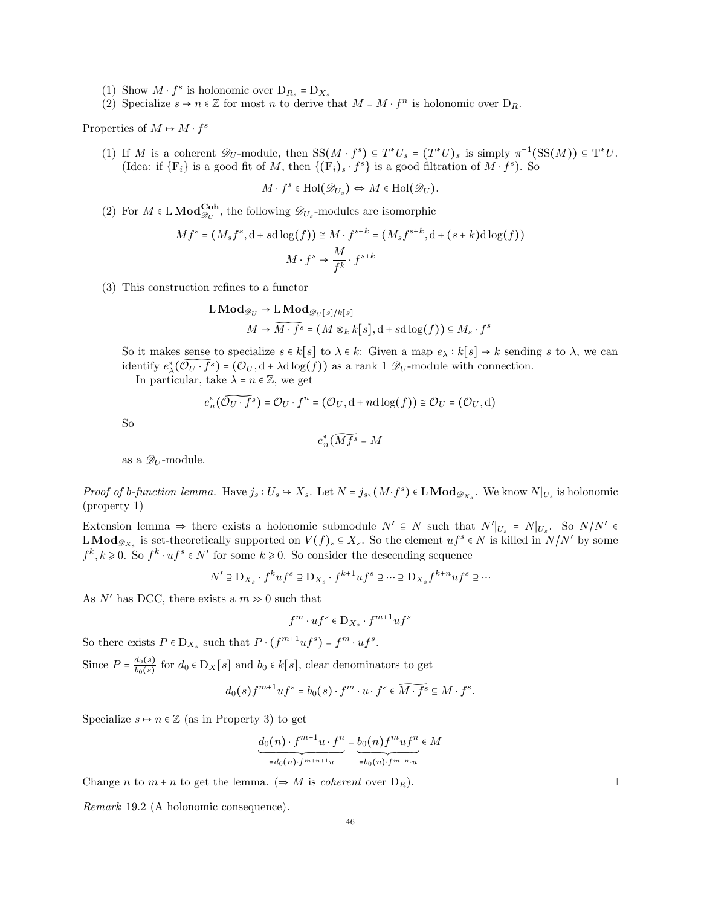- (1) Show  $M \cdot f^s$  is holonomic over  $D_{R_s} = D_{X_s}$
- (2) Specialize  $s \mapsto n \in \mathbb{Z}$  for most n to derive that  $M = M \cdot f^n$  is holonomic over  $D_R$ .

Properties of  $M \mapsto M \cdot f^s$ 

(1) If M is a coherent  $\mathscr{D}_U$ -module, then  $SS(M \cdot f^s) \subseteq T^*U_s = (T^*U)_s$  is simply  $\pi^{-1}(SS(M)) \subseteq T^*U$ . (Idea: if  $\{F_i\}$  is a good fit of M, then  $\{(F_i)_s \cdot f^s\}$  is a good filtration of  $M \cdot f^s$ ). So

$$
M \cdot f^s \in Hol(\mathcal{D}_{U_s}) \Leftrightarrow M \in Hol(\mathcal{D}_U).
$$

(2) For  $M \in L \text{Mod}_{\mathscr{D}_U}^{\text{Coh}},$  the following  $\mathscr{D}_{U_s}$ -modules are isomorphic

$$
Mf^s = (M_s f^s, d + sd\log(f)) \cong M \cdot f^{s+k} = (M_s f^{s+k}, d + (s+k)d\log(f))
$$

$$
M \cdot f^s \mapsto \frac{M}{f^k} \cdot f^{s+k}
$$

(3) This construction refines to a functor

$$
L\text{Mod}_{\mathscr{D}_U} \to L\text{Mod}_{\mathscr{D}_U[s]/k[s]}
$$

$$
M \mapsto \widehat{M \cdot f^s} = (M \otimes_k k[s], d + sd \log(f)) \subseteq M_s \cdot f^s
$$

So it makes sense to specialize  $s \in k[s]$  to  $\lambda \in k$ : Given a map  $e_\lambda : k[s] \to k$  sending s to  $\lambda$ , we can identify  $e^*_{\lambda}(\widetilde{\mathcal{O}_U \cdot f^s}) = (\mathcal{O}_U, d + \lambda d \log(f))$  as a rank 1  $\mathcal{D}_U$ -module with connection.

In particular, take  $\lambda = n \in \mathbb{Z}$ , we get

$$
e_n^*(\widetilde{{\mathcal O}_U\cdot f}^s)={\mathcal O}_U\cdot f^n=({\mathcal O}_U,{\rm d}+n{\rm d}\log(f))\cong{\mathcal O}_U=({\mathcal O}_U,{\rm d})
$$

So

$$
e_n^*(\widetilde{Mf^s}=M
$$

as a  $\mathscr{D}_U$ -module.

Proof of b-function lemma. Have  $j_s: U_s \to X_s$ . Let  $N = j_{s*}(M \cdot f^s) \in \mathbb{L} \text{Mod}_{\mathscr{D}_{X_s}}$ . We know  $N|_{U_s}$  is holonomic (property 1)

Extension lemma  $\Rightarrow$  there exists a holonomic submodule  $N' \subseteq N$  such that  $N'|_{U_s} = N|_{U_s}$ . So  $N/N' \in$ LMod<sub> $\mathscr{D}_{X_s}$ </sub> is set-theoretically supported on  $V(f)_s \subseteq X_s$ . So the element  $uf^s \in N$  is killed in  $N/N'$  by some  $f^k, k \geq 0$ . So  $f^k \cdot uf^s \in N'$  for some  $k \geq 0$ . So consider the descending sequence

$$
N'\supseteq \mathbf{D}_{X_s}\cdot f^ku f^s\supseteq \mathbf{D}_{X_s}\cdot f^{k+1}uf^s\supseteq \cdots \supseteq \mathbf{D}_{X_s}f^{k+n}uf^s\supseteq \cdots
$$

As  $N'$  has DCC, there exists a  $m \gg 0$  such that

$$
f^m\cdot uf^s\in \mathcal{D}_{X_s}\cdot f^{m+1}uf^s
$$

So there exists  $P \in D_{X_s}$  such that  $P \cdot (f^{m+1}uf^s) = f^m \cdot uf^s$ .

Since  $P = \frac{d_0(s)}{b_0(s)}$  $\frac{a_0(s)}{b_0(s)}$  for  $d_0 \in D_X[s]$  and  $b_0 \in k[s]$ , clear denominators to get

$$
d_0(s)f^{m+1}uf^s=b_0(s)\cdot f^m\cdot u\cdot f^s\in\widetilde{M\cdot f^s}\subseteq M\cdot f^s.
$$

Specialize  $s \mapsto n \in \mathbb{Z}$  (as in Property 3) to get

$$
\underbrace{d_0(n) \cdot f^{m+1}u \cdot f^n}_{=d_0(n) \cdot f^{m+n+1}u} = \underbrace{b_0(n) f^m u f^n}_{=b_0(n) \cdot f^{m+n} \cdot u} \in M
$$

Change *n* to  $m + n$  to get the lemma. ( $\Rightarrow M$  is *coherent* over  $D_R$ ).

Remark 19.2 (A holonomic consequence).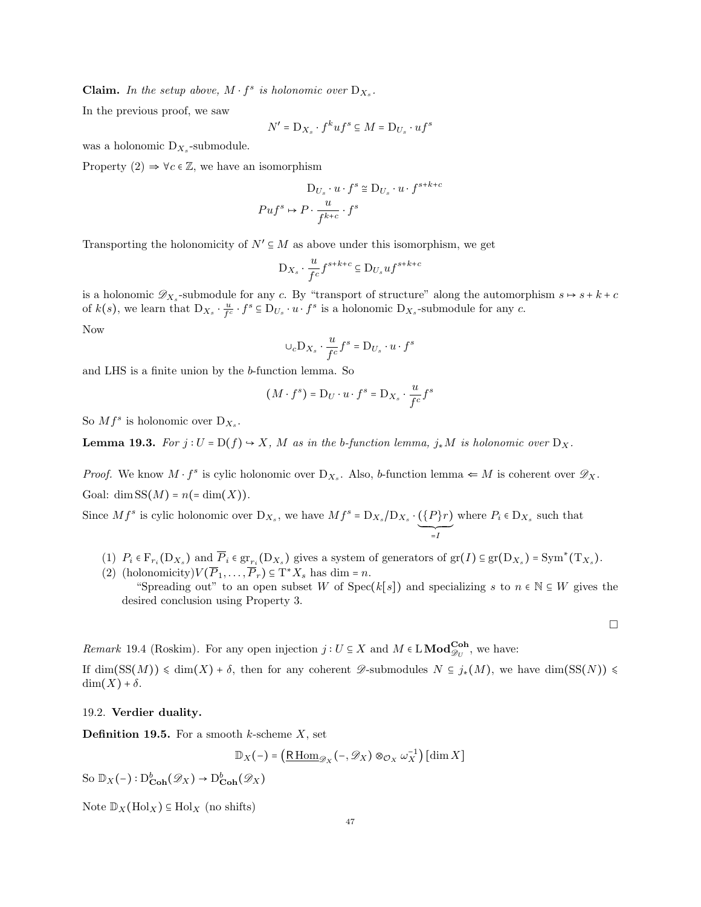**Claim.** In the setup above,  $M \cdot f^s$  is holonomic over  $D_{X_s}$ .

In the previous proof, we saw

$$
N' = \mathbf{D}_{X_s} \cdot f^k u f^s \subseteq M = \mathbf{D}_{U_s} \cdot u f^s
$$

was a holonomic  $D_{X_s}$ -submodule.

Property  $(2) \Rightarrow \forall c \in \mathbb{Z}$ , we have an isomorphism

$$
D_{U_s} \cdot u \cdot f^s \cong D_{U_s} \cdot u \cdot f^{s+k+c}
$$

$$
Puf^s \mapsto P \cdot \frac{u}{f^{k+c}} \cdot f^s
$$

Transporting the holonomicity of  $N' \subseteq M$  as above under this isomorphism, we get

$$
D_{X_s} \cdot \frac{u}{f^c} f^{s+k+c} \subseteq D_{U_s} u f^{s+k+c}
$$

is a holonomic  $\mathscr{D}_{X_s}$ -submodule for any c. By "transport of structure" along the automorphism  $s \mapsto s + k + c$ of  $k(s)$ , we learn that  $D_{X_s} \cdot \frac{u}{f^c} \cdot f^s \subseteq D_{U_s} \cdot u \cdot f^s$  is a holonomic  $D_{X_s}$ -submodule for any c. Now

$$
\cup_{c} \mathrm{D}_{X_s} \cdot \frac{u}{f^c} f^s = \mathrm{D}_{U_s} \cdot u \cdot f^s
$$

and LHS is a finite union by the b-function lemma. So

$$
(M \cdot f^s) = D_U \cdot u \cdot f^s = D_{X_s} \cdot \frac{u}{f^c} f^s
$$

So  $Mf^s$  is holonomic over  $D_{X_s}$ .

**Lemma 19.3.** For  $j: U = D(f) \rightarrow X$ , M as in the b-function lemma,  $j_*M$  is holonomic over  $D_X$ .

*Proof.* We know  $M \cdot f^s$  is cylic holonomic over  $D_{X_s}$ . Also, b-function lemma  $\Leftarrow M$  is coherent over  $\mathscr{D}_X$ . Goal: dim  $SS(M) = n(=\dim(X)).$ 

Since  $Mf^s$  is cylic holonomic over  $D_{X_s}$ , we have  $Mf^s = D_{X_s}/D_{X_s} \cdot (\{P\}r)$  $\sum_{=I}$ where  $P_i \in D_{X_s}$  such that

- (1)  $P_i \in \mathcal{F}_{r_i}(\mathcal{D}_{X_s})$  and  $\overline{P}_i \in \text{gr}_{r_i}(\mathcal{D}_{X_s})$  gives a system of generators of  $\text{gr}(I) \subseteq \text{gr}(\mathcal{D}_{X_s}) = \text{Sym}^*(\mathcal{T}_{X_s})$ .
- (2) (holonomicity) $V(\overline{P}_1,\ldots,\overline{P}_r) \subseteq T^*X_s$  has dim = n. "Spreading out" to an open subset W of Spec(k[s]) and specializing s to  $n \in \mathbb{N} \subseteq W$  gives the desired conclusion using Property 3.

 $\Box$ 

Remark 19.4 (Roskim). For any open injection  $j: U \subseteq X$  and  $M \in L\textbf{Mod}_{\mathscr{D}_U}^{\textbf{Coh}}$ , we have:

If  $\dim(SS(M)) \leq \dim(X) + \delta$ , then for any coherent  $\mathscr{D}$ -submodules  $N \subseteq j_*(M)$ , we have  $\dim(SS(N)) \leq$  $\dim(X) + \delta$ .

## <span id="page-46-0"></span>19.2. Verdier duality.

**Definition 19.5.** For a smooth k-scheme  $X$ , set

$$
\mathbb{D}_X(-) = \left(\underline{\mathrm{R}\operatorname{Hom}}_{\mathcal{D}_X}(-, \mathcal{D}_X) \otimes_{\mathcal{O}_X} \omega_X^{-1}\right) [\dim X]
$$

So  $\mathbb{D}_X(-): \mathrm{D}^b_{\mathbf{Coh}}(\mathscr{D}_X) \to \mathrm{D}^b_{\mathbf{Coh}}(\mathscr{D}_X)$ 

Note  $\mathbb{D}_X(\text{Hol}_X) \subseteq \text{Hol}_X$  (no shifts)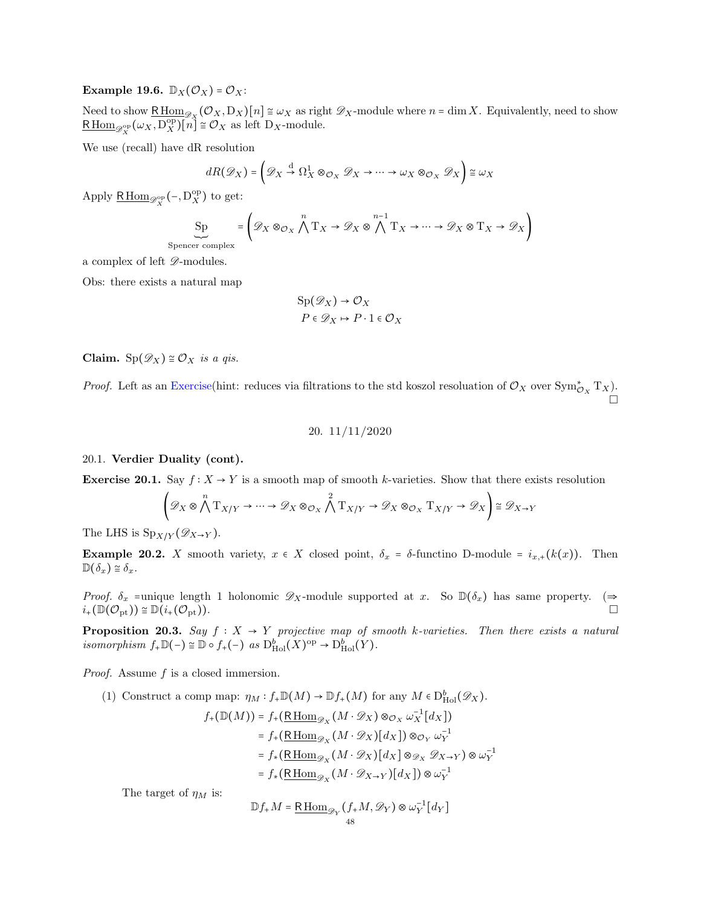## Example 19.6.  $\mathbb{D}_X(\mathcal{O}_X) = \mathcal{O}_X$ :

Need to show  $\underline{\text{R}\text{Hom}}_{\mathscr{D}_X}(\mathcal{O}_X, D_X)[n] \cong \omega_X$  as right  $\mathscr{D}_X$ -module where  $n = \dim X$ . Equivalently, need to show  $\underline{\mathsf{R}\operatorname{Hom}}_{\mathscr{D}_X^{\mathrm{op}}}(\omega_X,\mathcal{D}_X^{\mathrm{op}})[n] \cong \mathcal{O}_X$  as left  $\mathcal{D}_X$ -module.

We use (recall) have dR resolution

$$
dR(\mathscr{D}_X) = \left(\mathscr{D}_X \stackrel{\mathrm{d}}{\to} \Omega^1_X \otimes_{\mathcal{O}_X} \mathscr{D}_X \to \cdots \to \omega_X \otimes_{\mathcal{O}_X} \mathscr{D}_X\right) \cong \omega_X
$$

Apply  $\underline{\mathsf{R}\operatorname{Hom}}_{\mathscr{D}_X^{\operatorname{op}}}(-, \mathbf{D}_X^{\operatorname{op}})$  to get:

$$
\underbrace{\text{Sp}}_{\text{Spencer complex}} = \left(\mathscr{D}_X \otimes_{\mathcal{O}_X} \bigwedge^n T_X \to \mathscr{D}_X \otimes \bigwedge^{n-1} T_X \to \cdots \to \mathscr{D}_X \otimes T_X \to \mathscr{D}_X\right)
$$

a complex of left  $\mathscr{D}\text{-modules.}$ 

Obs: there exists a natural map

$$
Sp(\mathscr{D}_X) \to \mathcal{O}_X
$$

$$
P \in \mathscr{D}_X \mapsto P \cdot 1 \in \mathcal{O}_X
$$

Claim. Sp $(\mathscr{D}_X) \cong \mathcal{O}_X$  is a qis.

<span id="page-47-0"></span>*Proof.* Left as an Exercise(hint: reduces via filtrations to the std koszol resoluation of  $\mathcal{O}_X$  over  $\text{Sym}^*_{\mathcal{O}_X} T_X$ ).

$$
20. \ \ 11/11/2020
$$

#### <span id="page-47-1"></span>20.1. Verdier Duality (cont).

Exercise 20.1. Say  $f: X \to Y$  is a smooth map of smooth k-varieties. Show that there exists resolution

$$
\left(\mathscr{D}_X\otimes\bigwedge^n\mathrm{T}_{X/Y}\to\cdots\to\mathscr{D}_X\otimes_{\mathcal{O}_X}\bigwedge^2\mathrm{T}_{X/Y}\to\mathscr{D}_X\otimes_{\mathcal{O}_X}\mathrm{T}_{X/Y}\to\mathscr{D}_X\right)\cong\mathscr{D}_{X\to Y}
$$

The LHS is  $\mathrm{Sp}_{X/Y}(\mathscr{D}_{X\to Y}).$ 

**Example 20.2.** X smooth variety,  $x \in X$  closed point,  $\delta_x = \delta$ -functino D-module =  $i_{x,+}(k(x))$ . Then  $\mathbb{D}(\delta_x) \cong \delta_x$ .

*Proof.*  $\delta_x$  =unique length 1 holonomic  $\mathscr{D}_X$ -module supported at x. So  $\mathbb{D}(\delta_x)$  has same property. ( $\Rightarrow$  $i_+(\mathbb{D}(\mathcal{O}_{\rm pt})) \cong \mathbb{D}(i_+(\mathcal{O}_{\rm pt})).$ 

**Proposition 20.3.** Say  $f : X \to Y$  projective map of smooth k-varieties. Then there exists a natural isomorphism  $f_{+}\mathbb{D}(-) \cong \mathbb{D} \circ f_{+}(-)$  as  $D_{\mathrm{Hol}}^{b}(X)^{\mathrm{op}} \to D_{\mathrm{Hol}}^{b}(Y)$ .

Proof. Assume f is a closed immersion.

(1) Construct a comp map:  $\eta_M : f_* \mathbb{D}(M) \to \mathbb{D} f_+(M)$  for any  $M \in D^b_{\text{Hol}}(\mathscr{D}_X)$ .

$$
f_{+}(\mathbb{D}(M)) = f_{+}(\underbrace{\text{R}\operatorname{Hom}_{\mathscr{D}_{X}}(M \cdot \mathscr{D}_{X}) \otimes_{\mathcal{O}_{X}} \omega_{X}^{-1}[d_{X}])
$$
  
\n
$$
= f_{+}(\underbrace{\text{R}\operatorname{Hom}_{\mathscr{D}_{X}}(M \cdot \mathscr{D}_{X})[d_{X}]) \otimes_{\mathcal{O}_{Y}} \omega_{Y}^{-1}
$$
  
\n
$$
= f_{*}(\underbrace{\text{R}\operatorname{Hom}_{\mathscr{D}_{X}}(M \cdot \mathscr{D}_{X})[d_{X}] \otimes_{\mathscr{D}_{X}} \mathscr{D}_{X \to Y}) \otimes \omega_{Y}^{-1}
$$
  
\n
$$
= f_{*}(\underbrace{\text{R}\operatorname{Hom}_{\mathscr{D}_{X}}(M \cdot \mathscr{D}_{X \to Y})[d_{X}]) \otimes \omega_{Y}^{-1}}
$$

The target of  $\eta_M$  is:

$$
\mathbb{D}f_{+}M = \underline{\mathrm{R}\operatorname{Hom}}_{\mathscr{D}_Y}(f_{+}M, \mathscr{D}_Y) \otimes \omega_Y^{-1}[d_Y]
$$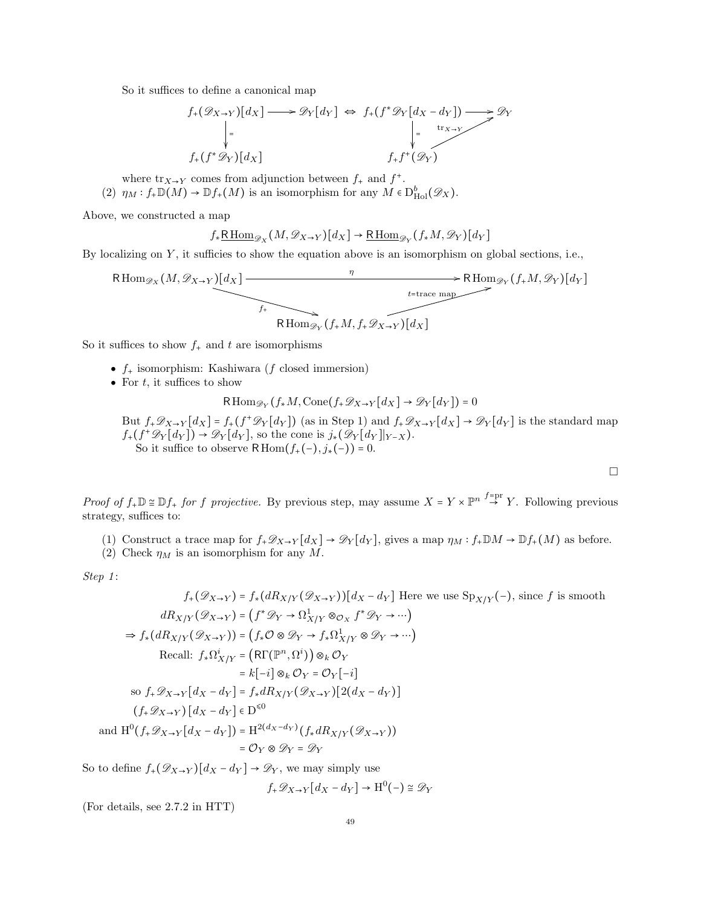So it suffices to define a canonical map

$$
f_{+}(\mathscr{D}_{X\to Y})[d_X] \longrightarrow \mathscr{D}_{Y}[d_Y] \Leftrightarrow f_{+}(f^{*}\mathscr{D}_{Y}[d_X - d_Y]) \longrightarrow \mathscr{D}_{Y}
$$
  
\n
$$
\downarrow = \qquad \qquad \downarrow = \qquad \qquad \downarrow = \qquad \qquad \downarrow
$$
  
\n
$$
f_{+}(f^{*}\mathscr{D}_{Y})[d_X] \qquad \qquad f_{+}f^{+}(\mathscr{D}_{Y})
$$

where  $\text{tr}_{X\to Y}$  comes from adjunction between  $f_+$  and  $f^+$ . (2)  $\eta_M : f_* \mathbb{D}(M) \to \mathbb{D} f_+(M)$  is an isomorphism for any  $M \in D^b_{\text{Hol}}(\mathscr{D}_X)$ .

Above, we constructed a map

$$
f_*\underline{\mathsf{R}\operatorname{Hom}}_{\mathscr{D}_X}(M,\mathscr{D}_{X\to Y})[d_X]\to \underline{\mathsf{R}\operatorname{Hom}}_{\mathscr{D}_Y}(f_*M,\mathscr{D}_Y)[d_Y]
$$

By localizing on  $Y$ , it sufficies to show the equation above is an isomorphism on global sections, i.e.,

$$
R\operatorname{Hom}_{\mathscr{D}_X}(M, \mathscr{D}_{X \to Y})[d_X] \xrightarrow{\eta} R\operatorname{Hom}_{\mathscr{D}_Y}(f_+M, \mathscr{D}_Y)[d_Y]
$$
  
\n
$$
R\operatorname{Hom}_{\mathscr{D}_Y}(f_+M, f_+ \mathscr{D}_{X \to Y})[d_X]
$$

So it suffices to show  $f_+$  and t are isomorphisms

- $f_{+}$  isomorphism: Kashiwara ( $f$  closed immersion)
- For  $t$ , it suffices to show

$$
\mathsf{R}\operatorname{Hom}_{\mathscr{D}_Y}(f_*M, \operatorname{Cone}(f_*\mathscr{D}_{X \to Y}[d_X] \to \mathscr{D}_Y[d_Y]) = 0
$$

But  $f_+\mathscr{D}_{X\to Y}[d_X] = f_+(f^+\mathscr{D}_Y[d_Y])$  (as in Step 1) and  $f_+\mathscr{D}_{X\to Y}[d_X] \to \mathscr{D}_Y[d_Y]$  is the standard map  $f_+(f^+\mathscr{D}_Y[d_Y]) \to \mathscr{D}_Y[d_Y]$ , so the cone is  $j_*(\mathscr{D}_Y[d_Y]|_{Y-X})$ . So it suffice to observe RHom $(f<sub>+</sub>(-), j<sub>*</sub>(-)) = 0$ .

 $\Box$ 

Proof of  $f_{+}\mathbb{D} \cong \mathbb{D} f_{+}$  for f projective. By previous step, may assume  $X = Y \times \mathbb{P}^{n}$   $\stackrel{f_{=pr}}{\rightarrow} Y$ . Following previous strategy, suffices to:

- (1) Construct a trace map for  $f_{+}\mathscr{D}_{X\to Y}[d_X] \to \mathscr{D}_Y[d_Y]$ , gives a map  $\eta_M : f_{+} \mathbb{D}M \to \mathbb{D}f_{+}(M)$  as before.
- (2) Check  $\eta_M$  is an isomorphism for any M.

Step 1:

$$
f_{+}(\mathcal{D}_{X\to Y}) = f_{*}(dR_{X/Y}(\mathcal{D}_{X\to Y}))[d_{X} - d_{Y}] \text{ Here we use } Sp_{X/Y}(-), \text{ since } f \text{ is smooth}
$$
  
\n
$$
dR_{X/Y}(\mathcal{D}_{X\to Y}) = (f^{*}\mathcal{D}_{Y} \to \Omega_{X/Y}^{1} \otimes \mathcal{O}_{X} f^{*}\mathcal{D}_{Y} \to \cdots)
$$
  
\n
$$
\Rightarrow f_{*}(dR_{X/Y}(\mathcal{D}_{X\to Y})) = (f_{*}\mathcal{O} \otimes \mathcal{D}_{Y} \to f_{*}\Omega_{X/Y}^{1} \otimes \mathcal{D}_{Y} \to \cdots)
$$
  
\nRecall:  $f_{*}\Omega_{X/Y}^{i} = (R\Gamma(\mathbb{P}^{n}, \Omega^{i})) \otimes_{k} \mathcal{O}_{Y}$   
\n
$$
= k[-i] \otimes_{k} \mathcal{O}_{Y} = \mathcal{O}_{Y}[-i]
$$
  
\nso  $f_{+}\mathcal{D}_{X\to Y}[d_{X} - d_{Y}] = f_{*}dR_{X/Y}(\mathcal{D}_{X\to Y})[2(d_{X} - d_{Y})]$   
\n
$$
(f_{+}\mathcal{D}_{X\to Y})[d_{X} - d_{Y}] \in D^{<0}
$$
  
\nand H<sup>0</sup>( $f_{+}\mathcal{D}_{X\to Y}[d_{X} - d_{Y}]$ ) = H<sup>2</sup>( $d_{X} - d_{Y}$ ) ( $f_{*}dR_{X/Y}(\mathcal{D}_{X\to Y})$ )  
\n
$$
= \mathcal{O}_{Y} \otimes \mathcal{D}_{Y} = \mathcal{D}_{Y}
$$

So to define  $f_+(\mathscr{D}_{X\to Y})[d_X-d_Y]\to \mathscr{D}_Y$ , we may simply use

$$
f_{+}\mathscr{D}_{X\to Y}[d_X - d_Y] \to \mathrm{H}^0(-) \cong \mathscr{D}_Y
$$

(For details, see 2.7.2 in HTT)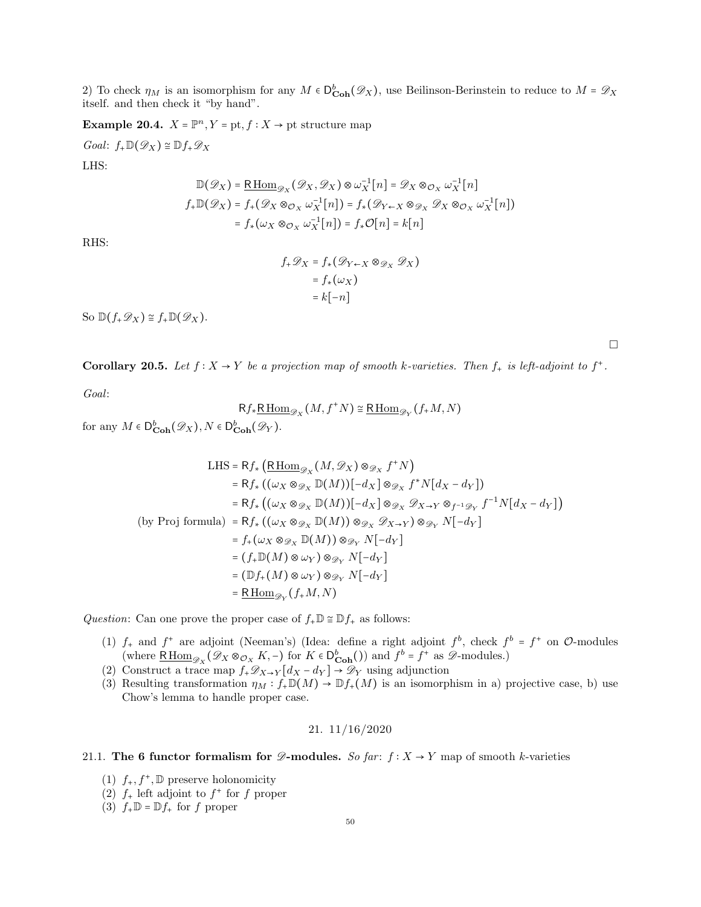2) To check  $\eta_M$  is an isomorphism for any  $M \in D_{\text{Coh}}^b(\mathscr{D}_X)$ , use Beilinson-Berinstein to reduce to  $M = \mathscr{D}_X$ itself. and then check it "by hand".

Example 20.4.  $X = \mathbb{P}^n, Y = \text{pt}, f : X \to \text{pt}$  structure map

 $Goal: f_{+}\mathbb{D}(\mathscr{D}_X) \cong \mathbb{D}f_{+}\mathscr{D}_X$ 

LHS:

$$
\mathbb{D}(\mathscr{D}_X) = \underline{\mathrm{R}\operatorname{Hom}}_{\mathscr{D}_X}(\mathscr{D}_X, \mathscr{D}_X) \otimes \omega_X^{-1}[n] = \mathscr{D}_X \otimes_{\mathcal{O}_X} \omega_X^{-1}[n]
$$
\n
$$
f_+ \mathbb{D}(\mathscr{D}_X) = f_+(\mathscr{D}_X \otimes_{\mathcal{O}_X} \omega_X^{-1}[n]) = f_*(\mathscr{D}_{Y \leftarrow X} \otimes_{\mathscr{D}_X} \mathscr{D}_X \otimes_{\mathcal{O}_X} \omega_X^{-1}[n])
$$
\n
$$
= f_*(\omega_X \otimes_{\mathcal{O}_X} \omega_X^{-1}[n]) = f_*\mathcal{O}[n] = k[n]
$$

RHS:

$$
f_{+}\mathscr{D}_{X} = f_{*}(\mathscr{D}_{Y \leftarrow X} \otimes_{\mathscr{D}_{X}} \mathscr{D}_{X})
$$

$$
= f_{*}(\omega_{X})
$$

$$
= k[-n]
$$

So  $\mathbb{D}(f_{+}\mathscr{D}_X) \cong f_{+}\mathbb{D}(\mathscr{D}_X)$ .

 $\Box$ 

**Corollary 20.5.** Let  $f: X \to Y$  be a projection map of smooth k-varieties. Then  $f_+$  is left-adjoint to  $f^+$ .

Goal:

$$
Rf_*\underline{\mathrm{R}\operatorname{Hom}}_{\mathscr{D}_X}(M, f^+N) \cong \underline{\mathrm{R}\operatorname{Hom}}_{\mathscr{D}_Y}(f_*M, N)
$$

for any  $M \in D^b_{\mathbf{Coh}}(\mathscr{D}_X), N \in D^b_{\mathbf{Coh}}(\mathscr{D}_Y).$ 

LHS = Rf\_\* 
$$
(\text{RHom}_{\mathscr{D}_X}(M, \mathscr{D}_X) \otimes_{\mathscr{D}_X} f^*N)
$$
  
\n= Rf\_\*  $((\omega_X \otimes_{\mathscr{D}_X} \mathbb{D}(M))[-d_X] \otimes_{\mathscr{D}_X} f^*N[d_X - d_Y])$   
\n= Rf\_\*  $((\omega_X \otimes_{\mathscr{D}_X} \mathbb{D}(M))[-d_X] \otimes_{\mathscr{D}_X} \mathscr{D}_{X \to Y} \otimes_{f^{-1}\mathscr{D}_Y} f^{-1}N[d_X - d_Y])$   
\n(by Proj formula) = Rf\_\*  $((\omega_X \otimes_{\mathscr{D}_X} \mathbb{D}(M)) \otimes_{\mathscr{D}_X} \mathscr{D}_{X \to Y}) \otimes_{\mathscr{D}_Y} N[-d_Y]$   
\n= f\_+(\omega\_X \otimes\_{\mathscr{D}\_X} \mathbb{D}(M)) \otimes\_{\mathscr{D}\_Y} N[-d\_Y]  
\n= (f\_+ \mathbb{D}(M) \otimes \omega\_Y) \otimes\_{\mathscr{D}\_Y} N[-d\_Y]  
\n= (Df\_+(M) \otimes \omega\_Y) \otimes\_{\mathscr{D}\_Y} N[-d\_Y]  
\n= RHom $\mathscr{D}_Y$  (f<sub>+</sub>M, N)

Question: Can one prove the proper case of  $f_{+}\mathbb{D} \cong \mathbb{D} f_{+}$  as follows:

- (1)  $f_+$  and  $f^+$  are adjoint (Neeman's) (Idea: define a right adjoint  $f^b$ , check  $f^b = f^+$  on  $\mathcal{O}\text{-modules}$ (where  $\underline{\mathrm{R}\operatorname{Hom}}_{\mathscr{D}_X}(\mathscr{D}_X \otimes_{\mathcal{O}_X} K, -)$  for  $K \in \mathsf{D}^b_{\mathbf{Coh}}($ )) and  $f^b = f^+$  as  $\mathscr{D}\text{-modules.}$
- (2) Construct a trace map  $f_{+}\mathscr{D}_{X\to Y}[d_X-d_Y] \to \mathscr{D}_Y$  using adjunction
- (3) Resulting transformation  $\eta_M : f_* \mathbb{D}(M) \to \mathbb{D} f_+(M)$  is an isomorphism in a) projective case, b) use Chow's lemma to handle proper case.

$$
21. \; 11/16/2020
$$

## <span id="page-49-1"></span><span id="page-49-0"></span>21.1. The 6 functor formalism for  $\mathscr{D}\text{-modules.}$  So far:  $f : X \to Y$  map of smooth k-varieties

- (1)  $f_+, f^+, \mathbb{D}$  preserve holonomicity
- (2)  $f_+$  left adjoint to  $f^+$  for f proper
- (3)  $f_{+}\mathbb{D} = \mathbb{D}f_{+}$  for f proper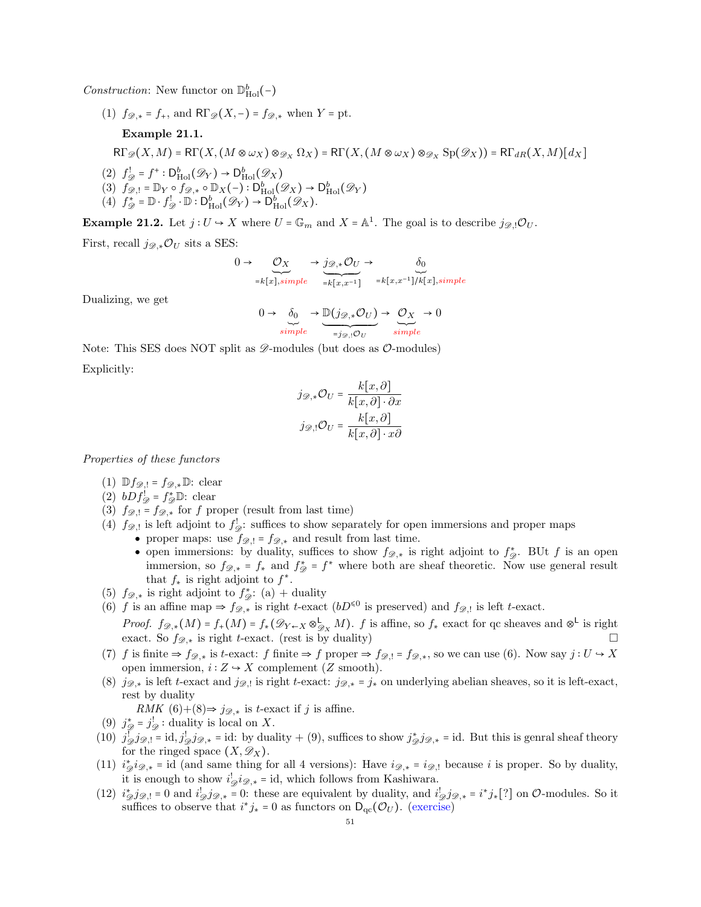*Construction*: New functor on  $\mathbb{D}_{\text{Hol}}^b(-)$ 

(1)  $f_{\mathscr{D},*} = f_+$ , and  $R\Gamma_{\mathscr{D}}(X,-) = f_{\mathscr{D},*}$  when  $Y = \text{pt}$ .

# Example 21.1.

 $R\Gamma_{\mathscr{D}}(X,M) = R\Gamma(X, (M \otimes \omega_X) \otimes_{\mathscr{D}_X} \Omega_X) = R\Gamma(X, (M \otimes \omega_X) \otimes_{\mathscr{D}_X} Sp(\mathscr{D}_X)) = R\Gamma_{dR}(X,M)[d_X]$ 

- (2)  $f_{\mathscr{D}}^! = f^+ : D^b_{\text{Hol}}(\mathscr{D}_Y) \to D^b_{\text{Hol}}(\mathscr{D}_X)$
- (3)  $f_{\mathscr{D},!} = \mathbb{D}_Y \circ f_{\mathscr{D},*} \circ \mathbb{D}_X(-) : D^b_{\text{Hol}}(\mathscr{D}_X) \to D^b_{\text{Hol}}(\mathscr{D}_Y)$
- (4)  $f_{\mathcal{D}}^* = \mathbb{D} \cdot f_{\mathcal{D}}^! \cdot \mathbb{D} : D_{\text{Hol}}^b(\mathcal{D}_Y) \to D_{\text{Hol}}^b(\mathcal{D}_X).$

**Example 21.2.** Let  $j: U \to X$  where  $U = \mathbb{G}_m$  and  $X = \mathbb{A}^1$ . The goal is to describe  $j_{\mathscr{D},!} \mathcal{O}_U$ .

First, recall  $j_{\mathscr{D},*}\mathcal{O}_U$  sits a SES:

$$
0 \to \underbrace{O_X}_{=k[x], simple} \to \underbrace{j_{\mathscr{D},*}O_U}_{=k[x,x^{-1}]} \to \underbrace{\delta_0}_{=k[x,x^{-1}]/k[x], simple}
$$

Dualizing, we get

$$
0 \to \underbrace{\delta_0}_{simple} \to \underbrace{\mathbb{D}(j_{\mathscr{D},*}\mathcal{O}_U)}_{=j_{\mathscr{D},!}\mathcal{O}_U} \to \underbrace{\mathcal{O}_X}_{simple} \to 0
$$

Note: This SES does NOT split as  $\mathscr{D}\text{-modules}$  (but does as  $\mathscr{O}\text{-modules}$ ) Explicitly:

$$
j_{\mathcal{D},*} \mathcal{O}_U = \frac{k[x,\partial]}{k[x,\partial] \cdot \partial x}
$$

$$
j_{\mathcal{D},!} \mathcal{O}_U = \frac{k[x,\partial]}{k[x,\partial] \cdot x\partial}
$$

Properties of these functors

- (1)  $\mathbb{D} f_{\mathscr{D},!} = f_{\mathscr{D},*} \mathbb{D}$ : clear
- (2)  $bDf_{\mathscr{D}}^! = f_{\mathscr{D}}^* \mathbb{D}$ : clear
- (3)  $f_{\mathscr{D},!} = f_{\mathscr{D},*}$  for f proper (result from last time)
- (4)  $f_{\mathscr{D},!}$  is left adjoint to  $f_{\mathscr{D}}$ : suffices to show separately for open immersions and proper maps
	- proper maps: use  $f_{\mathscr{D},!} = f_{\mathscr{D},*}$  and result from last time.
		- open immersions: by duality, suffices to show  $f_{\mathscr{D},*}$  is right adjoint to  $f_{\mathscr{D}}^*$ . BUt f is an open immersion, so  $f_{\mathscr{D},*} = f_*$  and  $f_{\mathscr{D}}^* = f^*$  where both are sheaf theoretic. Now use general result that  $f_*$  is right adjoint to  $f^*$ .
- (5)  $f_{\mathscr{D},\ast}$  is right adjoint to  $f_{\mathscr{D}}^{\ast}$ : (a) + duality
- (6) f is an affine map  $\Rightarrow f_{\mathscr{D},\ast}$  is right t-exact ( $bD^{\leq 0}$  is preserved) and  $f_{\mathscr{D},!}$  is left t-exact.
- *Proof.*  $f_{\mathscr{D},*}(M) = f_*(M) = f_*(\mathscr{D}_{Y \leftarrow X} \otimes_{\mathscr{D}_X}^{\mathsf{L}} M)$ . f is affine, so  $f_*$  exact for qc sheaves and  $\otimes^{\mathsf{L}}$  is right exact. So  $f_{\mathscr{D},*}$  is right t-exact. (rest is by duality)
- (7) f is finite  $\Rightarrow f_{\mathscr{D},*}$  is t-exact: f finite  $\Rightarrow f$  proper  $\Rightarrow f_{\mathscr{D},!} = f_{\mathscr{D},*}$ , so we can use (6). Now say  $j: U \hookrightarrow X$ open immersion,  $i: Z \rightarrow X$  complement (Z smooth).
- (8)  $j_{\mathscr{D},*}$  is left t-exact and  $j_{\mathscr{D},!}$  is right t-exact:  $j_{\mathscr{D},*} = j_*$  on underlying abelian sheaves, so it is left-exact, rest by duality

RMK  $(6)+(8) \Rightarrow j_{\mathscr{D},*}$  is t-exact if j is affine.

- (9)  $j_{\mathcal{D}}^* = j_{\mathcal{D}}^!$ : duality is local on X.
- (10)  $j_{\mathscr{D}}^! j_{\mathscr{D},!} = id, j_{\mathscr{D},*}^! = id$ : by duality + (9), suffices to show  $j_{\mathscr{D}}^* j_{\mathscr{D},*} = id$ . But this is genral sheaf theory for the ringed space  $(X, \mathscr{D}_X)$ .
- (11)  $i^*_{\mathcal{D}} i_{\mathcal{D},*} = id$  (and same thing for all 4 versions): Have  $i_{\mathcal{D},*} = i_{\mathcal{D},!}$  because i is proper. So by duality, it is enough to show  $i_{\mathscr{D}}'i_{\mathscr{D},*} = id$ , which follows from Kashiwara.
- (12)  $i^*_{\mathscr{D}} j_{\mathscr{D},\perp} = 0$  and  $i^!_{\mathscr{D}} j_{\mathscr{D},\star} = 0$ : these are equivalent by duality, and  $i^!_{\mathscr{D}} j_{\mathscr{D},\star} = i^* j_* [?]$  on  $\mathcal{O}\text{-modules}$ . So it suffices to observe that  $i^*j_* = 0$  as functors on  $D_{\text{qc}}(\mathcal{O}_U)$ . (exercise)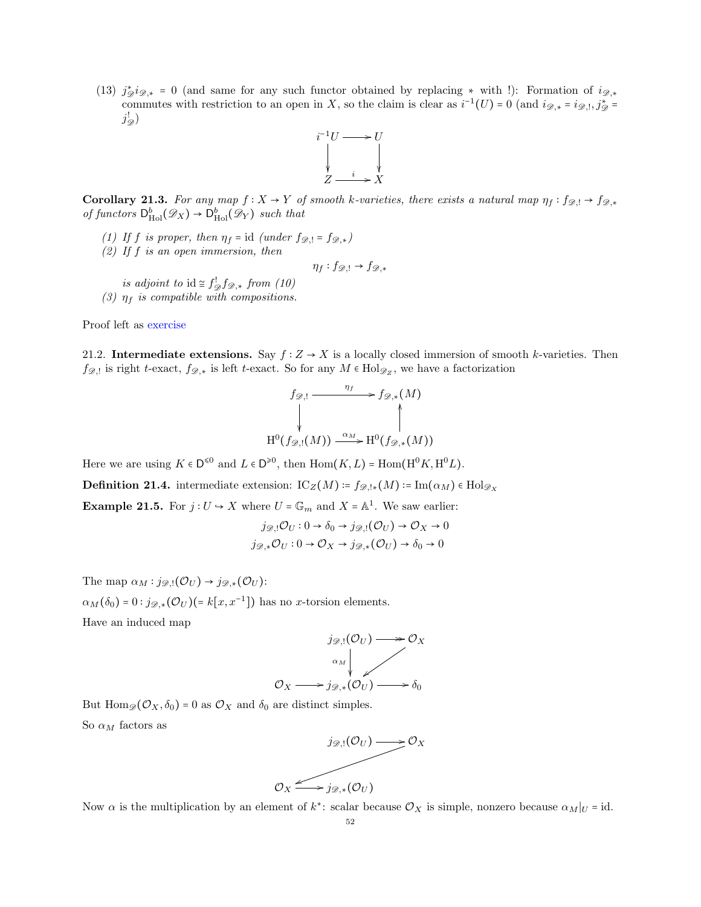(13)  $j_{\mathscr{D}}^* i_{\mathscr{D},*} = 0$  (and same for any such functor obtained by replacing  $*$  with !): Formation of  $i_{\mathscr{D},*}$ commutes with restriction to an open in X, so the claim is clear as  $i^{-1}(U) = 0$  (and  $i_{\mathscr{D},*} = i_{\mathscr{D},!}, j_{\mathscr{D}}^* =$  $j_{\mathscr{D}}^!)$ 



**Corollary 21.3.** For any map  $f : X \to Y$  of smooth k-varieties, there exists a natural map  $\eta_f : f_{\mathscr{D},!} \to f_{\mathscr{D},*}$ of functors  $D_{\text{Hol}}^b(\mathscr{D}_X) \to D_{\text{Hol}}^b(\mathscr{D}_Y)$  such that

- (1) If f is proper, then  $\eta_f = id$  (under  $f_{\mathscr{D},!} = f_{\mathscr{D},*}$ )
- (2) If  $f$  is an open immersion, then

$$
\eta_f: f_{\mathscr{D},!} \to f_{\mathscr{D},*}
$$

- is adjoint to  $id \cong f_{\mathscr{D}}^! f_{\mathscr{D},*}$  from  $(10)$
- (3)  $\eta_f$  is compatible with compositions.

Proof left as exercise

<span id="page-51-0"></span>21.2. Intermediate extensions. Say  $f: Z \to X$  is a locally closed immersion of smooth k-varieties. Then  $f_{\mathscr{D},!}$  is right t-exact,  $f_{\mathscr{D},*}$  is left t-exact. So for any  $M \in \text{Hol}_{\mathscr{D}_Z}$ , we have a factorization

$$
f_{\mathscr{D},!} \xrightarrow{\eta_f} f_{\mathscr{D},*}(M)
$$
\n
$$
\downarrow \qquad \qquad \downarrow
$$
\n
$$
H^0(f_{\mathscr{D},!}(M)) \xrightarrow{\alpha_M} H^0(f_{\mathscr{D},*}(M))
$$

Here we are using  $K \in \mathsf{D}^{\leq 0}$  and  $L \in \mathsf{D}^{\geq 0}$ , then  $\text{Hom}(K, L) = \text{Hom}(\text{H}^0K, \text{H}^0L)$ .

**Definition 21.4.** intermediate extension:  $\text{IC}_{Z}(M) = f_{\mathscr{D},!*}(M) = \text{Im}(\alpha_M) \in \text{Hol}_{\mathscr{D}_X}$ 

**Example 21.5.** For  $j: U \to X$  where  $U = \mathbb{G}_m$  and  $X = \mathbb{A}^1$ . We saw earlier:

$$
j_{\mathscr{D},!}\mathcal{O}_U: 0 \to \delta_0 \to j_{\mathscr{D},!}(\mathcal{O}_U) \to \mathcal{O}_X \to 0
$$
  

$$
j_{\mathscr{D},*}\mathcal{O}_U: 0 \to \mathcal{O}_X \to j_{\mathscr{D},*}(\mathcal{O}_U) \to \delta_0 \to 0
$$

The map  $\alpha_M : j_{\mathscr{D},!}(\mathcal{O}_U) \to j_{\mathscr{D},*}(\mathcal{O}_U)$ :

 $\alpha_M(\delta_0) = 0$ :  $j_{\mathscr{D},*}(\mathcal{O}_U) = k[x, x^{-1}]$  has no x-torsion elements. Have an induced map



But  $\text{Hom}_{\mathscr{D}}(\mathcal{O}_X, \delta_0) = 0$  as  $\mathcal{O}_X$  and  $\delta_0$  are distinct simples. So  $\alpha_M$  factors as



Now  $\alpha$  is the multiplication by an element of  $k^*$ : scalar because  $\mathcal{O}_X$  is simple, nonzero because  $\alpha_M|_U = id$ .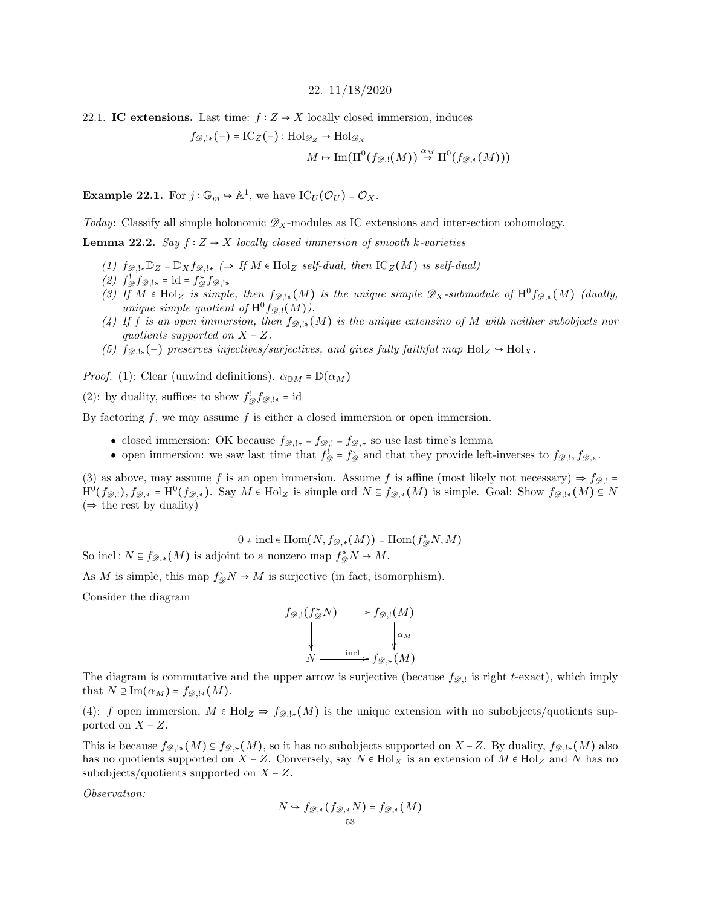#### 22. 11/18/2020

<span id="page-52-1"></span><span id="page-52-0"></span>22.1. IC extensions. Last time:  $f: Z \to X$  locally closed immersion, induces

$$
f_{\mathscr{D},!*}(-) = \mathrm{IC}_Z(-): \mathrm{Hol}_{\mathscr{D}_Z} \to \mathrm{Hol}_{\mathscr{D}_X}
$$

$$
M \mapsto \mathrm{Im}(\mathrm{H}^0(f_{\mathscr{D},!}(M)) \stackrel{\alpha_M}{\to} \mathrm{H}^0(f_{\mathscr{D},*}(M)))
$$

**Example 22.1.** For  $j: \mathbb{G}_m \to \mathbb{A}^1$ , we have  $\text{IC}_U(\mathcal{O}_U) = \mathcal{O}_X$ .

Today: Classify all simple holonomic  $\mathscr{D}_X$ -modules as IC extensions and intersection cohomology.

**Lemma 22.2.** Say  $f: Z \rightarrow X$  locally closed immersion of smooth k-varieties

- (1)  $f_{\mathscr{D},!*}\mathbb{D}_Z = \mathbb{D}_X f_{\mathscr{D},!*}$  ( $\Rightarrow$  If  $M \in Hol_Z$  self-dual, then  $IC_Z(M)$  is self-dual)
- (2)  $f_{\mathcal{D}}^! f_{\mathcal{D},!*} = \mathrm{id} = f_{\mathcal{D}}^* f_{\mathcal{D},!*}$
- (3) If  $M \in Hol_Z$  is simple, then  $f_{\mathscr{D},!*}(M)$  is the unique simple  $\mathscr{D}_X$ -submodule of  $H^0 f_{\mathscr{D},*}(M)$  (dually, unique simple quotient of  $H^0 f_{\mathscr{D},!}(M)$ .
- (4) If f is an open immersion, then  $f_{\mathscr{D},!*}(M)$  is the unique extensino of M with neither subobjects nor quotients supported on  $X - Z$ .
- (5)  $fg_{\cdot\cdot\cdot}(-)$  preserves injectives/surjectives, and gives fully faithful map Hol $_Z \rightarrow$  Hol $_X$ .

*Proof.* (1): Clear (unwind definitions).  $\alpha_{\mathbb{D}M} = \mathbb{D}(\alpha_M)$ 

(2): by duality, suffices to show  $f_{\mathscr{D}}^! f_{\mathscr{D},!*} = \text{id}$ 

By factoring  $f$ , we may assume  $f$  is either a closed immersion or open immersion.

- closed immersion: OK because  $f_{\mathscr{D},!*} = f_{\mathscr{D},!} = f_{\mathscr{D},*}$  so use last time's lemma
- open immersion: we saw last time that  $f_{\mathscr{D}}^! = f_{\mathscr{D}}^*$  and that they provide left-inverses to  $f_{\mathscr{D},!}, f_{\mathscr{D},*}.$

(3) as above, may assume f is an open immersion. Assume f is affine (most likely not necessary)  $\Rightarrow$   $f_{\mathscr{D},!}$  =  $\mathrm{H}^{0}(f_{\mathscr{D},!}), f_{\mathscr{D},*} = \mathrm{H}^{0}(f_{\mathscr{D},*}).$  Say  $M \in \mathrm{Hol}_{Z}$  is simple ord  $N \subseteq f_{\mathscr{D},*}(M)$  is simple. Goal: Show  $f_{\mathscr{D},!*}(M) \subseteq N$  $(\Rightarrow$  the rest by duality)

 $0 \neq \text{incl} \in \text{Hom}(N, f_{\mathscr{D},*}(M)) = \text{Hom}(f_{\mathscr{D}}^{*}N, M)$ 

So incl:  $N \subseteq f_{\mathscr{D},*}(M)$  is adjoint to a nonzero map  $f^*_{\mathscr{D}}N \to M$ .

As M is simple, this map  $f^*_{\mathscr{D}}N \to M$  is surjective (in fact, isomorphism).

Consider the diagram

$$
f_{\mathscr{D},!}(f_{\mathscr{D}}^*N) \longrightarrow f_{\mathscr{D},!}(M)
$$
  
\n
$$
\downarrow \qquad \qquad \downarrow \alpha_M
$$
  
\n
$$
N \xrightarrow{\text{incl}} f_{\mathscr{D},*}(M)
$$

The diagram is commutative and the upper arrow is surjective (because  $f_{\mathscr{D},!}$  is right t-exact), which imply that  $N \supseteq \mathrm{Im}(\alpha_M) = f_{\mathscr{D},!*}(M)$ .

(4): f open immersion,  $M \in Hol_Z \Rightarrow f_{\mathscr{D},!*}(M)$  is the unique extension with no subobjects/quotients supported on  $X - Z$ .

This is because  $f_{\mathscr{D},!*}(M) \subseteq f_{\mathscr{D},*}(M)$ , so it has no subobjects supported on  $X - Z$ . By duality,  $f_{\mathscr{D},!*}(M)$  also has no quotients supported on  $X - Z$ . Conversely, say  $N \in Hol_X$  is an extension of  $M \in Hol_Z$  and N has no subobjects/quotients supported on  $X - Z$ .

Observation:

$$
N \hookrightarrow f_{\mathscr{D},*}(f_{\mathscr{D},*}N) = f_{\mathscr{D},*}(M)
$$
  
53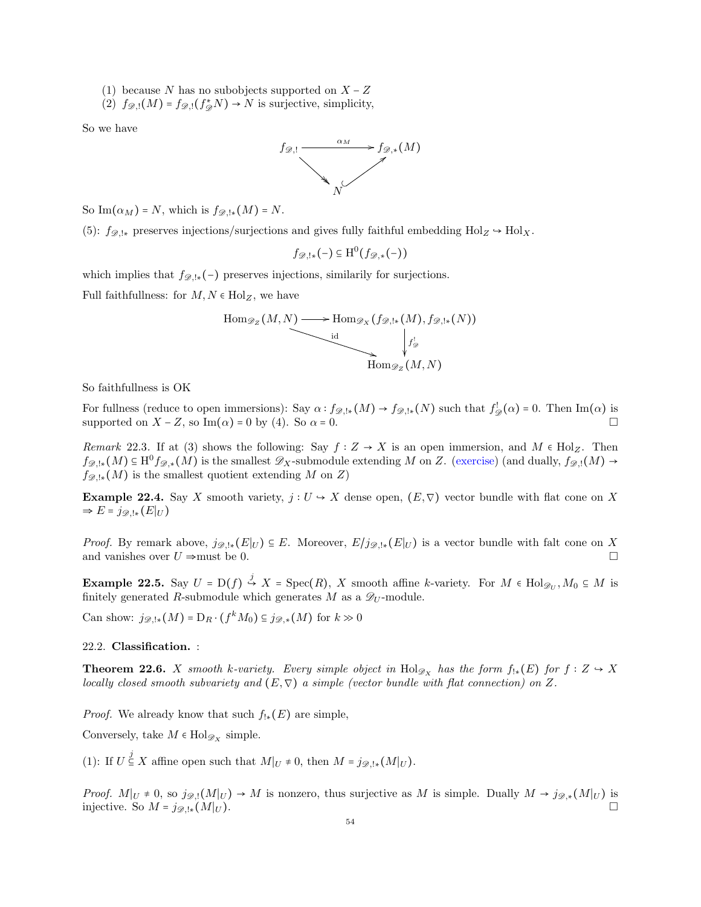(1) because N has no subobjects supported on  $X - Z$ 

(2)  $f_{\mathscr{D},!}(M) = f_{\mathscr{D},!}(f_{\mathscr{D}}^* N) \rightarrow N$  is surjective, simplicity,

So we have



So Im $(\alpha_M)$  = N, which is  $f_{\mathscr{D},!*}(M)$  = N.

(5):  $f_{\mathscr{D},!*}$  preserves injections/surjections and gives fully faithful embedding  $Hol_Z \rightarrow Hol_X$ .

$$
f_{\mathscr{D},!*}(-) \subseteq \mathrm{H}^0(f_{\mathscr{D},*}(-))
$$

which implies that  $f_{\mathscr{D},!*}(-)$  preserves injections, similarily for surjections.

Full faithfullness: for  $M, N \in Hol_Z$ , we have

$$
\text{Hom}_{\mathscr{D}_Z}(M, N) \longrightarrow \text{Hom}_{\mathscr{D}_X}(f_{\mathscr{D},!*}(M), f_{\mathscr{D},!*}(N))
$$
\n
$$
\downarrow
$$
\n
$$
\downarrow
$$
\n
$$
\downarrow
$$
\n
$$
\downarrow
$$
\n
$$
\downarrow
$$
\n
$$
\downarrow
$$
\n
$$
\downarrow
$$
\n
$$
\downarrow
$$
\n
$$
\downarrow
$$
\n
$$
\downarrow
$$
\n
$$
\downarrow
$$
\n
$$
\downarrow
$$
\n
$$
\downarrow
$$
\n
$$
\downarrow
$$
\n
$$
\downarrow
$$
\n
$$
\downarrow
$$
\n
$$
\downarrow
$$
\n
$$
\downarrow
$$
\n
$$
\downarrow
$$
\n
$$
\downarrow
$$
\n
$$
\downarrow
$$
\n
$$
\downarrow
$$
\n
$$
\downarrow
$$
\n
$$
\downarrow
$$
\n
$$
\downarrow
$$
\n
$$
\downarrow
$$
\n
$$
\downarrow
$$
\n
$$
\downarrow
$$
\n
$$
\downarrow
$$
\n
$$
\downarrow
$$
\n
$$
\downarrow
$$
\n
$$
\downarrow
$$
\n
$$
\downarrow
$$
\n
$$
\downarrow
$$
\n
$$
\downarrow
$$
\n
$$
\downarrow
$$
\n
$$
\downarrow
$$
\n
$$
\downarrow
$$
\n
$$
\downarrow
$$
\n
$$
\downarrow
$$
\n
$$
\downarrow
$$
\n
$$
\downarrow
$$
\n
$$
\downarrow
$$
\n
$$
\downarrow
$$
\n
$$
\downarrow
$$
\n
$$
\downarrow
$$
\n
$$
\downarrow
$$
\n
$$
\downarrow
$$
\n
$$
\downarrow
$$
\n
$$
\downarrow
$$
\n
$$
\downarrow
$$
\n
$$
\downarrow
$$
\n
$$
\downarrow
$$
\n
$$
\downarrow
$$
\n
$$
\downarrow
$$
\n
$$
\downarrow
$$
\n
$$
\downarrow
$$
\n
$$
\downarrow
$$
\n

So faithfullness is OK

For fullness (reduce to open immersions): Say  $\alpha : f_{\mathscr{D},!*}(M) \to f_{\mathscr{D},!*}(N)$  such that  $f_{\mathscr{D}}^!(\alpha) = 0$ . Then Im( $\alpha$ ) is supported on  $X - Z$ , so Im( $\alpha$ ) = 0 by (4). So  $\alpha$  = 0.

Remark 22.3. If at (3) shows the following: Say  $f: Z \to X$  is an open immersion, and  $M \in Hol_Z$ . Then  $f_{\mathscr{D},!*}(M) \subseteq \mathrm{H}^0 f_{\mathscr{D},*}(M)$  is the smallest  $\mathscr{D}_X$ -submodule extending M on Z. (exercise) (and dually,  $f_{\mathscr{D},!}(M) \to$  $f_{\mathscr{D},!*}(M)$  is the smallest quotient extending M on Z)

Example 22.4. Say X smooth variety,  $j: U \to X$  dense open,  $(E, \nabla)$  vector bundle with flat cone on X  $\Rightarrow E = j_{\mathscr{D},!*}(E|_U)$ 

*Proof.* By remark above,  $j_{\mathscr{D},!*}(E|_U) \subseteq E$ . Moreover,  $E/j_{\mathscr{D},!*}(E|_U)$  is a vector bundle with falt cone on X and vanishes over  $U \Rightarrow$  must be 0.

**Example 22.5.** Say  $U = D(f) \stackrel{j}{\hookrightarrow} X = \text{Spec}(R)$ , X smooth affine k-variety. For  $M \in \text{Hol}_{\mathscr{D}_U}$ ,  $M_0 \subseteq M$  is finitely generated R-submodule which generates M as a  $\mathscr{D}_U$ -module.

Can show:  $j_{\mathscr{D},!*}(M) = D_R \cdot (f^k M_0) \subseteq j_{\mathscr{D},*}(M)$  for  $k \gg 0$ 

<span id="page-53-0"></span>22.2. Classification. :

**Theorem 22.6.** X smooth k-variety. Every simple object in Hol<sub> $\mathscr{D}_X$ </sub> has the form  $f_{!*}(E)$  for  $f : Z \to X$ locally closed smooth subvariety and  $(E, \nabla)$  a simple (vector bundle with flat connection) on Z.

*Proof.* We already know that such  $f_{!*}(E)$  are simple,

Conversely, take  $M \in \text{Hol}_{\mathscr{D}_X}$  simple.

(1): If  $U \stackrel{j}{\subseteq} X$  affine open such that  $M|_U \neq 0$ , then  $M = j_{\mathscr{D},!*}(M|_U)$ .

*Proof.*  $M|_U \neq 0$ , so  $j_{\mathscr{D},!}(M|_U) \to M$  is nonzero, thus surjective as M is simple. Dually  $M \to j_{\mathscr{D},*}(M|_U)$  is injective. So  $M = j_{\mathscr{D},!*}(M|_U)$ .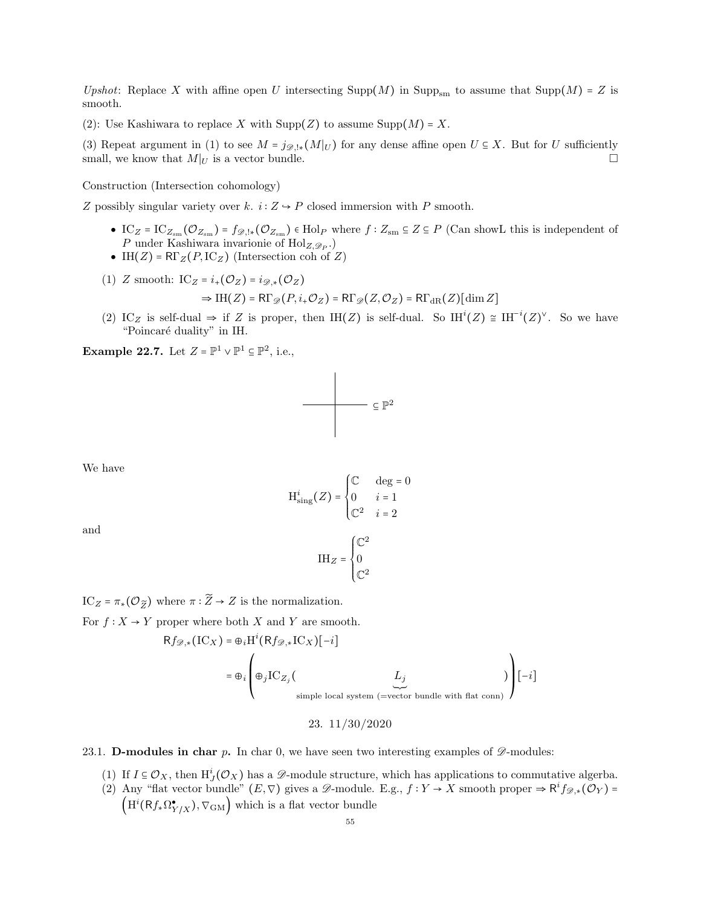Upshot: Replace X with affine open U intersecting Supp(M) in Supp<sub>sm</sub> to assume that Supp(M) = Z is smooth.

(2): Use Kashiwara to replace X with  $\text{Supp}(Z)$  to assume  $\text{Supp}(M) = X$ .

(3) Repeat argument in (1) to see  $M = j_{\mathscr{D},!*}(M|_U)$  for any dense affine open  $U \subseteq X$ . But for U sufficiently small, we know that  $M|_U$  is a vector bundle.

Construction (Intersection cohomology)

Z possibly singular variety over k.  $i: Z \rightarrow P$  closed immersion with P smooth.

- IC<sub>Z</sub> = IC<sub>Zsm</sub> ( $\mathcal{O}_{Z_{sm}}$ ) =  $f_{\mathscr{D},!*}(\mathcal{O}_{Z_{sm}})$  ∈ Hol<sub>P</sub> where  $f: Z_{sm} \subseteq Z \subseteq P$  (Can showL this is independent of P under Kashiwara invarionie of  $\text{Hol}_{Z, \mathscr{D}_P}$ .)
- IH( $Z$ ) = R $\Gamma_Z(P,\mathrm{IC}_Z)$  (Intersection coh of  $Z$ )
- (1) Z smooth:  $IC_Z = i_+(\mathcal{O}_Z) = i_{\mathscr{D},*}(\mathcal{O}_Z)$  $\Rightarrow$  IH(Z) = RΓ<sub>\si</sub>(P, i<sub>+</sub>O<sub>Z</sub>) = RΓ<sub>\si</sub>(Z,O<sub>Z</sub>) = RΓ<sub>dR</sub>(Z)[dim Z]
- (2) IC<sub>Z</sub> is self-dual  $\Rightarrow$  if Z is proper, then IH(Z) is self-dual. So IH<sup>i</sup>(Z)  $\cong$  IH<sup>-i</sup>(Z)<sup> $\vee$ </sup>. So we have "Poincaré duality" in IH.

**Example 22.7.** Let  $Z = \mathbb{P}^1 \vee \mathbb{P}^1 \subseteq \mathbb{P}^2$ , i.e.,



We have

$$
H_{\text{sing}}^{i}(Z) = \begin{cases} \mathbb{C} & \text{deg} = 0\\ 0 & i = 1\\ \mathbb{C}^{2} & i = 2 \end{cases}
$$

and

$$
\mathrm{IH}_Z = \begin{cases} \mathbb{C}^2 \\ 0 \\ \mathbb{C}^2 \end{cases}
$$

IC<sub>Z</sub> =  $\pi_*(\mathcal{O}_{\widetilde{Z}})$  where  $\pi : \widetilde{Z} \to Z$  is the normalization.

For  $f: X \to Y$  proper where both X and Y are smooth.

$$
Rf_{\mathscr{D},*}(\mathrm{IC}_X) = \bigoplus_i \mathrm{H}^i(Rf_{\mathscr{D},*}\mathrm{IC}_X)[-i]
$$
  
= 
$$
\bigoplus_i \left( \bigoplus_j \mathrm{IC}_{Z_j} \left( \underset{\text{simple local system (=vector bundle with flat conn)}}{\underbrace{L_j}} \right) \right)[-i]
$$

#### 23. 11/30/2020

## <span id="page-54-1"></span><span id="page-54-0"></span>23.1. **D-modules in char p.** In char 0, we have seen two interesting examples of  $\mathscr{D}$ -modules:

- (1) If  $I \subseteq \mathcal{O}_X$ , then  $H^i_J(\mathcal{O}_X)$  has a  $\mathscr{D}$ -module structure, which has applications to commutative algerba.
- (2) Any "flat vector bundle"  $(E, \nabla)$  gives a  $\mathscr{D}$ -module. E.g.,  $f: Y \to X$  smooth proper  $\Rightarrow \mathsf{R}^i f_{\mathscr{D},*}(\mathcal{O}_Y) =$  $(H^{i}(Rf_{*}\Omega_{Y/X}^{\bullet}), \nabla_{GM})$  which is a flat vector bundle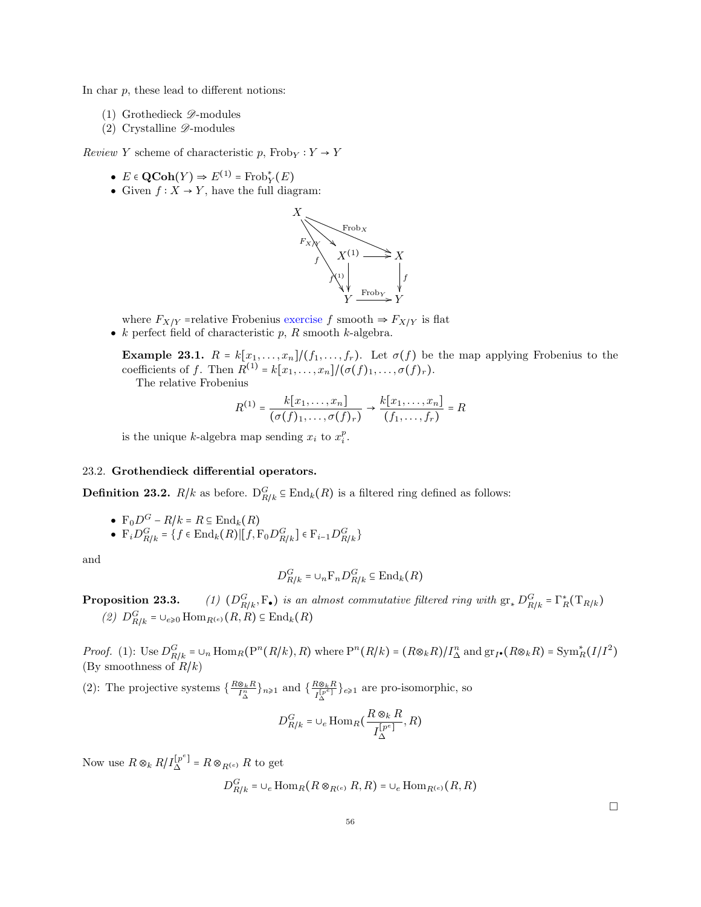In char  $p$ , these lead to different notions:

- (1) Grothedieck  $\mathscr{D}$ -modules
- (2) Crystalline  $\mathscr{D}$ -modules

Review Y scheme of characteristic p,  $Frob_Y : Y \to Y$ 

- $E \in \text{QCoh}(Y) \Rightarrow E^{(1)} = \text{Frob}_Y^*(E)$
- Given  $f: X \to Y$ , have the full diagram:



where  $F_{X/Y}$  =relative Frobenius exercise f smooth  $\Rightarrow F_{X/Y}$  is flat •  $k$  perfect field of characteristic  $p$ ,  $R$  smooth  $k$ -algebra.

**Example 23.1.**  $R = k[x_1, \ldots, x_n]/(f_1, \ldots, f_r)$ . Let  $\sigma(f)$  be the map applying Frobenius to the coefficients of f. Then  $R^{(1)} = k[x_1, \ldots, x_n]/(\sigma(f)_1, \ldots, \sigma(f)_r)$ .

The relative Frobenius

$$
R^{(1)} = \frac{k[x_1,\ldots,x_n]}{(\sigma(f)_1,\ldots,\sigma(f)_r)} \to \frac{k[x_1,\ldots,x_n]}{(f_1,\ldots,f_r)} = R
$$

is the unique k-algebra map sending  $x_i$  to  $x_i^p$ .

## <span id="page-55-0"></span>23.2. Grothendieck differential operators.

**Definition 23.2.**  $R/k$  as before.  $D_{R/k}^G \subseteq \text{End}_k(R)$  is a filtered ring defined as follows:

\n- $$
\mathbf{F}_0 D^G - R/k = R \subseteq \text{End}_k(R)
$$
\n- $\mathbf{F}_i D_{R/k}^G = \{ f \in \text{End}_k(R) | [f, \mathbf{F}_0 D_{R/k}^G] \in \mathbf{F}_{i-1} D_{R/k}^G \}$
\n

and

$$
D_{R/k}^G = \cup_n \mathcal{F}_n D_{R/k}^G \subseteq \text{End}_k(R)
$$

**Proposition 23.3.** (1)  $(D_{R/k}^G, F_\bullet)$  is an almost commutative filtered ring with  $gr_* D_{R/k}^G = \Gamma_R^*(T_{R/k})$ (2)  $D_{R/k}^G = \cup_{e \geq 0} \text{Hom}_{R^{(e)}}(R, R) \subseteq \text{End}_k(R)$ 

*Proof.* (1): Use  $D_{R/k}^G = \cup_n \text{Hom}_R(P^n(R/k), R)$  where  $P^n(R/k) = (R \otimes_k R) / I_{\Delta}^n$  and  $gr_I \bullet (R \otimes_k R) = \text{Sym}_R^*(I/I^2)$ (By smoothness of  $R/k$ )

(2): The projective systems  $\{\frac{R\otimes_k R}{I_{\Delta}^n}\}_{n\geqslant1}$  and  $\{\frac{R\otimes_k R}{I_{\Delta}^{[p^e]}}\}$  $\frac{H\otimes_k H}{I_{\Delta}^{[p^e]}}\}_{e\geqslant 1}$  are pro-isomorphic, so

$$
D_{R/k}^G = \bigcup_e \text{Hom}_R\left(\frac{R \otimes_k R}{I_{\Delta}^{[p^e]}}, R\right)
$$

Now use  $R \otimes_k R/I_{\Delta}^{[p^e]} = R \otimes_{R^{(e)}} R$  to get

$$
D_{R/k}^G = \bigcup_e \text{Hom}_R(R \otimes_{R^{(e)}} R, R) = \bigcup_e \text{Hom}_{R^{(e)}}(R, R)
$$

 $\Box$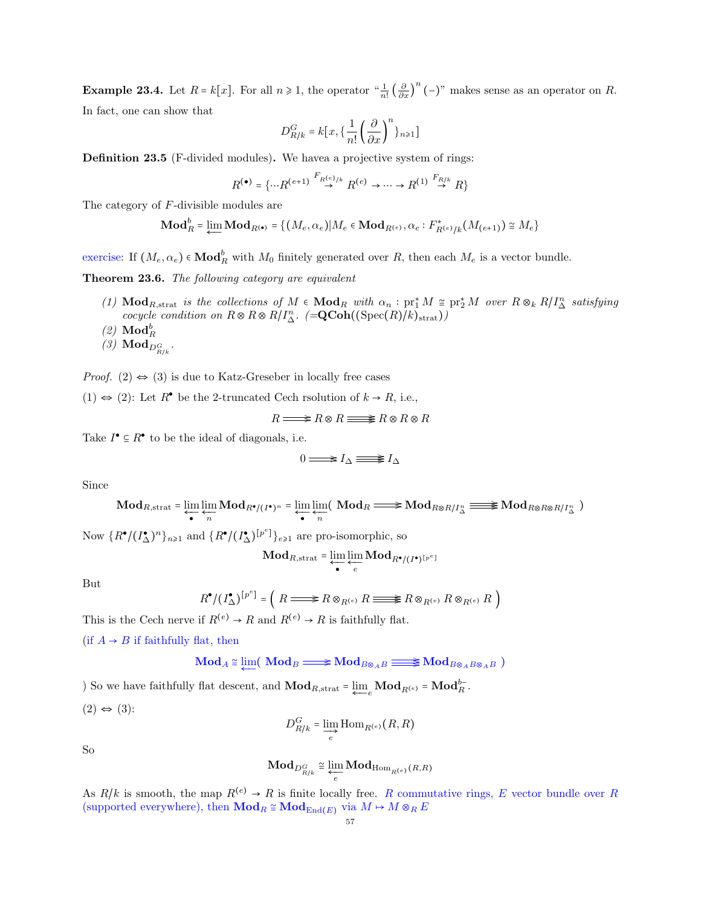**Example 23.4.** Let  $R = k[x]$ . For all  $n \ge 1$ , the operator " $\frac{1}{n!} \left(\frac{\partial}{\partial x}\right)^n (-)$ " makes sense as an operator on  $R$ . In fact, one can show that

$$
D^G_{R/k}=k\bigl[x,\bigl\{\frac{1}{n!}\left(\frac{\partial}{\partial x}\right)^n\bigr\}_{n\geq 1}\bigr]
$$

Definition 23.5 (F-divided modules). We havea a projective system of rings:

$$
R^{(\bullet)} = \{ \cdots R^{(e+1)} \stackrel{F_{R^{(e)}/k}}{\rightarrow} R^{(e)} \rightarrow \cdots \rightarrow R^{(1)} \stackrel{F_{R/k}}{\rightarrow} R \}
$$

The category of F-divisible modules are

$$
\mathbf{Mod}_R^b = \varprojlim \mathbf{Mod}_{R^{(*)}} = \{ (M_e, \alpha_e) | M_e \in \mathbf{Mod}_{R^{(e)}}, \alpha_e : F_{R^{(e)}/k}^*(M_{(e+1)}) \cong M_e \}
$$

exercise: If  $(M_e, \alpha_e) \in \textbf{Mod}_R^b$  with  $M_0$  finitely generated over R, then each  $M_e$  is a vector bundle.

Theorem 23.6. The following category are equivalent

- (1)  $\text{Mod}_{R,\text{strat}}$  is the collections of  $M \in \text{Mod}_R$  with  $\alpha_n : \text{pr}_1^* M \cong \text{pr}_2^* M$  over  $R \otimes_k R/I_\Delta^n$  satisfying cocycle condition on  $R \otimes R \otimes R/I_{\Delta}^{n}$ . (=QCoh((Spec(R)/k)<sub>strat</sub>))
- $(2)$   $\mathbf{Mod}_R^b$
- (3)  $\mathbf{Mod}_{D^G_{R/k}}$ .

*Proof.* (2)  $\Leftrightarrow$  (3) is due to Katz-Greseber in locally free cases

(1) ⇔ (2): Let  $R^{\bullet}$  be the 2-truncated Cech rsolution of  $k \to R$ , i.e.,

$$
R \longrightarrow R \otimes R \longrightarrow R \otimes R \otimes R
$$

Take  $I^{\bullet} \subseteq R^{\bullet}$  to be the ideal of diagonals, i.e.

$$
0\Longrightarrow I_\Delta \Longrightarrow I_\Delta
$$

Since

$$
\mathbf{Mod}_{R,\text{strat}} = \varprojlim_{n} \underline{\lim_{n} \mathbf{Mod}_{R^{\bullet}/(I^{\bullet})^{n}}} = \varprojlim_{n} \varprojlim_{n} (\mathbf{Mod}_{R} \Longrightarrow \mathbf{Mod}_{R \otimes R/I_{\Delta}^{n}} \equiv \mathbf{Mod}_{R \otimes R \otimes R/I_{\Delta}^{n}})
$$

Now  $\{R^{\bullet}/(I^{\bullet}_{\Delta})^n\}_{n\geq 1}$  and  $\{R^{\bullet}/(I^{\bullet}_{\Delta})^{[p^e]}\}_{e\geq 1}$  are pro-isomorphic, so

$$
\mathbf{Mod}_{R, \text{strat}} = \varprojlim_{e} \varprojlim_{e} \mathbf{Mod}_{R^{\bullet}/(I^{\bullet})^{[p^e]}}
$$

But

$$
R^{\bullet}/(I^{\bullet}_{\Delta})^{[p^e]} = (R \Longrightarrow R \otimes_{R^{(e)}} R \Longrightarrow R \otimes_{R^{(e)}} R \otimes_{R^{(e)}} R)
$$

This is the Cech nerve if  $R^{(e)} \to R$  and  $R^{(e)} \to R$  is faithfully flat.

(if  $A \rightarrow B$  if faithfully flat, then

$$
\mathbf{Mod}_A \cong \varprojlim(\mathbf{Mod}_B \Longrightarrow \mathbf{Mod}_{B \otimes_A B} \equiv \mathbf{Mod}_{B \otimes_A B \otimes_A B})
$$

) So we have faithfully flat descent, and  $\mathbf{Mod}_{R,\text{strat}} = \underleftarrow{\lim}_{e} \mathbf{Mod}_{R^{(e)}} = \mathbf{Mod}_{R}^{b-}$ .

$$
(2) \Leftrightarrow (3):
$$

$$
D_{R/k}^G = \varinjlim_e \mathrm{Hom}_{R^{(e)}}(R,R)
$$

So

$$
\mathbf{Mod}_{D_{R/k}^G} \cong \varprojlim_e \mathbf{Mod}_{\mathrm{Hom}_{R^{(e)}}(R,R)}
$$

As  $R/k$  is smooth, the map  $R^{(e)} \to R$  is finite locally free. R commutative rings, E vector bundle over R (supported everywhere), then  $\mathbf{Mod}_R \cong \mathbf{Mod}_{\mathrm{End}(E)}$  via  $M \mapsto M \otimes_R E$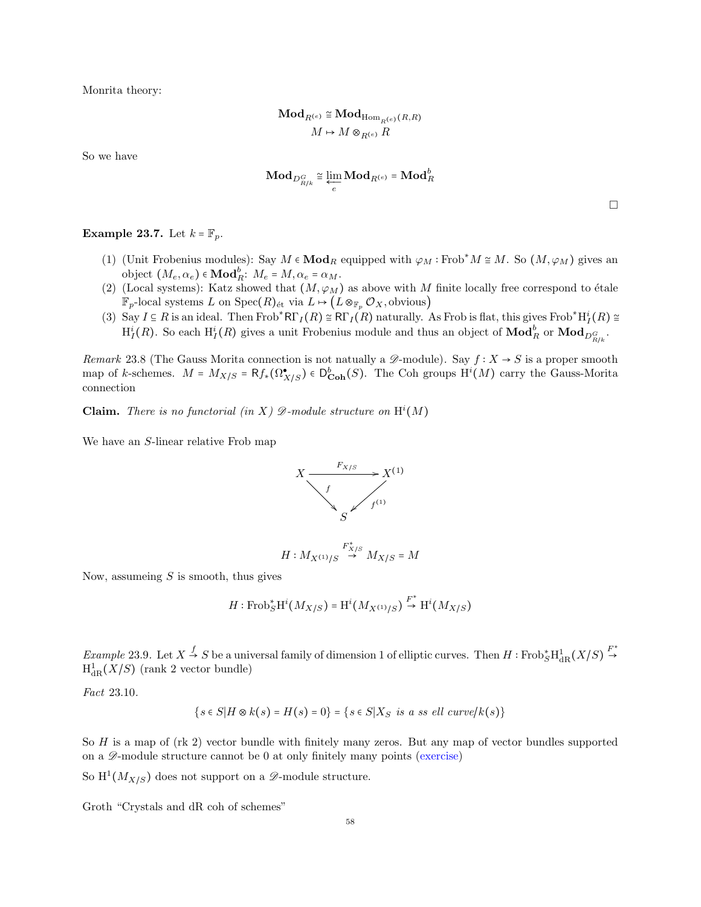Monrita theory:

$$
\mathbf{Mod}_{R^{(e)}} \cong \mathbf{Mod}_{\mathrm{Hom}_{R^{(e)}}(R,R)}
$$
  

$$
M \mapsto M \otimes_{R^{(e)}} R
$$

So we have

$$
\mathbf{Mod}_{D_{R/k}^G} \cong \varprojlim_e \mathbf{Mod}_{R^{(e)}} = \mathbf{Mod}_R^b
$$

 $\Box$ 

**Example 23.7.** Let  $k = \mathbb{F}_p$ .

- (1) (Unit Frobenius modules): Say  $M \in \mathbf{Mod}_R$  equipped with  $\varphi_M : \text{Frob}^*M \cong M$ . So  $(M, \varphi_M)$  gives an object  $(M_e, \alpha_e) \in \mathbf{Mod}_R^b$ :  $M_e = M, \alpha_e = \alpha_M$ .
- (2) (Local systems): Katz showed that  $(M, \varphi_M)$  as above with M finite locally free correspond to étale  $\mathbb{F}_p$ -local systems L on Spec $(R)$ <sub>ét</sub> via  $L \mapsto (L \otimes_{\mathbb{F}_p} \mathcal{O}_X)$ , obvious)
- (3) Say  $I \subseteq R$  is an ideal. Then Frob\*R $\Gamma_I(R) \cong \mathsf{R}\Gamma_I(R)$  naturally. As Frob is flat, this gives Frob\*H $^i_I(R) \cong$  $H_I^i(R)$ . So each  $H_I^i(R)$  gives a unit Frobenius module and thus an object of  $\mathbf{Mod}_R^b$  or  $\mathbf{Mod}_{D_{R/k}^G}$ .

Remark 23.8 (The Gauss Morita connection is not natually a  $\mathscr{D}\text{-module}$ ). Say  $f: X \to S$  is a proper smooth map of k-schemes.  $M = M_{X/S} = Rf_*(\Omega^{\bullet}_{X/S}) \in D^b_{\text{Coh}}(S)$ . The Coh groups  $H^i(M)$  carry the Gauss-Morita connection

**Claim.** There is no functorial (in X)  $\mathscr{D}$ -module structure on  $H^{i}(M)$ 

We have an S-linear relative Frob map



$$
H:M_{X^{(1)}/S}\stackrel{F_{X/S}^*}{\rightarrow} M_{X/S}=M
$$

Now, assumeing  $S$  is smooth, thus gives

$$
H: \mathrm{Frob}_S^* \mathrm{H}^i(M_{X/S}) = \mathrm{H}^i(M_{X^{(1)}/S}) \stackrel{F^*}{\to} \mathrm{H}^i(M_{X/S})
$$

*Example* 23.9. Let  $X \stackrel{f}{\rightarrow} S$  be a universal family of dimension 1 of elliptic curves. Then  $H: \text{Frob}_{S}^{*}H_{\text{dR}}^{1}(X/S) \stackrel{F^{*}}{\rightarrow}$  $\mathrm{H}^1_{\mathrm{dR}}(X/S)$  (rank 2 vector bundle)

Fact 23.10.

$$
\{s \in S | H \otimes k(s) = H(s) = 0\} = \{s \in S | X_S \text{ is a ss ell curve}/k(s)\}
$$

So H is a map of (rk 2) vector bundle with finitely many zeros. But any map of vector bundles supported on a  $\mathscr{D}$ -module structure cannot be 0 at only finitely many points (exercise)

So  $\mathrm{H}^1(M_{X/S})$  does not support on a  $\mathscr{D}\text{-module structure.}$ 

Groth "Crystals and dR coh of schemes"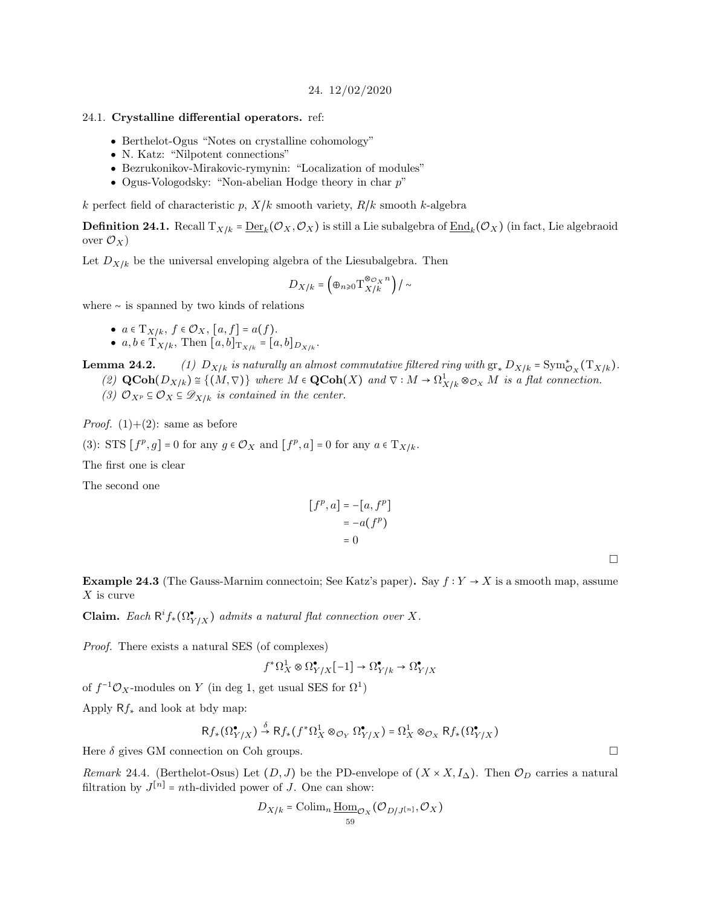24. 12/02/2020

#### <span id="page-58-1"></span><span id="page-58-0"></span>24.1. Crystalline differential operators. ref:

- Berthelot-Ogus "Notes on crystalline cohomology"
- N. Katz: "Nilpotent connections"
- Bezrukonikov-Mirakovic-rymynin: "Localization of modules"
- Ogus-Vologodsky: "Non-abelian Hodge theory in char  $p$ "

k perfect field of characteristic p,  $X/k$  smooth variety,  $R/k$  smooth k-algebra

**Definition 24.1.** Recall  $\mathrm{T}_{X/k}$  =  $\underline{\mathrm{Der}}_k(\mathcal{O}_X,\mathcal{O}_X)$  is still a Lie subalgebra of  $\underline{\mathrm{End}}_k(\mathcal{O}_X)$  (in fact, Lie algebraoid over  $\mathcal{O}_X$ )

Let  $D_{X/k}$  be the universal enveloping algebra of the Liesubalgebra. Then

$$
D_{X/k}=\left(\oplus_{n\geq 0}\mathrm{T}^{\otimes _{{\cal O}_{X}}n}_{X/k}\right)/\sim
$$

where ∼ is spanned by two kinds of relations

• 
$$
a \in T_{X/k}
$$
,  $f \in \mathcal{O}_X$ ,  $[a, f] = a(f)$ .

•  $a, b \in T_{X/k}$ , Then  $[a, b]_{T_{X/k}} = [a, b]_{D_{X/k}}$ .

**Lemma 24.2.** (1)  $D_{X/k}$  is naturally an almost commutative filtered ring with  $gr_* D_{X/k} = Sym^*_{\mathcal{O}_X}(\mathbb{T}_{X/k})$ .

- (2)  $\mathbf{QCoh}(D_{X/k}) \cong \{(M, \nabla)\}\$  where  $M \in \mathbf{QCoh}(X)$  and  $\nabla: M \to \Omega^1_{X/k} \otimes_{\mathcal{O}_X} M$  is a flat connection.
- (3)  $\mathcal{O}_{X^p} \subseteq \mathcal{O}_X \subseteq \mathcal{D}_{X/k}$  is contained in the center.

*Proof.* (1)+(2): same as before

(3): STS  $[f^p, g] = 0$  for any  $g \in \mathcal{O}_X$  and  $[f^p, a] = 0$  for any  $a \in T_{X/k}$ .

The first one is clear

The second one

$$
[fp, a] = -[a, fp]
$$

$$
= -a(fp)
$$

$$
= 0
$$

 $\Box$ 

**Example 24.3** (The Gauss-Marnim connectoin; See Katz's paper). Say  $f: Y \rightarrow X$  is a smooth map, assume  $X$  is curve

**Claim.** Each  $R^i f_*(\Omega_{Y/X}^{\bullet})$  admits a natural flat connection over X.

Proof. There exists a natural SES (of complexes)

$$
f^* \Omega^1_X \otimes \Omega^\bullet_{Y/X}[-1] \to \Omega^\bullet_{Y/k} \to \Omega^\bullet_{Y/X}
$$

of  $f^{-1}\mathcal{O}_X$ -modules on Y (in deg 1, get usual SES for  $\Omega^1$ )

Apply  $Rf_*$  and look at bdy map:

$$
\mathsf{R}f_*(\Omega^\bullet_{Y/X}) \xrightarrow{\delta} \mathsf{R}f_*(f^*\Omega^1_X \otimes_{\mathcal{O}_Y} \Omega^\bullet_{Y/X}) = \Omega^1_X \otimes_{\mathcal{O}_X} \mathsf{R}f_*(\Omega^\bullet_{Y/X})
$$

Here  $\delta$  gives GM connection on Coh groups.

Remark 24.4. (Berthelot-Osus) Let  $(D, J)$  be the PD-envelope of  $(X \times X, I<sub>\Delta</sub>)$ . Then  $\mathcal{O}_D$  carries a natural filtration by  $J^{[n]}$  = nth-divided power of J. One can show:

$$
D_{X/k} = \operatorname{Colim}_n \underline{\operatorname{Hom}}_{\mathcal{O}_X}(\mathcal{O}_{D/J^{[n]}}, \mathcal{O}_X)
$$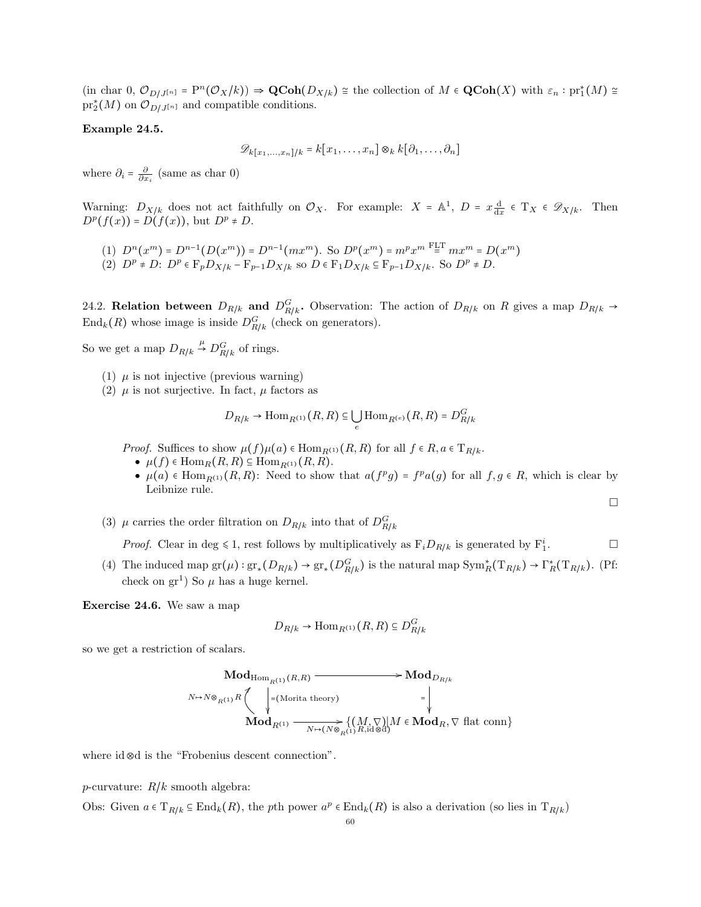$\text{(in char 0, } \mathcal{O}_{D/J^{[n]}} = P^n(\mathcal{O}_X/k)) \Rightarrow \text{QCoh}(D_{X/k}) \cong \text{the collection of } M \in \text{QCoh}(X) \text{ with } \varepsilon_n : \text{pr}_1^*(M) \cong \text{pr}_1^*(M)$  $\mathrm{pr}_2^*(M)$  on  $\mathcal{O}_{D/J^{[n]}}$  and compatible conditions.

## Example 24.5.

$$
\mathscr{D}_k[x_1,\ldots,x_n]/k = k[x_1,\ldots,x_n] \otimes_k k[\partial_1,\ldots,\partial_n]
$$

where  $\partial_i = \frac{\partial}{\partial x_i}$  (same as char 0)

Warning:  $D_{X/k}$  does not act faithfully on  $\mathcal{O}_X$ . For example:  $X = \mathbb{A}^1$ ,  $D = x \frac{d}{dx} \in T_X \in \mathcal{D}_{X/k}$ . Then  $D^p(f(x)) = D(f(x))$ , but  $D^p \neq D$ .

(1) 
$$
D^n(x^m) = D^{n-1}(D(x^m)) = D^{n-1}(mx^m)
$$
. So  $D^p(x^m) = m^px^m \stackrel{\text{FLT}}{=} mx^m = D(x^m)$   
(2)  $D^p \neq D$ :  $D^p \in \mathbb{F}_p D_{X/k} - \mathbb{F}_{p-1} D_{X/k}$  so  $D \in \mathbb{F}_1 D_{X/k} \subseteq \mathbb{F}_{p-1} D_{X/k}$ . So  $D^p \neq D$ .

<span id="page-59-0"></span>24.2. **Relation between**  $D_{R/k}$  and  $D_{R/k}^G$ . Observation: The action of  $D_{R/k}$  on R gives a map  $D_{R/k} \rightarrow$  $\text{End}_k(R)$  whose image is inside  $D_{R/k}^G$  (check on generators).

So we get a map  $D_{R/k} \stackrel{\mu}{\rightarrow} D_{R/k}^G$  of rings.

- (1)  $\mu$  is not injective (previous warning)
- (2)  $\mu$  is not surjective. In fact,  $\mu$  factors as

$$
D_{R/k} \to \mathrm{Hom}_{R^{(1)}}(R,R) \subseteq \bigcup_e \mathrm{Hom}_{R^{(e)}}(R,R) = D^G_{R/k}
$$

*Proof.* Suffices to show  $\mu(f)\mu(a) \in \text{Hom}_{R^{(1)}}(R, R)$  for all  $f \in R, a \in T_{R/k}$ .

- $\mu(f) \in \text{Hom}_R(R, R) \subseteq \text{Hom}_{R^{(1)}}(R, R)$ .
- $\mu(a) \in \text{Hom}_{R^{(1)}}(R, R)$ : Need to show that  $a(f^p g) = f^p a(g)$  for all  $f, g \in R$ , which is clear by Leibnize rule.

 $\Box$ 

(3)  $\mu$  carries the order filtration on  $D_{R/k}$  into that of  $D_{R/k}^G$ 

*Proof.* Clear in deg  $\leq 1$ , rest follows by multiplicatively as  $F_i D_{R/k}$  is generated by  $F_1^i$  $\Box$ 

(4) The induced map  $gr(\mu) : gr_*(D_{R/k}) \to gr_*(D_{R/k}^G)$  is the natural map  $Sym_R^*(T_{R/k}) \to \Gamma_R^*(T_{R/k})$ . (Pf: check on  $gr^1$ ) So  $\mu$  has a huge kernel.

Exercise 24.6. We saw a map

$$
D_{R/k} \to \text{Hom}_{R^{(1)}}(R, R) \subseteq D_{R/k}^G
$$

so we get a restriction of scalars.

$$
\operatorname{Mod}_{\mathrm{Hom}_{R^{(1)}}(R,R)} \longrightarrow \mathrm{Mod}_{D_{R/k}}
$$
\n
$$
\wedge \rightarrow N \otimes_{R^{(1)}} R \left( \begin{array}{c} | \\ | \\ | \\ | \\ \hline \end{array} \right) = (\text{Morita theory}) \qquad \qquad = \left| \begin{array}{c} | \\ | \\ | \\ \hline \end{array} \right)
$$
\n
$$
\operatorname{Mod}_{R^{(1)}} \longrightarrow \operatorname{Mod}_{R^{(1)}} \left( \underset{N \mapsto (N \otimes_{R^{(1)}} R, \text{id} \otimes d)}{\bigvee} M \in \operatorname{Mod}_{R}, \nabla \text{ flat conn} \right)
$$

where id⊗d is the "Frobenius descent connection".

p-curvature:  $R/k$  smooth algebra:

Obs: Given  $a \in T_{R/k} \subseteq \text{End}_k(R)$ , the pth power  $a^p \in \text{End}_k(R)$  is also a derivation (so lies in  $T_{R/k}$ )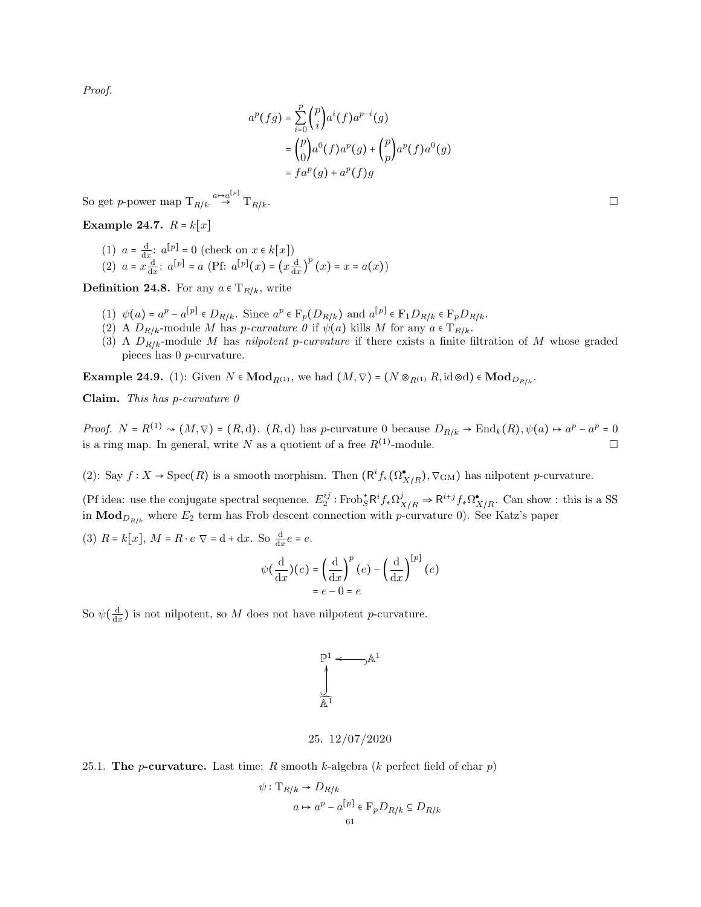Proof.

$$
a^{p}(fg) = \sum_{i=0}^{p} {p \choose i} a^{i}(f) a^{p-i}(g)
$$
  
=  ${p \choose 0} a^{0}(f) a^{p}(g) + {p \choose p} a^{p}(f) a^{0}(g)$   
=  $fa^{p}(g) + a^{p}(f)g$ 

So get p-power map  $T_{R/k} \stackrel{a \mapsto a^{[p]}}{\rightarrow} T_{R/k}$ .

Example 24.7.  $R = k[x]$ 

- (1)  $a = \frac{d}{dx}$ :  $a^{[p]} = 0$  (check on  $x \in k[x]$ )
- (2)  $a = x \frac{d}{dx}$ :  $a^{[p]} = a$  (Pf:  $a^{[p]}(x) = (x \frac{d}{dx})^p (x) = x = a(x)$ )

**Definition 24.8.** For any  $a \in T_{R/k}$ , write

- (1)  $\psi(a) = a^p a^{[p]} \in D_{R/k}$ . Since  $a^p \in \mathcal{F}_p(D_{R/k})$  and  $a^{[p]} \in \mathcal{F}_1D_{R/k} \in \mathcal{F}_pD_{R/k}$ .
- (2) A  $D_{R/k}$ -module M has *p-curvature*  $\theta$  if  $\psi(a)$  kills M for any  $a \in T_{R/k}$ .
- (3) A  $D_{R/k}$ -module M has nilpotent p-curvature if there exists a finite filtration of M whose graded pieces has 0 p-curvature.

**Example 24.9.** (1): Given  $N \in Mod_{R^{(1)}},$  we had  $(M, \nabla) = (N \otimes_{R^{(1)}} R, \text{id} \otimes d) \in Mod_{D_{R/k}}.$ 

Claim. This has p-curvature  $\theta$ 

Proof.  $N = R^{(1)} \rightsquigarrow (M, \nabla) = (R, d)$ .  $(R, d)$  has p-curvature 0 because  $D_{R/k} \rightarrow \text{End}_k(R), \psi(a) \mapsto a^p - a^p = 0$ is a ring map. In general, write N as a quotient of a free  $R^{(1)}$ -module.

(2): Say  $f: X \to \text{Spec}(R)$  is a smooth morphism. Then  $(\mathsf{R}^i f_*(\Omega^\bullet_{X/R}), \nabla_{\text{GM}})$  has nilpotent p-curvature.

(Pf idea: use the conjugate spectral sequence.  $E_2^{ij}$ : Frob $^*_{S}R^if_*\Omega^j_{X/R} \Rightarrow R^{i+j}f_*\Omega^{\bullet}_{X/R}$ . Can show : this is a SS in  $\mathbf{Mod}_{D_{R/k}}$  where  $E_2$  term has Frob descent connection with p-curvature 0). See Katz's paper

(3)  $R = k[x]$ ,  $M = R \cdot e \nabla = d + dx$ . So  $\frac{d}{dx}e = e$ .

$$
\psi\left(\frac{\mathrm{d}}{\mathrm{d}x}\right)(e) = \left(\frac{\mathrm{d}}{\mathrm{d}x}\right)^p(e) - \left(\frac{\mathrm{d}}{\mathrm{d}x}\right)^{[p]}(e) = e - 0 = e
$$

So  $\psi(\frac{d}{dx})$  is not nilpotent, so M does not have nilpotent p-curvature.

$$
\begin{aligned} \mathbb{P}^1 &\longleftrightarrow \mathbb{A}^1 \\ \bigcup\limits_{\mathbb{A}^1} \end{aligned}
$$

# 25. 12/07/2020

<span id="page-60-1"></span><span id="page-60-0"></span>25.1. The *p*-curvature. Last time:  $R$  smooth  $k$ -algebra ( $k$  perfect field of char  $p$ )

$$
\psi: \mathcal{T}_{R/k} \to D_{R/k}
$$

$$
a \mapsto a^p - a^{[p]} \in \mathcal{F}_p D_{R/k} \subseteq D_{R/k}
$$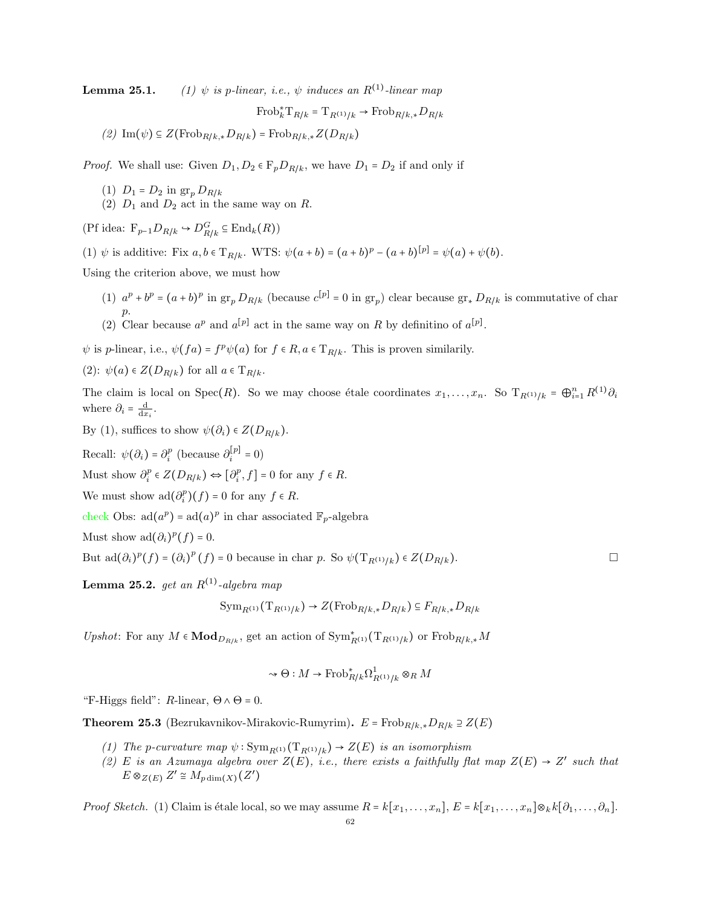**Lemma 25.1.** (1)  $\psi$  is p-linear, i.e.,  $\psi$  induces an  $R^{(1)}$ -linear map

 $\text{Frob}_k^* \mathcal{T}_{R/k} = \mathcal{T}_{R^{(1)}/k} \to \text{Frob}_{R/k,*} D_{R/k}$ 

(2) Im( $\psi$ ) ⊆ Z(Frob<sub>R/k,\*</sub> $D_{R/k}$ ) = Frob<sub>R/k,\*</sub> $Z(D_{R/k})$ 

*Proof.* We shall use: Given  $D_1, D_2 \in \mathbb{F}_p D_{R/k}$ , we have  $D_1 = D_2$  if and only if

- (1)  $D_1 = D_2$  in  $gr_p D_{R/k}$
- (2)  $D_1$  and  $D_2$  act in the same way on R.

(Pf idea:  $F_{p-1}D_{R/k} \hookrightarrow D_{R/k}^G \subseteq \text{End}_k(R)$ )

(1)  $\psi$  is additive: Fix  $a, b \in T_{R/k}$ . WTS:  $\psi(a+b) = (a+b)^p - (a+b)^{[p]} = \psi(a) + \psi(b)$ .

Using the criterion above, we must how

- (1)  $a^p + b^p = (a+b)^p$  in  $gr_p D_{R/k}$  (because  $c^{[p]} = 0$  in  $gr_p$ ) clear because  $gr_* D_{R/k}$  is commutative of char p.
- (2) Clear because  $a^p$  and  $a^{[p]}$  act in the same way on R by definitino of  $a^{[p]}$ .

 $\psi$  is p-linear, i.e.,  $\psi(fa) = f^p \psi(a)$  for  $f \in R$ ,  $a \in T_{R/k}$ . This is proven similarily.

(2): 
$$
\psi(a) \in Z(D_{R/k})
$$
 for all  $a \in T_{R/k}$ .

The claim is local on Spec $(R)$ . So we may choose étale coordinates  $x_1, \ldots, x_n$ . So  $T_{R^{(1)}/k} = \bigoplus_{i=1}^n R^{(1)} \partial_i$ where  $\partial_i = \frac{d}{dx_i}$ .

By (1), suffices to show  $\psi(\partial_i) \in Z(D_{R/k})$ .

Recall:  $\psi(\partial_i) = \partial_i^p$  (because  $\partial_i^{[p]} = 0$ )

Must show  $\partial_i^p \in Z(D_{R/k}) \Leftrightarrow [\partial_i^p, f] = 0$  for any  $f \in R$ .

We must show  $\text{ad}(\partial_i^p)(f) = 0$  for any  $f \in R$ .

check Obs:  $ad(a^p) = ad(a)^p$  in char associated  $\mathbb{F}_p$ -algebra

Must show  $\text{ad}(\partial_i)^p(f) = 0.$ 

But  $\text{ad}(\partial_i)^p(f) = (\partial_i)^p(f) = 0$  because in char p. So  $\psi(\mathrm{T}_{R^{(1)}/k}) \in Z(D_{R/k})$ .

Lemma 25.2. get an  $R^{(1)}$ -algebra map

$$
\text{Sym}_{R^{(1)}}(\text{T}_{R^{(1)}/k}) \to Z(\text{Frob}_{R/k,*}D_{R/k}) \subseteq F_{R/k,*}D_{R/k}
$$

Upshot: For any  $M \in \mathbf{Mod}_{D_{R/k}}$ , get an action of  $\text{Sym}_{R^{(1)}}^*(\mathrm{T}_{R^{(1)}/k})$  or  $\text{Frob}_{R/k,*}M$ 

$$
\leadsto \Theta: M \to \operatorname{Frob}^*_{R/k} \Omega^1_{R^{(1)}/k} \otimes_R M
$$

"F-Higgs field":  $R$ -linear,  $\Theta \wedge \Theta = 0$ .

**Theorem 25.3** (Bezrukavnikov-Mirakovic-Rumyrim).  $E = \text{Frob}_{R/k,*} D_{R/k} \supseteq Z(E)$ 

- (1) The p-curvature map  $\psi: \text{Sym}_{R^{(1)}}(\text{T}_{R^{(1)}/k}) \to Z(E)$  is an isomorphism
- (2) E is an Azumaya algebra over  $Z(E)$ , i.e., there exists a faithfully flat map  $Z(E) \rightarrow Z'$  such that  $E \otimes_{Z(E)} Z' \cong M_{pdim(X)}(Z')$

*Proof Sketch.* (1) Claim is étale local, so we may assume  $R = k[x_1, \ldots, x_n], E = k[x_1, \ldots, x_n] \otimes_k k[\partial_1, \ldots, \partial_n]$ .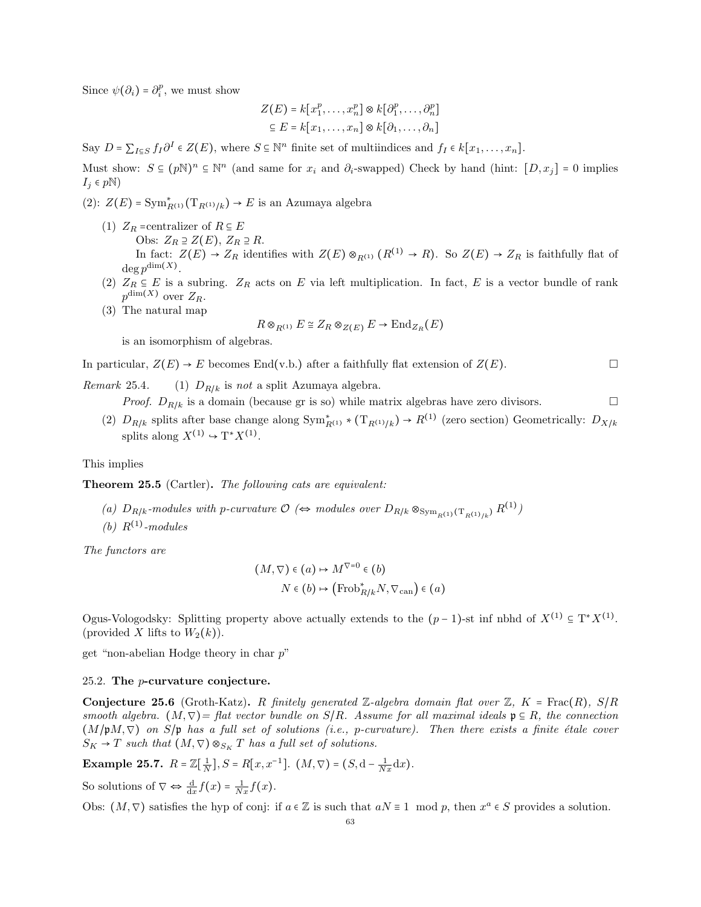Since  $\psi(\partial_i) = \partial_i^p$ , we must show

$$
Z(E) = k[x_1^p, \dots, x_n^p] \otimes k[\partial_1^p, \dots, \partial_n^p]
$$

$$
\subseteq E = k[x_1, \dots, x_n] \otimes k[\partial_1, \dots, \partial_n]
$$

Say  $D = \sum_{I \subseteq S} f_I \partial^I \in Z(E)$ , where  $S \subseteq \mathbb{N}^n$  finite set of multiindices and  $f_I \in k[x_1, \ldots, x_n]$ .

Must show:  $S \subseteq (pN)^n \subseteq N^n$  (and same for  $x_i$  and  $\partial_i$ -swapped) Check by hand (hint:  $[D, x_j] = 0$  implies  $I_j \in p\mathbb{N}$ )

(2):  $Z(E) = \text{Sym}_{R^{(1)}}^*(\mathrm{T}_{R^{(1)}/k}) \to E$  is an Azumaya algebra

- (1)  $Z_R$  =centralizer of  $R \subseteq E$ Obs:  $Z_R \supseteq Z(E)$ ,  $Z_R \supseteq R$ . In fact:  $Z(E) \to Z_R$  identifies with  $Z(E) \otimes_{R^{(1)}} (R^{(1)} \to R)$ . So  $Z(E) \to Z_R$  is faithfully flat of  $\deg p^{\dim(X)}$ .
- (2)  $Z_R \subseteq E$  is a subring.  $Z_R$  acts on E via left multiplication. In fact, E is a vector bundle of rank  $p^{\dim(X)}$  over  $Z_R$ .
- (3) The natural map

$$
R \otimes_{R^{(1)}} E \cong Z_R \otimes_{Z(E)} E \to \text{End}_{Z_R}(E)
$$

is an isomorphism of algebras.

In particular,  $Z(E) \rightarrow E$  becomes End(v.b.) after a faithfully flat extension of  $Z(E)$ .

Remark 25.4. (1)  $D_{R/k}$  is not a split Azumaya algebra.

*Proof.*  $D_{R/k}$  is a domain (because gr is so) while matrix algebras have zero divisors.

(2)  $D_{R/k}$  splits after base change along  $\text{Sym}_{R^{(1)}}^* * (\text{T}_{R^{(1)}/k}) \to R^{(1)}$  (zero section) Geometrically:  $D_{X/k}$ splits along  $X^{(1)} \rightarrow T^* X^{(1)}$ .

This implies

Theorem 25.5 (Cartler). The following cats are equivalent:

- (a)  $D_{R/k}$ -modules with p-curvature  $\mathcal{O} \Leftrightarrow$  modules over  $D_{R/k} \otimes_{\mathrm{Sym}_{R^{(1)}}(\mathrm{T}_{R^{(1)}/k})} R^{(1)}$
- (b)  $R^{(1)}$ -modules

The functors are

$$
(M, \nabla) \in (a) \mapsto M^{\nabla = 0} \in (b)
$$

$$
N \in (b) \mapsto (\text{Frob}_{R/k}^* N, \nabla_{\text{can}}) \in (a)
$$

Ogus-Vologodsky: Splitting property above actually extends to the  $(p-1)$ -st inf nbhd of  $X^{(1)} \subseteq T^*X^{(1)}$ . (provided X lifts to  $W_2(k)$ ).

get "non-abelian Hodge theory in char p"

## <span id="page-62-0"></span>25.2. The p-curvature conjecture.

**Conjecture 25.6** (Groth-Katz). R finitely generated Z-algebra domain flat over Z,  $K = \text{Frac}(R)$ ,  $S/R$ smooth algebra.  $(M, \nabla)$  = flat vector bundle on  $S/R$ . Assume for all maximal ideals  $\mathfrak{p} \subseteq R$ , the connection  $(M/\mathfrak{p}M,\nabla)$  on  $S/\mathfrak{p}$  has a full set of solutions (i.e., p-curvature). Then there exists a finite étale cover  $S_K \to T$  such that  $(M, \nabla) \otimes_{S_K} T$  has a full set of solutions.

**Example 25.7.**  $R = \mathbb{Z}[\frac{1}{N}], S = R[x, x^{-1}].$   $(M, \nabla) = (S, d - \frac{1}{Nx}dx).$ 

So solutions of  $\nabla \Leftrightarrow \frac{d}{dx} f(x) = \frac{1}{Nx} f(x)$ .

Obs:  $(M, \nabla)$  satisfies the hyp of conj: if  $a \in \mathbb{Z}$  is such that  $aN \equiv 1 \mod p$ , then  $x^a \in S$  provides a solution.